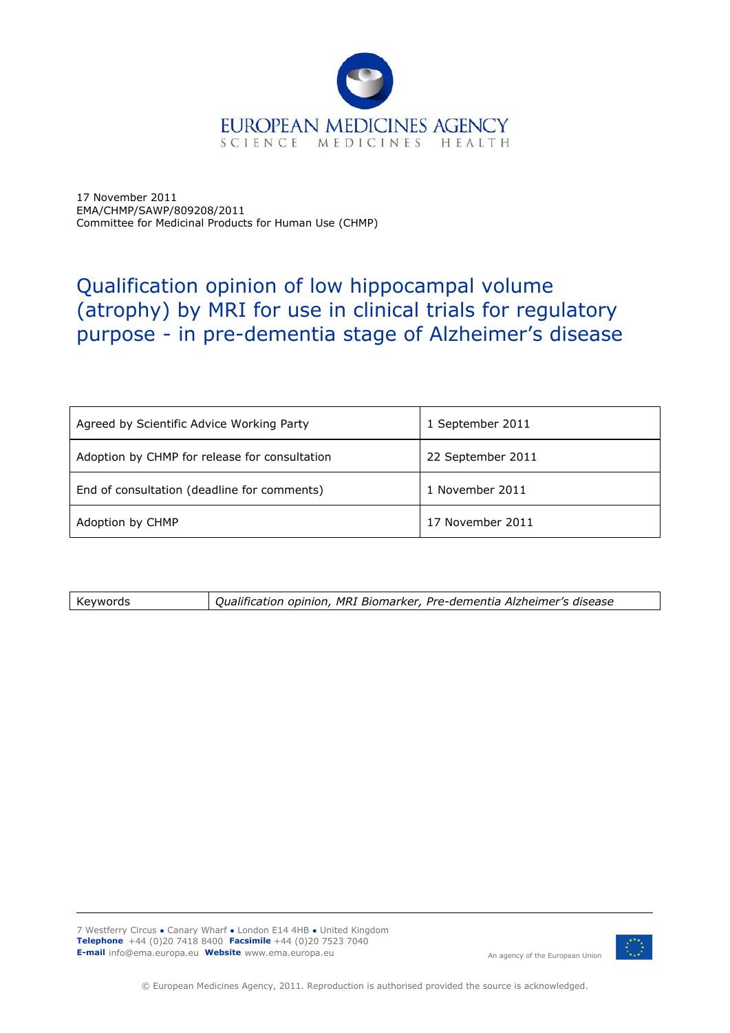

17 November 2011 EMA/CHMP/SAWP/809208/2011 Committee for Medicinal Products for Human Use (CHMP)

# Qualification opinion of low hippocampal volume (atrophy) by MRI for use in clinical trials for regulatory purpose - in pre-dementia stage of Alzheimer's disease

| Agreed by Scientific Advice Working Party     | 1 September 2011  |
|-----------------------------------------------|-------------------|
| Adoption by CHMP for release for consultation | 22 September 2011 |
| End of consultation (deadline for comments)   | 1 November 2011   |
| Adoption by CHMP                              | 17 November 2011  |

Keywords *Qualification opinion, MRI Biomarker, Pre-dementia Alzheimer's disease* 

7 Westferry Circus **●** Canary Wharf **●** London E14 4HB **●** United Kingdom **Telephone** +44 (0)20 7418 8400 **Facsimile** +44 (0)20 7523 7040 **E-mail** info@ema.europa.eu Website www.ema.europa.eu An agency of the European Union

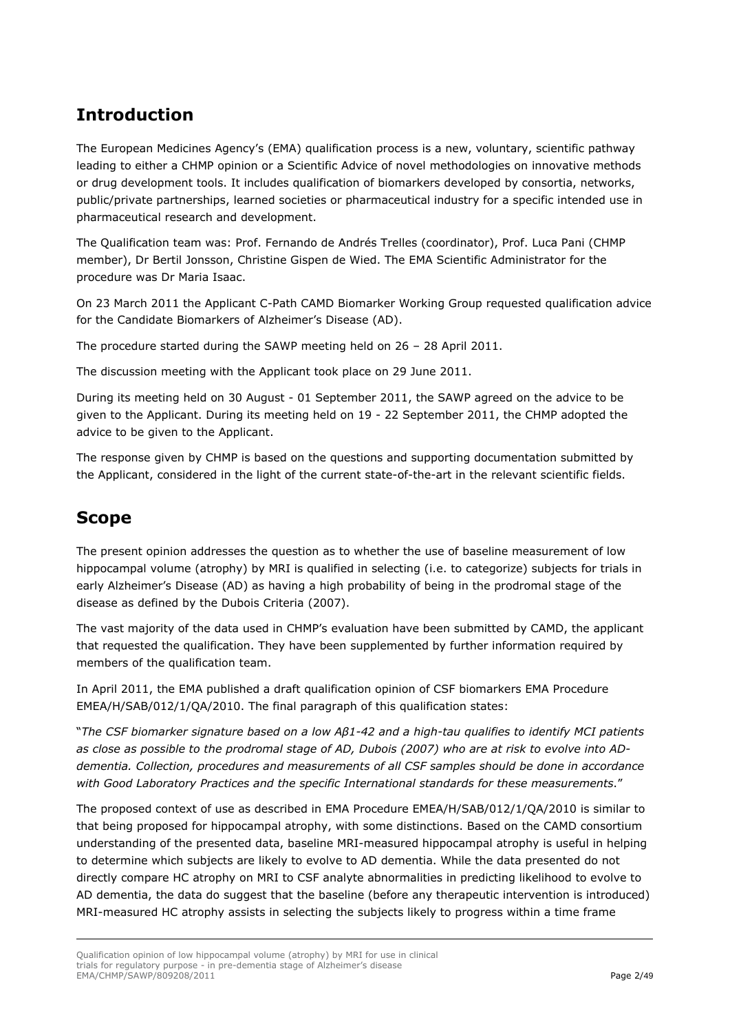## **Introduction**

The European Medicines Agency's (EMA) qualification process is a new, voluntary, scientific pathway leading to either a CHMP opinion or a Scientific Advice of novel methodologies on innovative methods or drug development tools. It includes qualification of biomarkers developed by consortia, networks, public/private partnerships, learned societies or pharmaceutical industry for a specific intended use in pharmaceutical research and development.

The Qualification team was: Prof. Fernando de Andrés Trelles (coordinator), Prof. Luca Pani (CHMP member), Dr Bertil Jonsson, Christine Gispen de Wied. The EMA Scientific Administrator for the procedure was Dr Maria Isaac.

On 23 March 2011 the Applicant C-Path CAMD Biomarker Working Group requested qualification advice for the Candidate Biomarkers of Alzheimer's Disease (AD).

The procedure started during the SAWP meeting held on 26 – 28 April 2011.

The discussion meeting with the Applicant took place on 29 June 2011.

During its meeting held on 30 August - 01 September 2011, the SAWP agreed on the advice to be given to the Applicant. During its meeting held on 19 - 22 September 2011, the CHMP adopted the advice to be given to the Applicant.

The response given by CHMP is based on the questions and supporting documentation submitted by the Applicant, considered in the light of the current state-of-the-art in the relevant scientific fields.

## **Scope**

The present opinion addresses the question as to whether the use of baseline measurement of low hippocampal volume (atrophy) by MRI is qualified in selecting (i.e. to categorize) subjects for trials in early Alzheimer's Disease (AD) as having a high probability of being in the prodromal stage of the disease as defined by the Dubois Criteria (2007).

The vast majority of the data used in CHMP's evaluation have been submitted by CAMD, the applicant that requested the qualification. They have been supplemented by further information required by members of the qualification team.

In April 2011, the EMA published a draft qualification opinion of CSF biomarkers EMA Procedure EMEA/H/SAB/012/1/QA/2010. The final paragraph of this qualification states:

"*The CSF biomarker signature based on a low Aβ1-42 and a high-tau qualifies to identify MCI patients as close as possible to the prodromal stage of AD, Dubois (2007) who are at risk to evolve into ADdementia. Collection, procedures and measurements of all CSF samples should be done in accordance with Good Laboratory Practices and the specific International standards for these measurements*."

The proposed context of use as described in EMA Procedure EMEA/H/SAB/012/1/QA/2010 is similar to that being proposed for hippocampal atrophy, with some distinctions. Based on the CAMD consortium understanding of the presented data, baseline MRI-measured hippocampal atrophy is useful in helping to determine which subjects are likely to evolve to AD dementia. While the data presented do not directly compare HC atrophy on MRI to CSF analyte abnormalities in predicting likelihood to evolve to AD dementia, the data do suggest that the baseline (before any therapeutic intervention is introduced) MRI-measured HC atrophy assists in selecting the subjects likely to progress within a time frame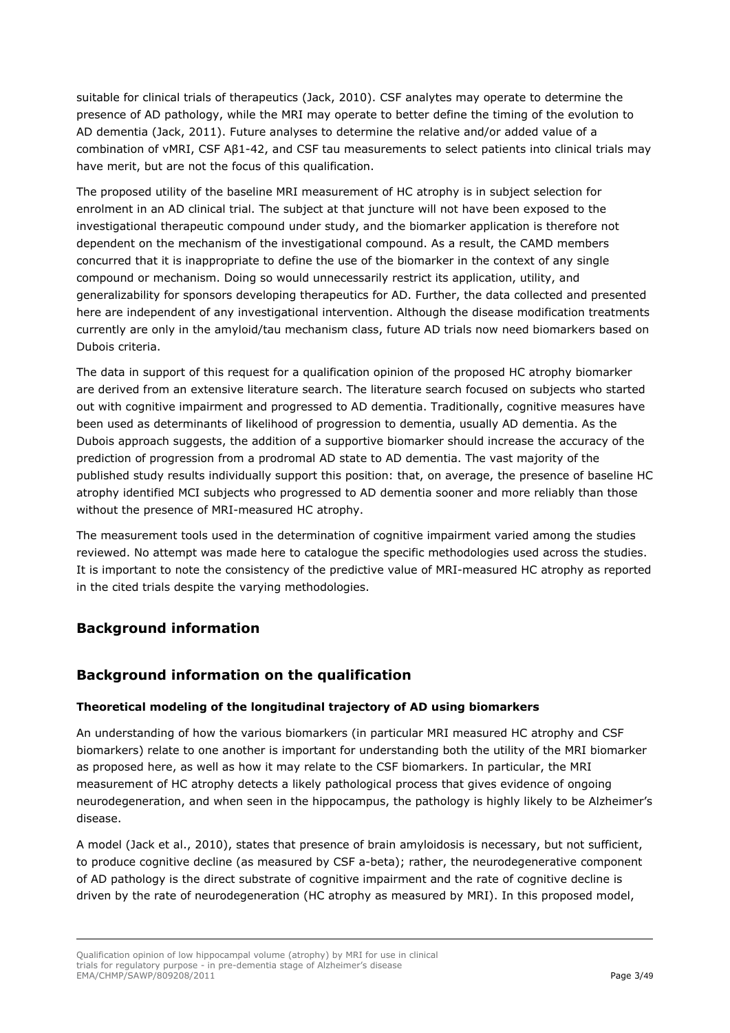suitable for clinical trials of therapeutics (Jack, 2010). CSF analytes may operate to determine the presence of AD pathology, while the MRI may operate to better define the timing of the evolution to AD dementia (Jack, 2011). Future analyses to determine the relative and/or added value of a combination of vMRI, CSF Aβ1-42, and CSF tau measurements to select patients into clinical trials may have merit, but are not the focus of this qualification.

The proposed utility of the baseline MRI measurement of HC atrophy is in subject selection for enrolment in an AD clinical trial. The subject at that juncture will not have been exposed to the investigational therapeutic compound under study, and the biomarker application is therefore not dependent on the mechanism of the investigational compound. As a result, the CAMD members concurred that it is inappropriate to define the use of the biomarker in the context of any single compound or mechanism. Doing so would unnecessarily restrict its application, utility, and generalizability for sponsors developing therapeutics for AD. Further, the data collected and presented here are independent of any investigational intervention. Although the disease modification treatments currently are only in the amyloid/tau mechanism class, future AD trials now need biomarkers based on Dubois criteria.

The data in support of this request for a qualification opinion of the proposed HC atrophy biomarker are derived from an extensive literature search. The literature search focused on subjects who started out with cognitive impairment and progressed to AD dementia. Traditionally, cognitive measures have been used as determinants of likelihood of progression to dementia, usually AD dementia. As the Dubois approach suggests, the addition of a supportive biomarker should increase the accuracy of the prediction of progression from a prodromal AD state to AD dementia. The vast majority of the published study results individually support this position: that, on average, the presence of baseline HC atrophy identified MCI subjects who progressed to AD dementia sooner and more reliably than those without the presence of MRI-measured HC atrophy.

The measurement tools used in the determination of cognitive impairment varied among the studies reviewed. No attempt was made here to catalogue the specific methodologies used across the studies. It is important to note the consistency of the predictive value of MRI-measured HC atrophy as reported in the cited trials despite the varying methodologies.

### **Background information**

### **Background information on the qualification**

#### **Theoretical modeling of the longitudinal trajectory of AD using biomarkers**

An understanding of how the various biomarkers (in particular MRI measured HC atrophy and CSF biomarkers) relate to one another is important for understanding both the utility of the MRI biomarker as proposed here, as well as how it may relate to the CSF biomarkers. In particular, the MRI measurement of HC atrophy detects a likely pathological process that gives evidence of ongoing neurodegeneration, and when seen in the hippocampus, the pathology is highly likely to be Alzheimer's disease.

A model (Jack et al., 2010), states that presence of brain amyloidosis is necessary, but not sufficient, to produce cognitive decline (as measured by CSF a-beta); rather, the neurodegenerative component of AD pathology is the direct substrate of cognitive impairment and the rate of cognitive decline is driven by the rate of neurodegeneration (HC atrophy as measured by MRI). In this proposed model,

Qualification opinion of low hippocampal volume (atrophy) by MRI for use in clinical trials for regulatory purpose - in pre-dementia stage of Alzheimer's disease EMA/CHMP/SAWP/809208/2011 **Page 3/49**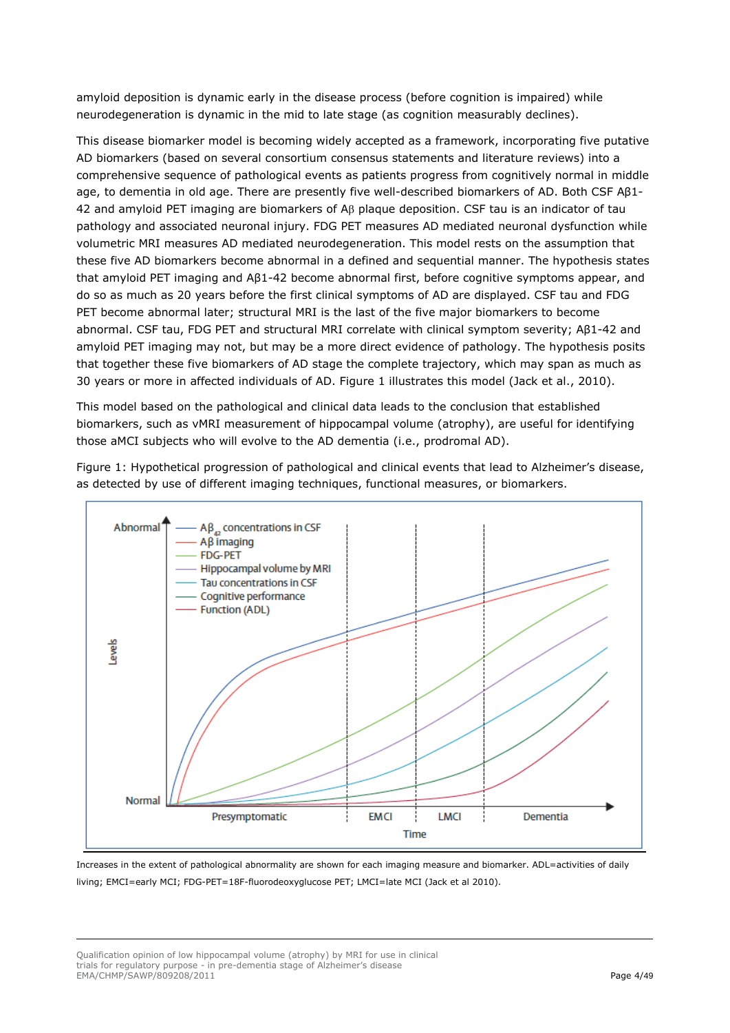amyloid deposition is dynamic early in the disease process (before cognition is impaired) while neurodegeneration is dynamic in the mid to late stage (as cognition measurably declines).

This disease biomarker model is becoming widely accepted as a framework, incorporating five putative AD biomarkers (based on several consortium consensus statements and literature reviews) into a comprehensive sequence of pathological events as patients progress from cognitively normal in middle age, to dementia in old age. There are presently five well-described biomarkers of AD. Both CSF Aβ1- 42 and amyloid PET imaging are biomarkers of AB plaque deposition. CSF tau is an indicator of tau pathology and associated neuronal injury. FDG PET measures AD mediated neuronal dysfunction while volumetric MRI measures AD mediated neurodegeneration. This model rests on the assumption that these five AD biomarkers become abnormal in a defined and sequential manner. The hypothesis states that amyloid PET imaging and Aβ1-42 become abnormal first, before cognitive symptoms appear, and do so as much as 20 years before the first clinical symptoms of AD are displayed. CSF tau and FDG PET become abnormal later; structural MRI is the last of the five major biomarkers to become abnormal. CSF tau, FDG PET and structural MRI correlate with clinical symptom severity; Aβ1-42 and amyloid PET imaging may not, but may be a more direct evidence of pathology. The hypothesis posits that together these five biomarkers of AD stage the complete trajectory, which may span as much as 30 years or more in affected individuals of AD. Figure 1 illustrates this model (Jack et al., 2010).

This model based on the pathological and clinical data leads to the conclusion that established biomarkers, such as vMRI measurement of hippocampal volume (atrophy), are useful for identifying those aMCI subjects who will evolve to the AD dementia (i.e., prodromal AD).

Figure 1: Hypothetical progression of pathological and clinical events that lead to Alzheimer's disease, as detected by use of different imaging techniques, functional measures, or biomarkers.



Increases in the extent of pathological abnormality are shown for each imaging measure and biomarker. ADL=activities of daily living; EMCI=early MCI; FDG-PET=18F-fluorodeoxyglucose PET; LMCI=late MCI (Jack et al 2010).

Qualification opinion of low hippocampal volume (atrophy) by MRI for use in clinical trials for regulatory purpose - in pre-dementia stage of Alzheimer's disease EMA/CHMP/SAWP/809208/2011 Page 4/49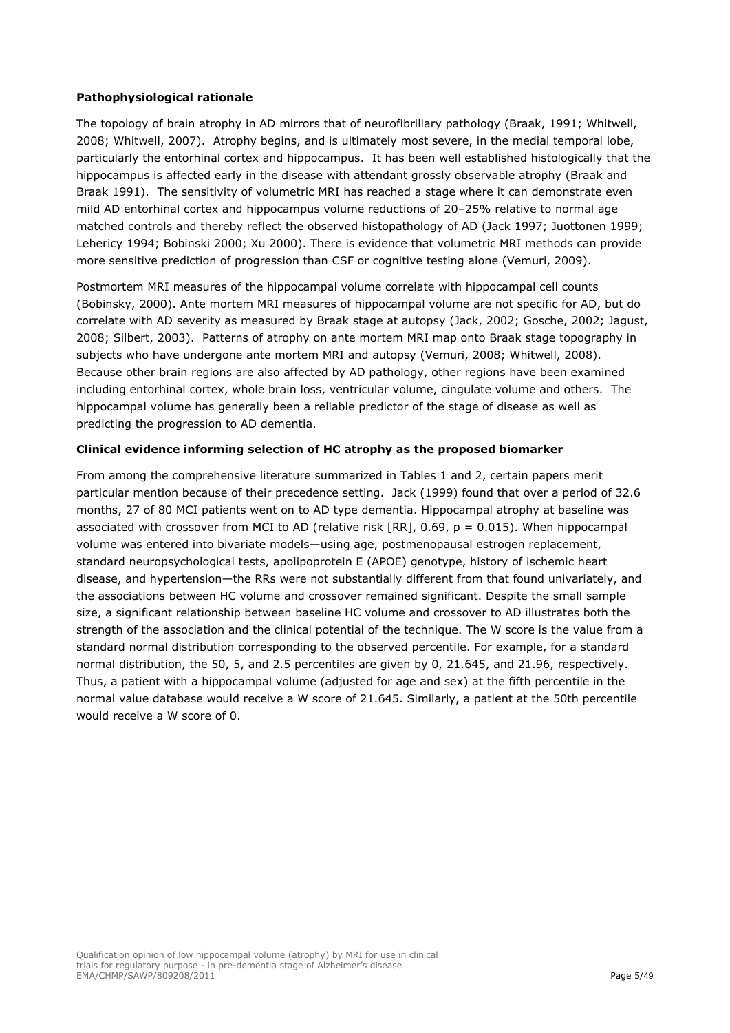#### **Pathophysiological rationale**

The topology of brain atrophy in AD mirrors that of neurofibrillary pathology (Braak, 1991; Whitwell, 2008; Whitwell, 2007). Atrophy begins, and is ultimately most severe, in the medial temporal lobe, particularly the entorhinal cortex and hippocampus. It has been well established histologically that the hippocampus is affected early in the disease with attendant grossly observable atrophy (Braak and Braak 1991). The sensitivity of volumetric MRI has reached a stage where it can demonstrate even mild AD entorhinal cortex and hippocampus volume reductions of 20–25% relative to normal age matched controls and thereby reflect the observed histopathology of AD (Jack 1997; Juottonen 1999; Lehericy 1994; Bobinski 2000; Xu 2000). There is evidence that volumetric MRI methods can provide more sensitive prediction of progression than CSF or cognitive testing alone (Vemuri, 2009).

Postmortem MRI measures of the hippocampal volume correlate with hippocampal cell counts (Bobinsky, 2000). Ante mortem MRI measures of hippocampal volume are not specific for AD, but do correlate with AD severity as measured by Braak stage at autopsy (Jack, 2002; Gosche, 2002; Jagust, 2008; Silbert, 2003). Patterns of atrophy on ante mortem MRI map onto Braak stage topography in subjects who have undergone ante mortem MRI and autopsy (Vemuri, 2008; Whitwell, 2008). Because other brain regions are also affected by AD pathology, other regions have been examined including entorhinal cortex, whole brain loss, ventricular volume, cingulate volume and others. The hippocampal volume has generally been a reliable predictor of the stage of disease as well as predicting the progression to AD dementia.

#### **Clinical evidence informing selection of HC atrophy as the proposed biomarker**

From among the comprehensive literature summarized in Tables 1 and 2, certain papers merit particular mention because of their precedence setting. Jack (1999) found that over a period of 32.6 months, 27 of 80 MCI patients went on to AD type dementia. Hippocampal atrophy at baseline was associated with crossover from MCI to AD (relative risk  $[RR]$ , 0.69,  $p = 0.015$ ). When hippocampal volume was entered into bivariate models—using age, postmenopausal estrogen replacement, standard neuropsychological tests, apolipoprotein E (APOE) genotype, history of ischemic heart disease, and hypertension—the RRs were not substantially different from that found univariately, and the associations between HC volume and crossover remained significant. Despite the small sample size, a significant relationship between baseline HC volume and crossover to AD illustrates both the strength of the association and the clinical potential of the technique. The W score is the value from a standard normal distribution corresponding to the observed percentile. For example, for a standard normal distribution, the 50, 5, and 2.5 percentiles are given by 0, 21.645, and 21.96, respectively. Thus, a patient with a hippocampal volume (adjusted for age and sex) at the fifth percentile in the normal value database would receive a W score of 21.645. Similarly, a patient at the 50th percentile would receive a W score of 0.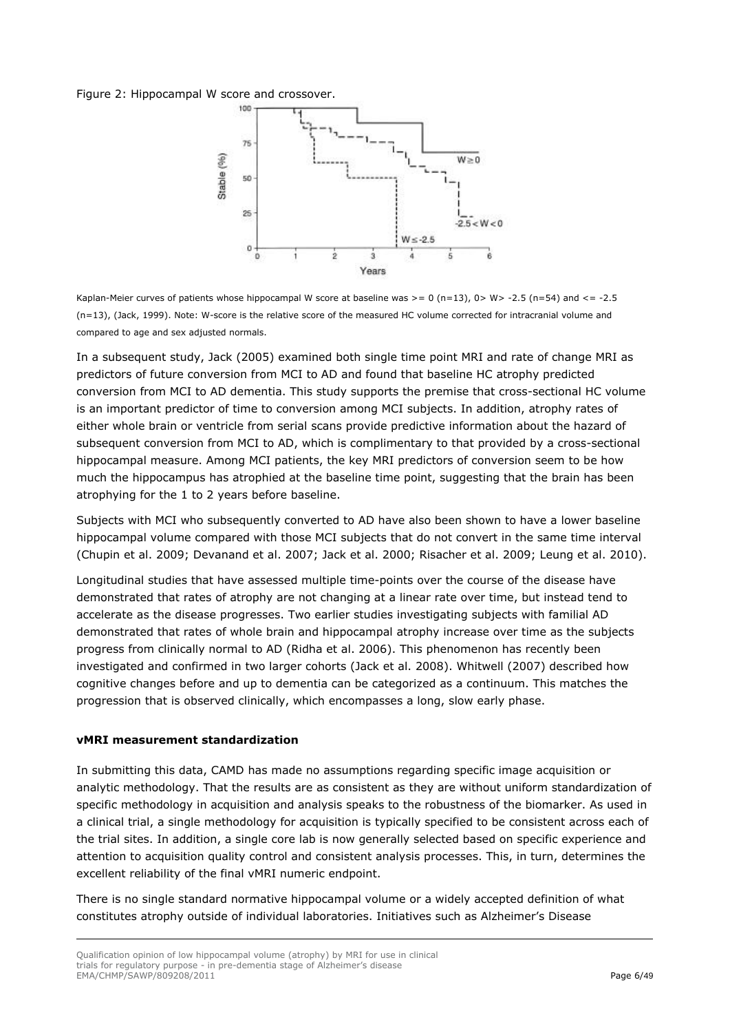#### Figure 2: Hippocampal W score and crossover.



Kaplan-Meier curves of patients whose hippocampal W score at baseline was  $> = 0$  (n=13), 0> W> -2.5 (n=54) and <= -2.5 (n=13), (Jack, 1999). Note: W-score is the relative score of the measured HC volume corrected for intracranial volume and compared to age and sex adjusted normals.

In a subsequent study, Jack (2005) examined both single time point MRI and rate of change MRI as predictors of future conversion from MCI to AD and found that baseline HC atrophy predicted conversion from MCI to AD dementia. This study supports the premise that cross-sectional HC volume is an important predictor of time to conversion among MCI subjects. In addition, atrophy rates of either whole brain or ventricle from serial scans provide predictive information about the hazard of subsequent conversion from MCI to AD, which is complimentary to that provided by a cross-sectional hippocampal measure. Among MCI patients, the key MRI predictors of conversion seem to be how much the hippocampus has atrophied at the baseline time point, suggesting that the brain has been atrophying for the 1 to 2 years before baseline.

Subjects with MCI who subsequently converted to AD have also been shown to have a lower baseline hippocampal volume compared with those MCI subjects that do not convert in the same time interval (Chupin et al. 2009; Devanand et al. 2007; Jack et al. 2000; Risacher et al. 2009; Leung et al. 2010).

Longitudinal studies that have assessed multiple time-points over the course of the disease have demonstrated that rates of atrophy are not changing at a linear rate over time, but instead tend to accelerate as the disease progresses. Two earlier studies investigating subjects with familial AD demonstrated that rates of whole brain and hippocampal atrophy increase over time as the subjects progress from clinically normal to AD (Ridha et al. 2006). This phenomenon has recently been investigated and confirmed in two larger cohorts (Jack et al. 2008). Whitwell (2007) described how cognitive changes before and up to dementia can be categorized as a continuum. This matches the progression that is observed clinically, which encompasses a long, slow early phase.

#### **vMRI measurement standardization**

In submitting this data, CAMD has made no assumptions regarding specific image acquisition or analytic methodology. That the results are as consistent as they are without uniform standardization of specific methodology in acquisition and analysis speaks to the robustness of the biomarker. As used in a clinical trial, a single methodology for acquisition is typically specified to be consistent across each of the trial sites. In addition, a single core lab is now generally selected based on specific experience and attention to acquisition quality control and consistent analysis processes. This, in turn, determines the excellent reliability of the final vMRI numeric endpoint.

There is no single standard normative hippocampal volume or a widely accepted definition of what constitutes atrophy outside of individual laboratories. Initiatives such as Alzheimer's Disease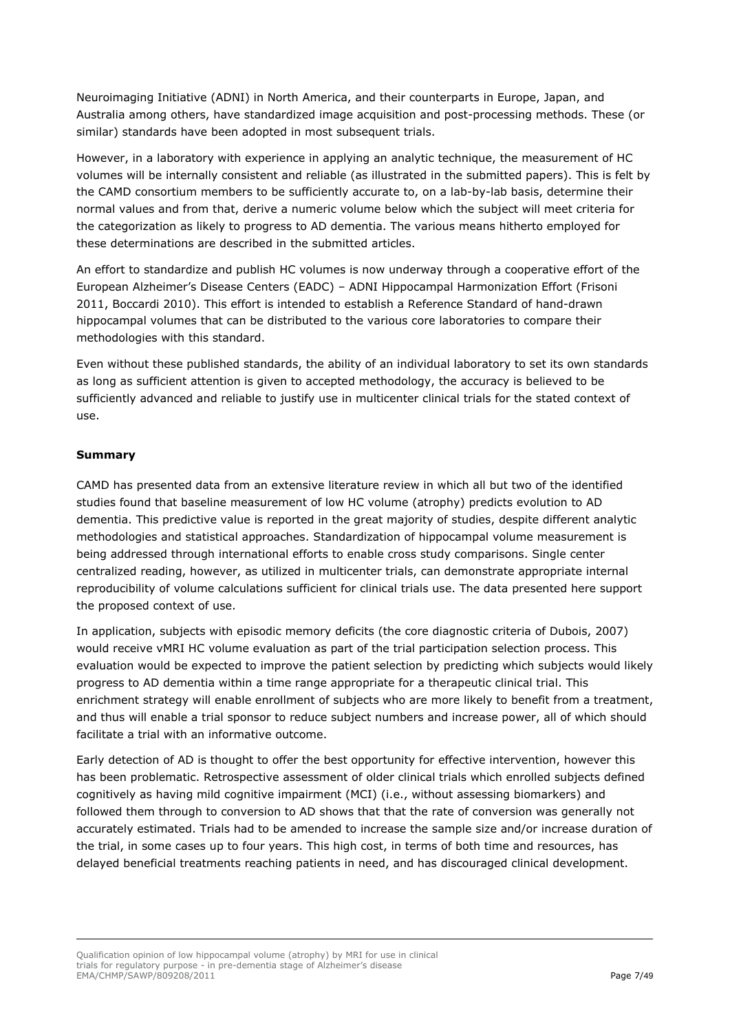Neuroimaging Initiative (ADNI) in North America, and their counterparts in Europe, Japan, and Australia among others, have standardized image acquisition and post-processing methods. These (or similar) standards have been adopted in most subsequent trials.

However, in a laboratory with experience in applying an analytic technique, the measurement of HC volumes will be internally consistent and reliable (as illustrated in the submitted papers). This is felt by the CAMD consortium members to be sufficiently accurate to, on a lab-by-lab basis, determine their normal values and from that, derive a numeric volume below which the subject will meet criteria for the categorization as likely to progress to AD dementia. The various means hitherto employed for these determinations are described in the submitted articles.

An effort to standardize and publish HC volumes is now underway through a cooperative effort of the European Alzheimer's Disease Centers (EADC) – ADNI Hippocampal Harmonization Effort (Frisoni 2011, Boccardi 2010). This effort is intended to establish a Reference Standard of hand-drawn hippocampal volumes that can be distributed to the various core laboratories to compare their methodologies with this standard.

Even without these published standards, the ability of an individual laboratory to set its own standards as long as sufficient attention is given to accepted methodology, the accuracy is believed to be sufficiently advanced and reliable to justify use in multicenter clinical trials for the stated context of use.

#### **Summary**

CAMD has presented data from an extensive literature review in which all but two of the identified studies found that baseline measurement of low HC volume (atrophy) predicts evolution to AD dementia. This predictive value is reported in the great majority of studies, despite different analytic methodologies and statistical approaches. Standardization of hippocampal volume measurement is being addressed through international efforts to enable cross study comparisons. Single center centralized reading, however, as utilized in multicenter trials, can demonstrate appropriate internal reproducibility of volume calculations sufficient for clinical trials use. The data presented here support the proposed context of use.

In application, subjects with episodic memory deficits (the core diagnostic criteria of Dubois, 2007) would receive vMRI HC volume evaluation as part of the trial participation selection process. This evaluation would be expected to improve the patient selection by predicting which subjects would likely progress to AD dementia within a time range appropriate for a therapeutic clinical trial. This enrichment strategy will enable enrollment of subjects who are more likely to benefit from a treatment, and thus will enable a trial sponsor to reduce subject numbers and increase power, all of which should facilitate a trial with an informative outcome.

Early detection of AD is thought to offer the best opportunity for effective intervention, however this has been problematic. Retrospective assessment of older clinical trials which enrolled subjects defined cognitively as having mild cognitive impairment (MCI) (i.e., without assessing biomarkers) and followed them through to conversion to AD shows that that the rate of conversion was generally not accurately estimated. Trials had to be amended to increase the sample size and/or increase duration of the trial, in some cases up to four years. This high cost, in terms of both time and resources, has delayed beneficial treatments reaching patients in need, and has discouraged clinical development.

Qualification opinion of low hippocampal volume (atrophy) by MRI for use in clinical trials for regulatory purpose - in pre-dementia stage of Alzheimer's disease EMA/CHMP/SAWP/809208/2011 Page 7/49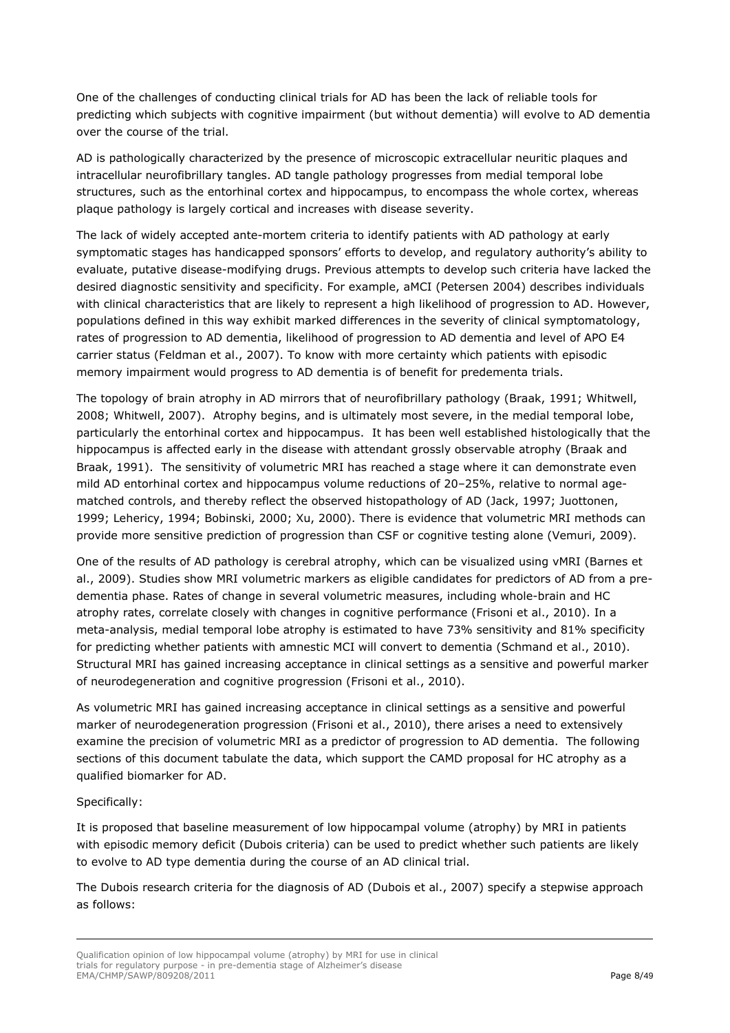One of the challenges of conducting clinical trials for AD has been the lack of reliable tools for predicting which subjects with cognitive impairment (but without dementia) will evolve to AD dementia over the course of the trial.

AD is pathologically characterized by the presence of microscopic extracellular neuritic plaques and intracellular neurofibrillary tangles. AD tangle pathology progresses from medial temporal lobe structures, such as the entorhinal cortex and hippocampus, to encompass the whole cortex, whereas plaque pathology is largely cortical and increases with disease severity.

The lack of widely accepted ante-mortem criteria to identify patients with AD pathology at early symptomatic stages has handicapped sponsors' efforts to develop, and regulatory authority's ability to evaluate, putative disease-modifying drugs. Previous attempts to develop such criteria have lacked the desired diagnostic sensitivity and specificity. For example, aMCI (Petersen 2004) describes individuals with clinical characteristics that are likely to represent a high likelihood of progression to AD. However, populations defined in this way exhibit marked differences in the severity of clinical symptomatology, rates of progression to AD dementia, likelihood of progression to AD dementia and level of APO E4 carrier status (Feldman et al., 2007). To know with more certainty which patients with episodic memory impairment would progress to AD dementia is of benefit for predementa trials.

The topology of brain atrophy in AD mirrors that of neurofibrillary pathology (Braak, 1991; Whitwell, 2008; Whitwell, 2007). Atrophy begins, and is ultimately most severe, in the medial temporal lobe, particularly the entorhinal cortex and hippocampus. It has been well established histologically that the hippocampus is affected early in the disease with attendant grossly observable atrophy (Braak and Braak, 1991). The sensitivity of volumetric MRI has reached a stage where it can demonstrate even mild AD entorhinal cortex and hippocampus volume reductions of 20–25%, relative to normal agematched controls, and thereby reflect the observed histopathology of AD (Jack, 1997; Juottonen, 1999; Lehericy, 1994; Bobinski, 2000; Xu, 2000). There is evidence that volumetric MRI methods can provide more sensitive prediction of progression than CSF or cognitive testing alone (Vemuri, 2009).

One of the results of AD pathology is cerebral atrophy, which can be visualized using vMRI (Barnes et al., 2009). Studies show MRI volumetric markers as eligible candidates for predictors of AD from a predementia phase. Rates of change in several volumetric measures, including whole-brain and HC atrophy rates, correlate closely with changes in cognitive performance (Frisoni et al., 2010). In a meta-analysis, medial temporal lobe atrophy is estimated to have 73% sensitivity and 81% specificity for predicting whether patients with amnestic MCI will convert to dementia (Schmand et al., 2010). Structural MRI has gained increasing acceptance in clinical settings as a sensitive and powerful marker of neurodegeneration and cognitive progression (Frisoni et al., 2010).

As volumetric MRI has gained increasing acceptance in clinical settings as a sensitive and powerful marker of neurodegeneration progression (Frisoni et al., 2010), there arises a need to extensively examine the precision of volumetric MRI as a predictor of progression to AD dementia. The following sections of this document tabulate the data, which support the CAMD proposal for HC atrophy as a qualified biomarker for AD.

#### Specifically:

It is proposed that baseline measurement of low hippocampal volume (atrophy) by MRI in patients with episodic memory deficit (Dubois criteria) can be used to predict whether such patients are likely to evolve to AD type dementia during the course of an AD clinical trial.

The Dubois research criteria for the diagnosis of AD (Dubois et al., 2007) specify a stepwise approach as follows:

Qualification opinion of low hippocampal volume (atrophy) by MRI for use in clinical trials for regulatory purpose - in pre-dementia stage of Alzheimer's disease EMA/CHMP/SAWP/809208/2011 **Page 8/49**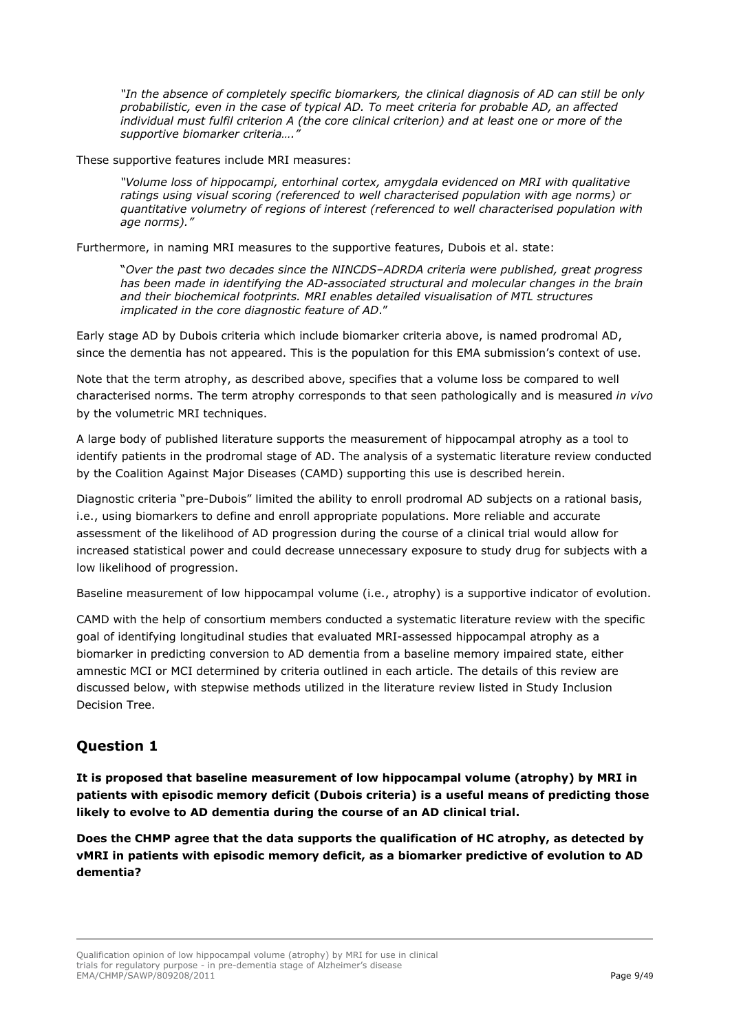*"In the absence of completely specific biomarkers, the clinical diagnosis of AD can still be only probabilistic, even in the case of typical AD. To meet criteria for probable AD, an affected individual must fulfil criterion A (the core clinical criterion) and at least one or more of the supportive biomarker criteria…."* 

These supportive features include MRI measures:

*"Volume loss of hippocampi, entorhinal cortex, amygdala evidenced on MRI with qualitative ratings using visual scoring (referenced to well characterised population with age norms) or quantitative volumetry of regions of interest (referenced to well characterised population with age norms)."* 

Furthermore, in naming MRI measures to the supportive features, Dubois et al. state:

"*Over the past two decades since the NINCDS–ADRDA criteria were published, great progress has been made in identifying the AD-associated structural and molecular changes in the brain and their biochemical footprints. MRI enables detailed visualisation of MTL structures implicated in the core diagnostic feature of AD*."

Early stage AD by Dubois criteria which include biomarker criteria above, is named prodromal AD, since the dementia has not appeared. This is the population for this EMA submission's context of use.

Note that the term atrophy, as described above, specifies that a volume loss be compared to well characterised norms. The term atrophy corresponds to that seen pathologically and is measured *in vivo* by the volumetric MRI techniques.

A large body of published literature supports the measurement of hippocampal atrophy as a tool to identify patients in the prodromal stage of AD. The analysis of a systematic literature review conducted by the Coalition Against Major Diseases (CAMD) supporting this use is described herein.

Diagnostic criteria "pre-Dubois" limited the ability to enroll prodromal AD subjects on a rational basis, i.e., using biomarkers to define and enroll appropriate populations. More reliable and accurate assessment of the likelihood of AD progression during the course of a clinical trial would allow for increased statistical power and could decrease unnecessary exposure to study drug for subjects with a low likelihood of progression.

Baseline measurement of low hippocampal volume (i.e., atrophy) is a supportive indicator of evolution.

CAMD with the help of consortium members conducted a systematic literature review with the specific goal of identifying longitudinal studies that evaluated MRI-assessed hippocampal atrophy as a biomarker in predicting conversion to AD dementia from a baseline memory impaired state, either amnestic MCI or MCI determined by criteria outlined in each article. The details of this review are discussed below, with stepwise methods utilized in the literature review listed in Study Inclusion Decision Tree.

### **Question 1**

**It is proposed that baseline measurement of low hippocampal volume (atrophy) by MRI in patients with episodic memory deficit (Dubois criteria) is a useful means of predicting those likely to evolve to AD dementia during the course of an AD clinical trial.** 

**Does the CHMP agree that the data supports the qualification of HC atrophy, as detected by vMRI in patients with episodic memory deficit, as a biomarker predictive of evolution to AD dementia?** 

Qualification opinion of low hippocampal volume (atrophy) by MRI for use in clinical trials for regulatory purpose - in pre-dementia stage of Alzheimer's disease EMA/CHMP/SAWP/809208/2011 Processional example of the material capacity of the control of the control of the page 9/49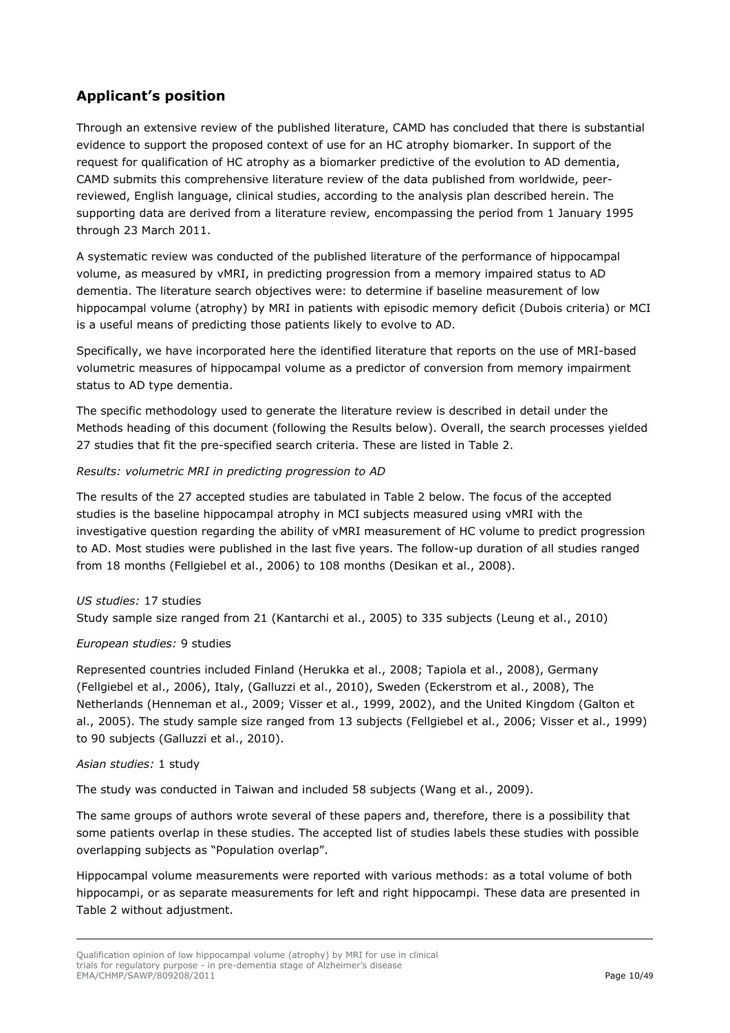### **Applicant's position**

Through an extensive review of the published literature, CAMD has concluded that there is substantial evidence to support the proposed context of use for an HC atrophy biomarker. In support of the request for qualification of HC atrophy as a biomarker predictive of the evolution to AD dementia, CAMD submits this comprehensive literature review of the data published from worldwide, peerreviewed, English language, clinical studies, according to the analysis plan described herein. The supporting data are derived from a literature review, encompassing the period from 1 January 1995 through 23 March 2011.

A systematic review was conducted of the published literature of the performance of hippocampal volume, as measured by vMRI, in predicting progression from a memory impaired status to AD dementia. The literature search objectives were: to determine if baseline measurement of low hippocampal volume (atrophy) by MRI in patients with episodic memory deficit (Dubois criteria) or MCI is a useful means of predicting those patients likely to evolve to AD.

Specifically, we have incorporated here the identified literature that reports on the use of MRI-based volumetric measures of hippocampal volume as a predictor of conversion from memory impairment status to AD type dementia.

The specific methodology used to generate the literature review is described in detail under the Methods heading of this document (following the Results below). Overall, the search processes yielded 27 studies that fit the pre-specified search criteria. These are listed in Table 2.

#### *Results: volumetric MRI in predicting progression to AD*

The results of the 27 accepted studies are tabulated in Table 2 below. The focus of the accepted studies is the baseline hippocampal atrophy in MCI subjects measured using vMRI with the investigative question regarding the ability of vMRI measurement of HC volume to predict progression to AD. Most studies were published in the last five years. The follow-up duration of all studies ranged from 18 months (Fellgiebel et al., 2006) to 108 months (Desikan et al., 2008).

#### *US studies:* 17 studies

Study sample size ranged from 21 (Kantarchi et al., 2005) to 335 subjects (Leung et al., 2010)

#### *European studies:* 9 studies

Represented countries included Finland (Herukka et al., 2008; Tapiola et al., 2008), Germany (Fellgiebel et al., 2006), Italy, (Galluzzi et al., 2010), Sweden (Eckerstrom et al., 2008), The Netherlands (Henneman et al., 2009; Visser et al., 1999, 2002), and the United Kingdom (Galton et al., 2005). The study sample size ranged from 13 subjects (Fellgiebel et al., 2006; Visser et al., 1999) to 90 subjects (Galluzzi et al., 2010).

#### *Asian studies:* 1 study

The study was conducted in Taiwan and included 58 subjects (Wang et al., 2009).

The same groups of authors wrote several of these papers and, therefore, there is a possibility that some patients overlap in these studies. The accepted list of studies labels these studies with possible overlapping subjects as "Population overlap".

Hippocampal volume measurements were reported with various methods: as a total volume of both hippocampi, or as separate measurements for left and right hippocampi. These data are presented in Table 2 without adjustment.

Qualification opinion of low hippocampal volume (atrophy) by MRI for use in clinical trials for regulatory purpose - in pre-dementia stage of Alzheimer's disease EMA/CHMP/SAWP/809208/2011 **Page 10/49**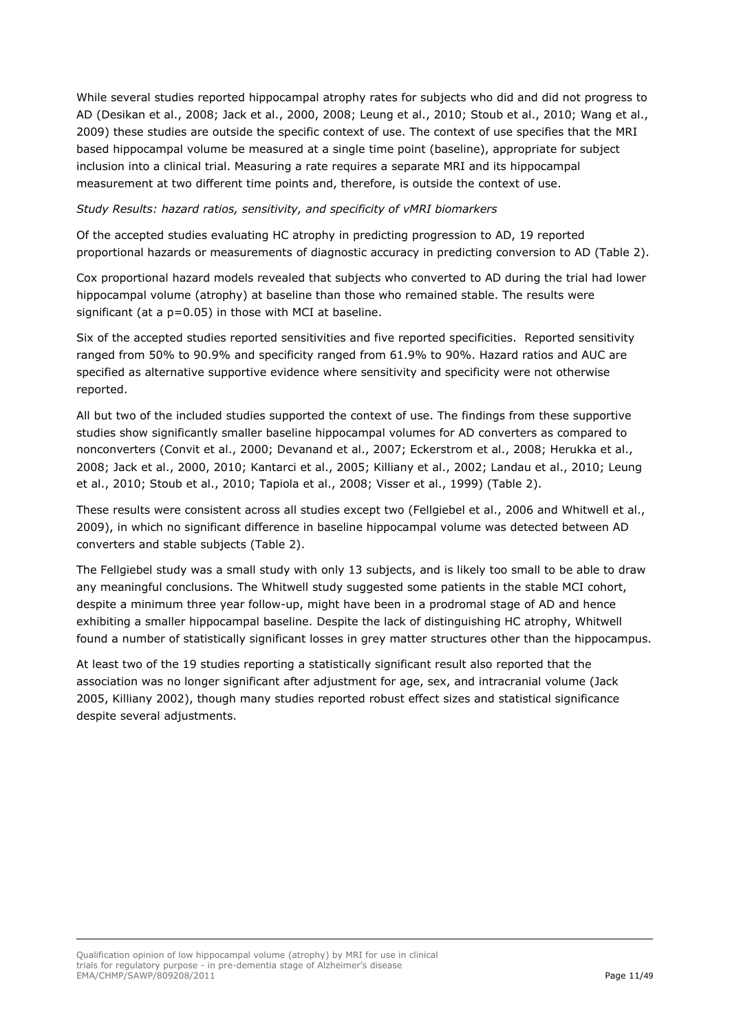While several studies reported hippocampal atrophy rates for subjects who did and did not progress to AD (Desikan et al., 2008; Jack et al., 2000, 2008; Leung et al., 2010; Stoub et al., 2010; Wang et al., 2009) these studies are outside the specific context of use. The context of use specifies that the MRI based hippocampal volume be measured at a single time point (baseline), appropriate for subject inclusion into a clinical trial. Measuring a rate requires a separate MRI and its hippocampal measurement at two different time points and, therefore, is outside the context of use.

#### *Study Results: hazard ratios, sensitivity, and specificity of vMRI biomarkers*

Of the accepted studies evaluating HC atrophy in predicting progression to AD, 19 reported proportional hazards or measurements of diagnostic accuracy in predicting conversion to AD (Table 2).

Cox proportional hazard models revealed that subjects who converted to AD during the trial had lower hippocampal volume (atrophy) at baseline than those who remained stable. The results were significant (at a  $p=0.05$ ) in those with MCI at baseline.

Six of the accepted studies reported sensitivities and five reported specificities. Reported sensitivity ranged from 50% to 90.9% and specificity ranged from 61.9% to 90%. Hazard ratios and AUC are specified as alternative supportive evidence where sensitivity and specificity were not otherwise reported.

All but two of the included studies supported the context of use. The findings from these supportive studies show significantly smaller baseline hippocampal volumes for AD converters as compared to nonconverters (Convit et al., 2000; Devanand et al., 2007; Eckerstrom et al., 2008; Herukka et al., 2008; Jack et al., 2000, 2010; Kantarci et al., 2005; Killiany et al., 2002; Landau et al., 2010; Leung et al., 2010; Stoub et al., 2010; Tapiola et al., 2008; Visser et al., 1999) (Table 2).

These results were consistent across all studies except two (Fellgiebel et al., 2006 and Whitwell et al., 2009), in which no significant difference in baseline hippocampal volume was detected between AD converters and stable subjects (Table 2).

The Fellgiebel study was a small study with only 13 subjects, and is likely too small to be able to draw any meaningful conclusions. The Whitwell study suggested some patients in the stable MCI cohort, despite a minimum three year follow-up, might have been in a prodromal stage of AD and hence exhibiting a smaller hippocampal baseline. Despite the lack of distinguishing HC atrophy, Whitwell found a number of statistically significant losses in grey matter structures other than the hippocampus.

At least two of the 19 studies reporting a statistically significant result also reported that the association was no longer significant after adjustment for age, sex, and intracranial volume (Jack 2005, Killiany 2002), though many studies reported robust effect sizes and statistical significance despite several adjustments.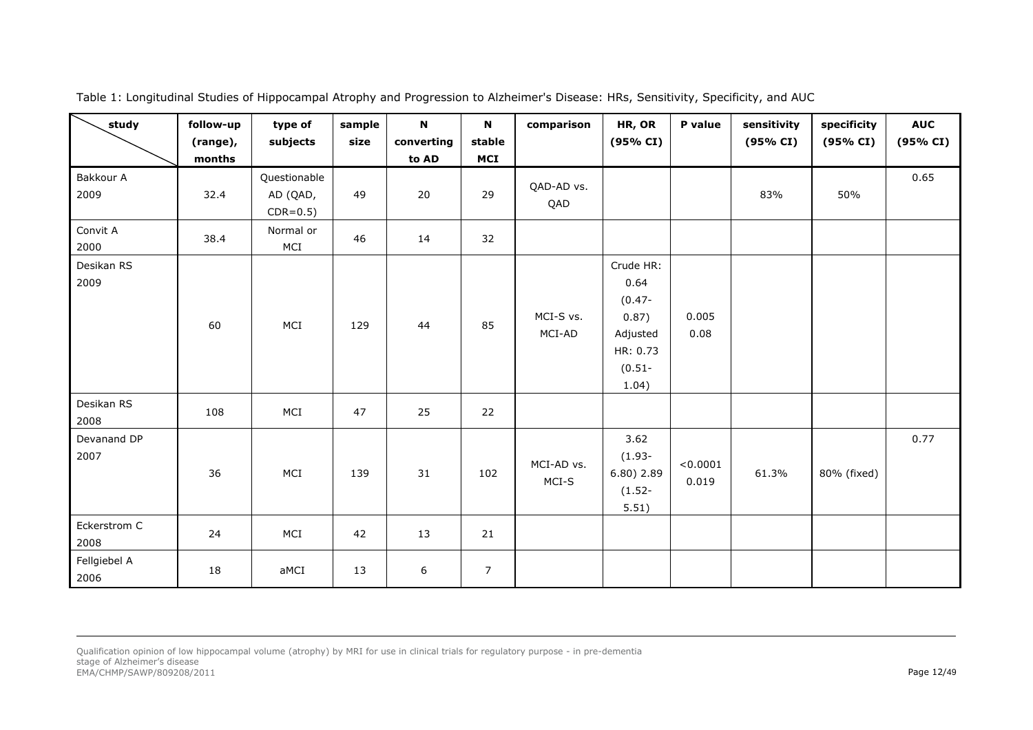| study                | follow-up<br>(range),<br>months | type of<br>subjects                    | sample<br>size | $\mathbf N$<br>converting<br>to AD | $\boldsymbol{\mathsf{N}}$<br>stable<br><b>MCI</b> | comparison          | HR, OR<br>(95% CI)                                                                    | P value           | sensitivity<br>(95% CI) | specificity<br>(95% CI) | <b>AUC</b><br>(95% CI) |
|----------------------|---------------------------------|----------------------------------------|----------------|------------------------------------|---------------------------------------------------|---------------------|---------------------------------------------------------------------------------------|-------------------|-------------------------|-------------------------|------------------------|
| Bakkour A<br>2009    | 32.4                            | Questionable<br>AD (QAD,<br>$CDF=0.5)$ | 49             | 20                                 | 29                                                | QAD-AD vs.<br>QAD   |                                                                                       |                   | 83%                     | 50%                     | 0.65                   |
| Convit A<br>2000     | 38.4                            | Normal or<br>MCI                       | 46             | 14                                 | 32                                                |                     |                                                                                       |                   |                         |                         |                        |
| Desikan RS<br>2009   | 60                              | MCI                                    | 129            | 44                                 | 85                                                | MCI-S vs.<br>MCI-AD | Crude HR:<br>0.64<br>$(0.47 -$<br>0.87)<br>Adjusted<br>HR: 0.73<br>$(0.51 -$<br>1.04) | 0.005<br>0.08     |                         |                         |                        |
| Desikan RS<br>2008   | 108                             | MCI                                    | 47             | 25                                 | 22                                                |                     |                                                                                       |                   |                         |                         |                        |
| Devanand DP<br>2007  | 36                              | MCI                                    | 139            | 31                                 | 102                                               | MCI-AD vs.<br>MCI-S | 3.62<br>$(1.93 -$<br>6.80) 2.89<br>$(1.52 -$<br>5.51)                                 | < 0.0001<br>0.019 | 61.3%                   | 80% (fixed)             | 0.77                   |
| Eckerstrom C<br>2008 | 24                              | MCI                                    | 42             | 13                                 | 21                                                |                     |                                                                                       |                   |                         |                         |                        |
| Fellgiebel A<br>2006 | 18                              | aMCI                                   | 13             | 6                                  | $\overline{7}$                                    |                     |                                                                                       |                   |                         |                         |                        |

Table 1: Longitudinal Studies of Hippocampal Atrophy and Progression to Alzheimer's Disease: HRs, Sensitivity, Specificity, and AUC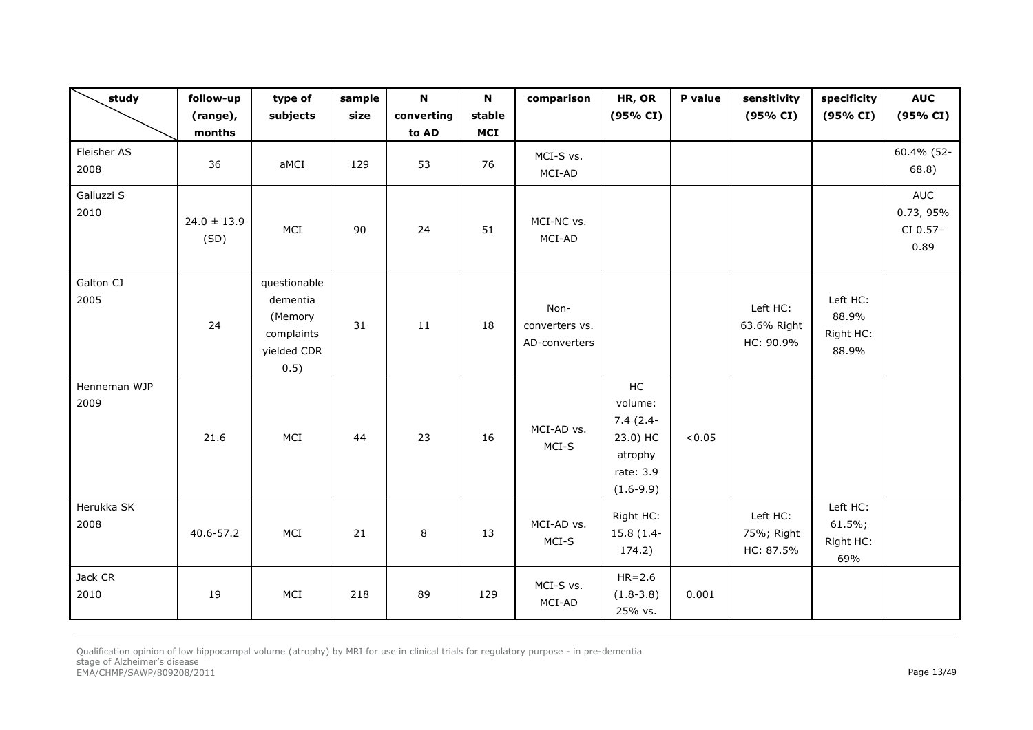| study                | follow-up<br>(range),<br>months | type of<br>subjects                                                      | sample<br>size | $\mathbf N$<br>converting<br>to AD | $\boldsymbol{\mathsf{N}}$<br>stable<br><b>MCI</b> | comparison                              | HR, OR<br>(95% CI)                                                             | P value | sensitivity<br>(95% CI)              | specificity<br>(95% CI)                   | <b>AUC</b><br>(95% CI)                      |
|----------------------|---------------------------------|--------------------------------------------------------------------------|----------------|------------------------------------|---------------------------------------------------|-----------------------------------------|--------------------------------------------------------------------------------|---------|--------------------------------------|-------------------------------------------|---------------------------------------------|
| Fleisher AS<br>2008  | 36                              | aMCI                                                                     | 129            | 53                                 | 76                                                | MCI-S vs.<br>MCI-AD                     |                                                                                |         |                                      |                                           | 60.4% (52-<br>68.8)                         |
| Galluzzi S<br>2010   | $24.0 \pm 13.9$<br>(SD)         | MCI                                                                      | 90             | 24                                 | 51                                                | MCI-NC vs.<br>MCI-AD                    |                                                                                |         |                                      |                                           | <b>AUC</b><br>0.73, 95%<br>CI 0.57-<br>0.89 |
| Galton CJ<br>2005    | 24                              | questionable<br>dementia<br>(Memory<br>complaints<br>yielded CDR<br>0.5) | 31             | 11                                 | 18                                                | Non-<br>converters vs.<br>AD-converters |                                                                                |         | Left HC:<br>63.6% Right<br>HC: 90.9% | Left HC:<br>88.9%<br>Right HC:<br>88.9%   |                                             |
| Henneman WJP<br>2009 | 21.6                            | MCI                                                                      | 44             | 23                                 | 16                                                | MCI-AD vs.<br>MCI-S                     | HC<br>volume:<br>$7.4(2.4-$<br>23.0) HC<br>atrophy<br>rate: 3.9<br>$(1.6-9.9)$ | < 0.05  |                                      |                                           |                                             |
| Herukka SK<br>2008   | 40.6-57.2                       | MCI                                                                      | 21             | 8                                  | 13                                                | MCI-AD vs.<br>MCI-S                     | Right HC:<br>15.8 (1.4-<br>174.2)                                              |         | Left HC:<br>75%; Right<br>HC: 87.5%  | Left HC:<br>$61.5\%;$<br>Right HC:<br>69% |                                             |
| Jack CR<br>2010      | 19                              | MCI                                                                      | 218            | 89                                 | 129                                               | MCI-S vs.<br>MCI-AD                     | $HR=2.6$<br>$(1.8 - 3.8)$<br>25% vs.                                           | 0.001   |                                      |                                           |                                             |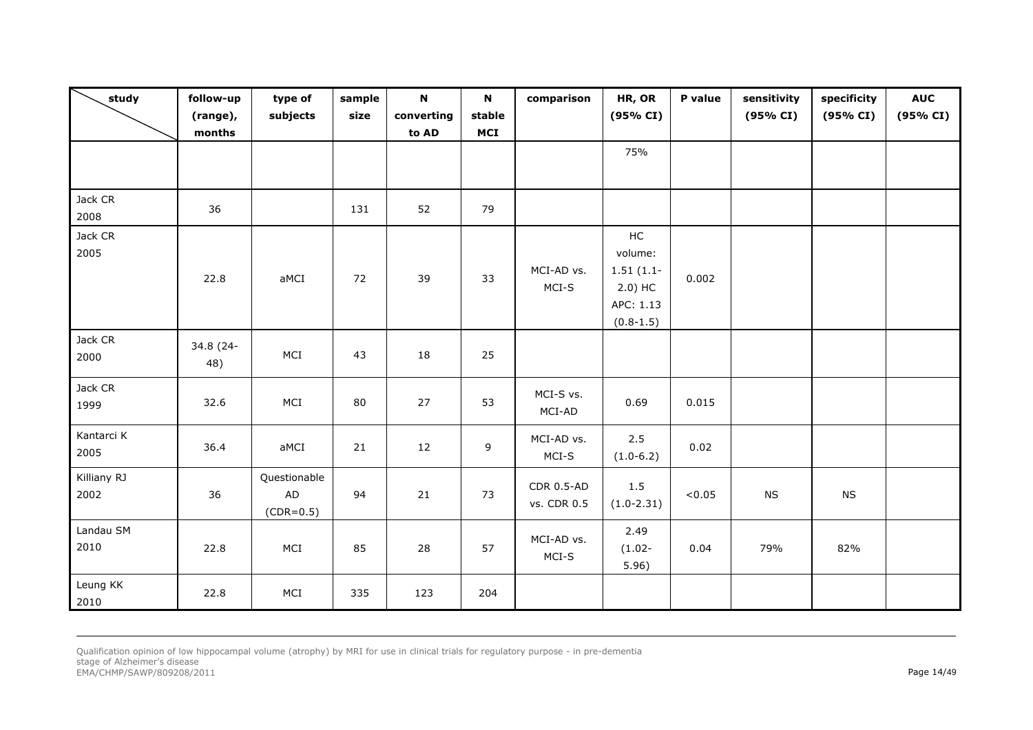| study               | follow-up<br>(range),<br>months | type of<br>subjects                         | sample<br>size | $\mathbf N$<br>converting<br>to AD | $\boldsymbol{\mathsf{N}}$<br>stable<br><b>MCI</b> | comparison                | HR, OR<br>(95% CI)                                                      | P value | sensitivity<br>(95% CI) | specificity<br>(95% CI) | <b>AUC</b><br>(95% CI) |
|---------------------|---------------------------------|---------------------------------------------|----------------|------------------------------------|---------------------------------------------------|---------------------------|-------------------------------------------------------------------------|---------|-------------------------|-------------------------|------------------------|
|                     |                                 |                                             |                |                                    |                                                   |                           | 75%                                                                     |         |                         |                         |                        |
| Jack CR<br>2008     | 36                              |                                             | 131            | 52                                 | 79                                                |                           |                                                                         |         |                         |                         |                        |
| Jack CR<br>2005     | 22.8                            | aMCI                                        | 72             | 39                                 | 33                                                | MCI-AD vs.<br>MCI-S       | HC<br>volume:<br>$1.51(1.1-$<br>$2.0)$ HC<br>APC: 1.13<br>$(0.8 - 1.5)$ | 0.002   |                         |                         |                        |
| Jack CR<br>2000     | 34.8 (24-<br>48)                | MCI                                         | 43             | 18                                 | 25                                                |                           |                                                                         |         |                         |                         |                        |
| Jack CR<br>1999     | 32.6                            | MCI                                         | 80             | 27                                 | 53                                                | MCI-S vs.<br>MCI-AD       | 0.69                                                                    | 0.015   |                         |                         |                        |
| Kantarci K<br>2005  | 36.4                            | aMCI                                        | $21\,$         | 12                                 | $\mathsf 9$                                       | MCI-AD vs.<br>MCI-S       | 2.5<br>$(1.0 - 6.2)$                                                    | 0.02    |                         |                         |                        |
| Killiany RJ<br>2002 | 36                              | Questionable<br>${\sf AD}$<br>$(CDR = 0.5)$ | 94             | 21                                 | 73                                                | CDR 0.5-AD<br>vs. CDR 0.5 | 1.5<br>$(1.0 - 2.31)$                                                   | < 0.05  | <b>NS</b>               | <b>NS</b>               |                        |
| Landau SM<br>2010   | 22.8                            | MCI                                         | 85             | 28                                 | 57                                                | MCI-AD vs.<br>MCI-S       | 2.49<br>$(1.02 -$<br>5.96)                                              | 0.04    | 79%                     | 82%                     |                        |
| Leung KK<br>2010    | 22.8                            | MCI                                         | 335            | 123                                | 204                                               |                           |                                                                         |         |                         |                         |                        |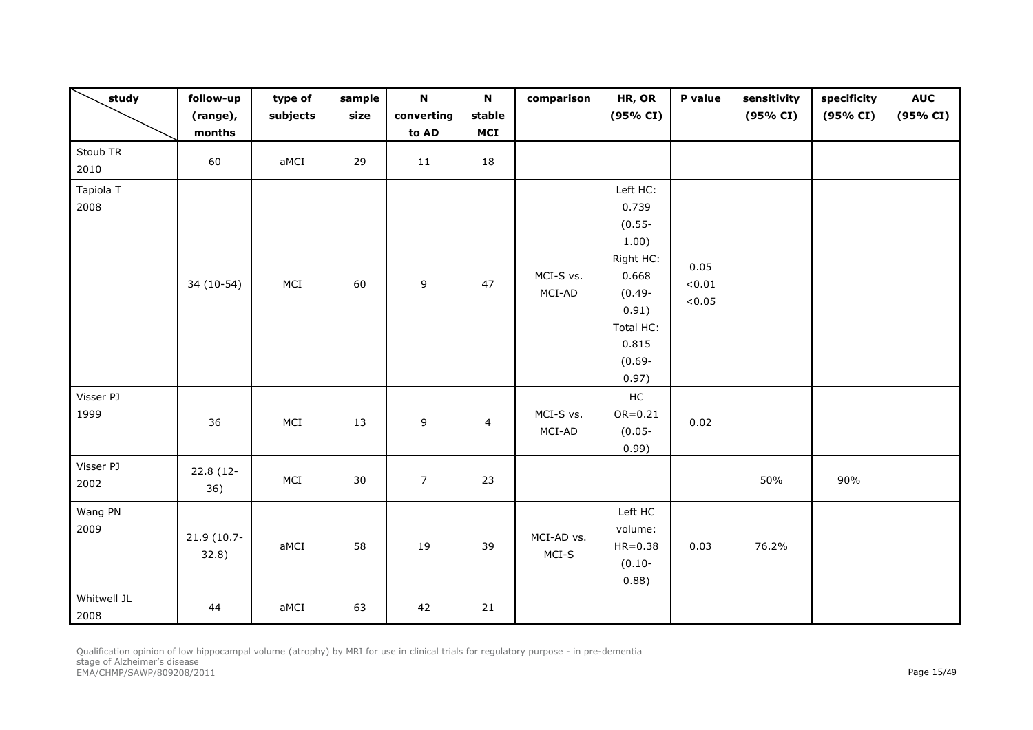| study               | follow-up<br>(range),<br>months | type of<br>subjects | sample<br>size | $\mathbf N$<br>converting<br>to AD | $\boldsymbol{\mathsf{N}}$<br>stable<br><b>MCI</b> | comparison            | HR, OR<br>(95% CI)                                                                                                              | P value                 | sensitivity<br>(95% CI) | specificity<br>(95% CI) | <b>AUC</b><br>(95% CI) |
|---------------------|---------------------------------|---------------------|----------------|------------------------------------|---------------------------------------------------|-----------------------|---------------------------------------------------------------------------------------------------------------------------------|-------------------------|-------------------------|-------------------------|------------------------|
| Stoub TR<br>2010    | 60                              | aMCI                | 29             | 11                                 | 18                                                |                       |                                                                                                                                 |                         |                         |                         |                        |
| Tapiola T<br>2008   | 34 (10-54)                      | MCI                 | 60             | 9                                  | 47                                                | MCI-S vs.<br>MCI-AD   | Left HC:<br>0.739<br>$(0.55 -$<br>1.00)<br>Right HC:<br>0.668<br>$(0.49 -$<br>0.91)<br>Total HC:<br>0.815<br>$(0.69 -$<br>0.97) | 0.05<br><0.01<br>< 0.05 |                         |                         |                        |
| Visser PJ<br>1999   | 36                              | MCI                 | 13             | 9                                  | $\overline{4}$                                    | MCI-S vs.<br>MCI-AD   | $\sf HC$<br>$OR = 0.21$<br>$(0.05 -$<br>0.99)                                                                                   | 0.02                    |                         |                         |                        |
| Visser PJ<br>2002   | 22.8 (12-<br>36)                | MCI                 | 30             | $\overline{7}$                     | 23                                                |                       |                                                                                                                                 |                         | 50%                     | 90%                     |                        |
| Wang PN<br>2009     | 21.9 (10.7-<br>32.8)            | aMCI                | 58             | 19                                 | 39                                                | MCI-AD vs.<br>$MCI-S$ | Left HC<br>volume:<br>$HR = 0.38$<br>$(0.10 -$<br>0.88)                                                                         | 0.03                    | 76.2%                   |                         |                        |
| Whitwell JL<br>2008 | 44                              | aMCI                | 63             | 42                                 | 21                                                |                       |                                                                                                                                 |                         |                         |                         |                        |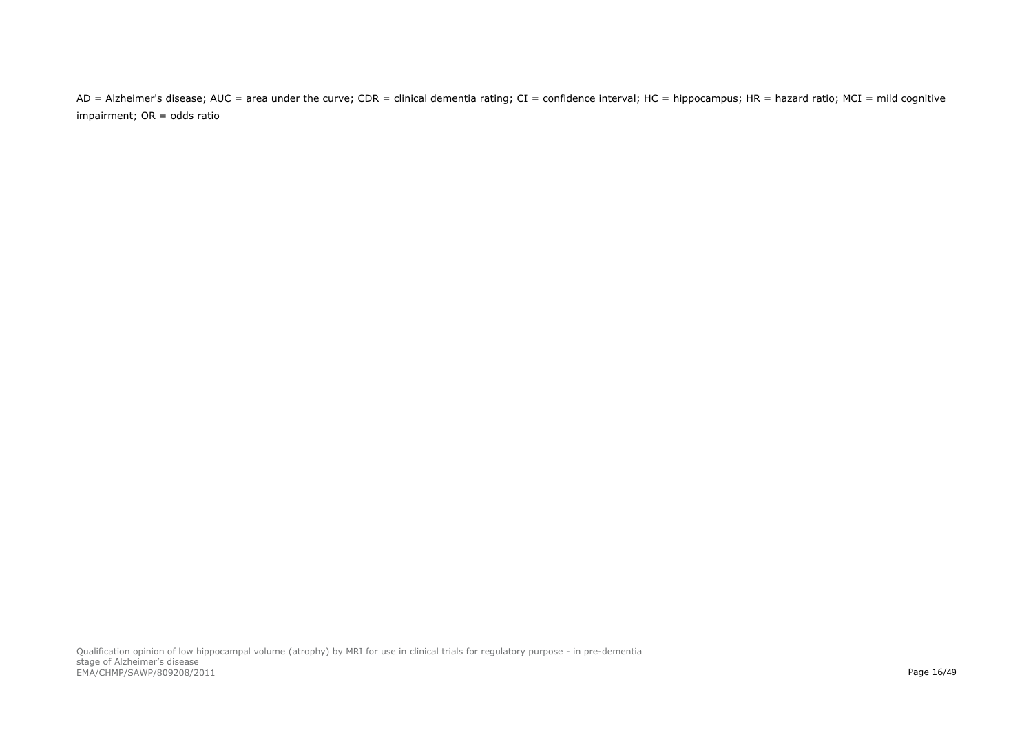AD = Alzheimer's disease; AUC = area under the curve; CDR = clinical dementia rating; CI = confidence interval; HC = hippocampus; HR = hazard ratio; MCI = mild cognitive impairment; OR = odds ratio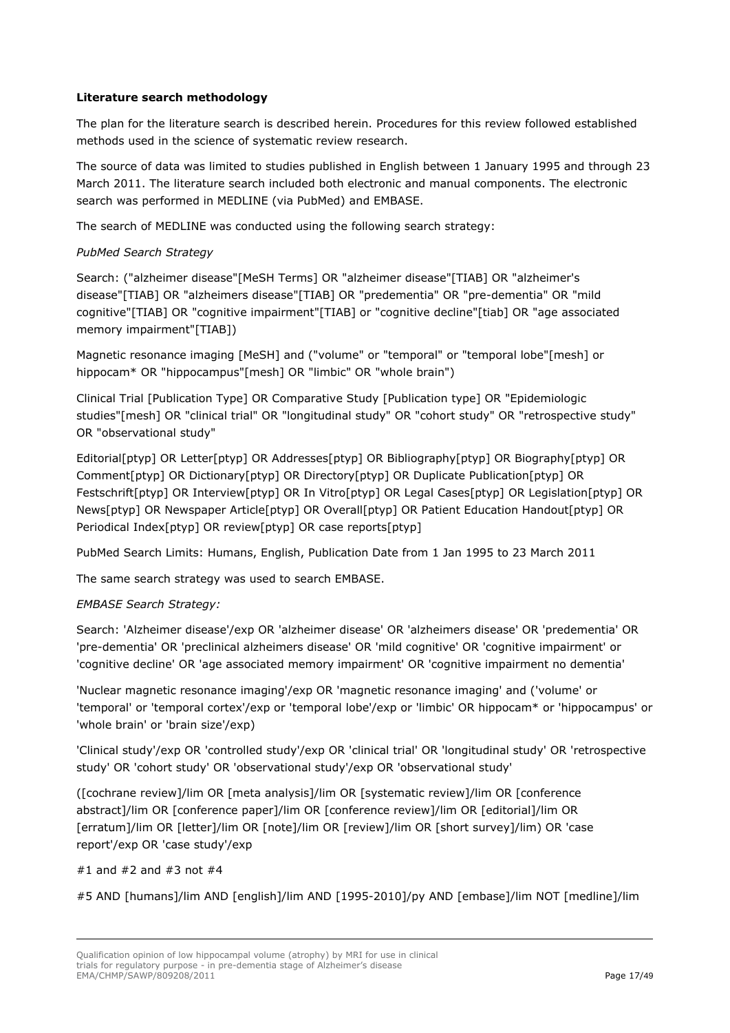#### **Literature search methodology**

The plan for the literature search is described herein. Procedures for this review followed established methods used in the science of systematic review research.

The source of data was limited to studies published in English between 1 January 1995 and through 23 March 2011. The literature search included both electronic and manual components. The electronic search was performed in MEDLINE (via PubMed) and EMBASE.

The search of MEDLINE was conducted using the following search strategy:

#### *PubMed Search Strategy*

Search: ("alzheimer disease"[MeSH Terms] OR "alzheimer disease"[TIAB] OR "alzheimer's disease"[TIAB] OR "alzheimers disease"[TIAB] OR "predementia" OR "pre-dementia" OR "mild cognitive"[TIAB] OR "cognitive impairment"[TIAB] or "cognitive decline"[tiab] OR "age associated memory impairment"[TIAB])

Magnetic resonance imaging [MeSH] and ("volume" or "temporal" or "temporal lobe"[mesh] or hippocam<sup>\*</sup> OR "hippocampus"[mesh] OR "limbic" OR "whole brain")

Clinical Trial [Publication Type] OR Comparative Study [Publication type] OR "Epidemiologic studies"[mesh] OR "clinical trial" OR "longitudinal study" OR "cohort study" OR "retrospective study" OR "observational study"

Editorial[ptyp] OR Letter[ptyp] OR Addresses[ptyp] OR Bibliography[ptyp] OR Biography[ptyp] OR Comment[ptyp] OR Dictionary[ptyp] OR Directory[ptyp] OR Duplicate Publication[ptyp] OR Festschrift[ptyp] OR Interview[ptyp] OR In Vitro[ptyp] OR Legal Cases[ptyp] OR Legislation[ptyp] OR News[ptyp] OR Newspaper Article[ptyp] OR Overall[ptyp] OR Patient Education Handout[ptyp] OR Periodical Index[ptyp] OR review[ptyp] OR case reports[ptyp]

PubMed Search Limits: Humans, English, Publication Date from 1 Jan 1995 to 23 March 2011

The same search strategy was used to search EMBASE.

#### *EMBASE Search Strategy:*

Search: 'Alzheimer disease'/exp OR 'alzheimer disease' OR 'alzheimers disease' OR 'predementia' OR 'pre-dementia' OR 'preclinical alzheimers disease' OR 'mild cognitive' OR 'cognitive impairment' or 'cognitive decline' OR 'age associated memory impairment' OR 'cognitive impairment no dementia'

'Nuclear magnetic resonance imaging'/exp OR 'magnetic resonance imaging' and ('volume' or 'temporal' or 'temporal cortex'/exp or 'temporal lobe'/exp or 'limbic' OR hippocam\* or 'hippocampus' or 'whole brain' or 'brain size'/exp)

'Clinical study'/exp OR 'controlled study'/exp OR 'clinical trial' OR 'longitudinal study' OR 'retrospective study' OR 'cohort study' OR 'observational study'/exp OR 'observational study'

([cochrane review]/lim OR [meta analysis]/lim OR [systematic review]/lim OR [conference abstract]/lim OR [conference paper]/lim OR [conference review]/lim OR [editorial]/lim OR [erratum]/lim OR [letter]/lim OR [note]/lim OR [review]/lim OR [short survey]/lim) OR 'case report'/exp OR 'case study'/exp

#1 and #2 and #3 not #4

#5 AND [humans]/lim AND [english]/lim AND [1995-2010]/py AND [embase]/lim NOT [medline]/lim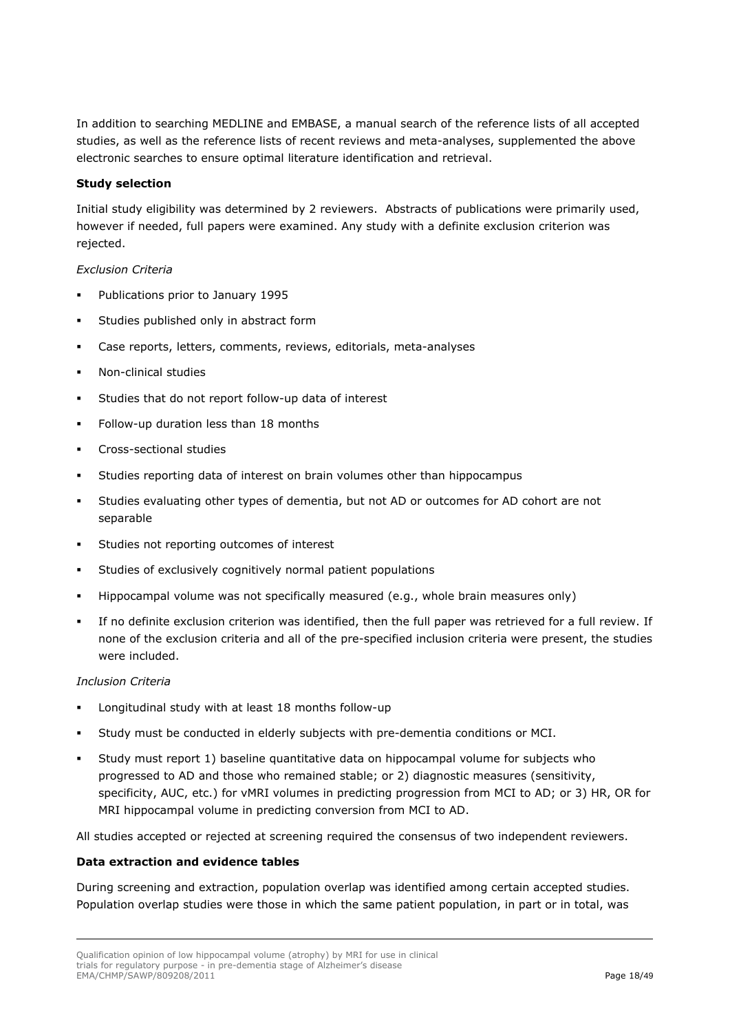In addition to searching MEDLINE and EMBASE, a manual search of the reference lists of all accepted studies, as well as the reference lists of recent reviews and meta-analyses, supplemented the above electronic searches to ensure optimal literature identification and retrieval.

#### **Study selection**

Initial study eligibility was determined by 2 reviewers. Abstracts of publications were primarily used, however if needed, full papers were examined. Any study with a definite exclusion criterion was rejected.

#### *Exclusion Criteria*

- Publications prior to January 1995
- Studies published only in abstract form
- Case reports, letters, comments, reviews, editorials, meta-analyses
- Non-clinical studies
- Studies that do not report follow-up data of interest
- Follow-up duration less than 18 months
- Cross-sectional studies
- Studies reporting data of interest on brain volumes other than hippocampus
- Studies evaluating other types of dementia, but not AD or outcomes for AD cohort are not separable
- Studies not reporting outcomes of interest
- Studies of exclusively cognitively normal patient populations
- Hippocampal volume was not specifically measured (e.g., whole brain measures only)
- If no definite exclusion criterion was identified, then the full paper was retrieved for a full review. If none of the exclusion criteria and all of the pre-specified inclusion criteria were present, the studies were included.

#### *Inclusion Criteria*

- Longitudinal study with at least 18 months follow-up
- Study must be conducted in elderly subjects with pre-dementia conditions or MCI.
- Study must report 1) baseline quantitative data on hippocampal volume for subjects who progressed to AD and those who remained stable; or 2) diagnostic measures (sensitivity, specificity, AUC, etc.) for vMRI volumes in predicting progression from MCI to AD; or 3) HR, OR for MRI hippocampal volume in predicting conversion from MCI to AD.

All studies accepted or rejected at screening required the consensus of two independent reviewers.

#### **Data extraction and evidence tables**

During screening and extraction, population overlap was identified among certain accepted studies. Population overlap studies were those in which the same patient population, in part or in total, was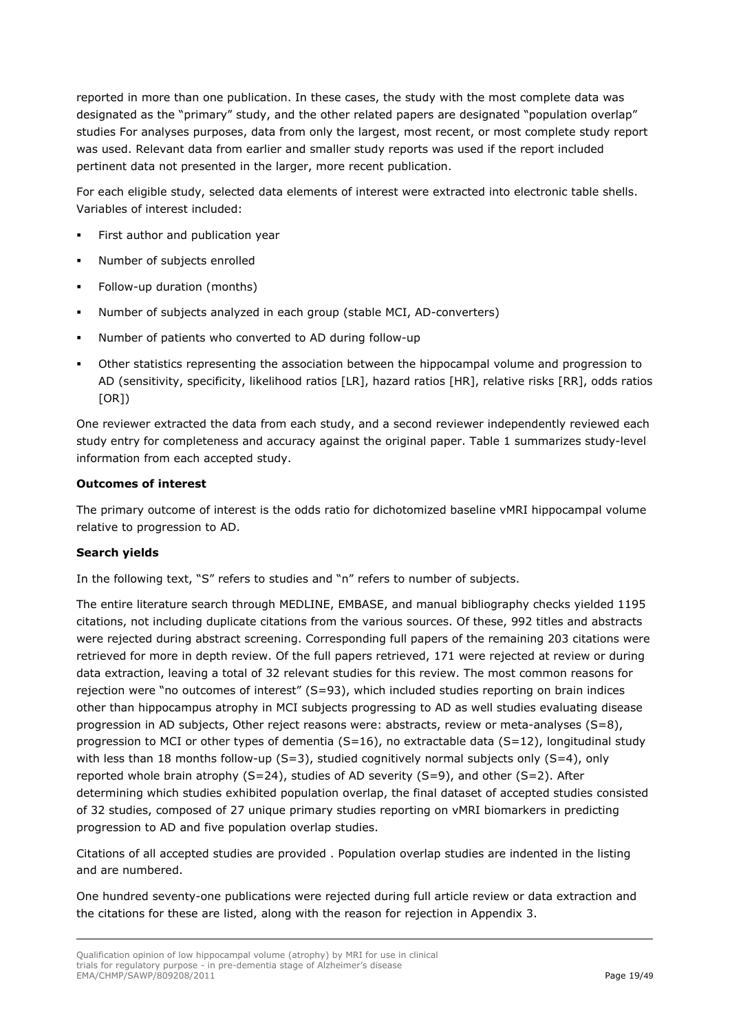reported in more than one publication. In these cases, the study with the most complete data was designated as the "primary" study, and the other related papers are designated "population overlap" studies For analyses purposes, data from only the largest, most recent, or most complete study report was used. Relevant data from earlier and smaller study reports was used if the report included pertinent data not presented in the larger, more recent publication.

For each eligible study, selected data elements of interest were extracted into electronic table shells. Variables of interest included:

- First author and publication year
- Number of subjects enrolled
- Follow-up duration (months)
- Number of subjects analyzed in each group (stable MCI, AD-converters)
- Number of patients who converted to AD during follow-up
- Other statistics representing the association between the hippocampal volume and progression to AD (sensitivity, specificity, likelihood ratios [LR], hazard ratios [HR], relative risks [RR], odds ratios [OR])

One reviewer extracted the data from each study, and a second reviewer independently reviewed each study entry for completeness and accuracy against the original paper. Table 1 summarizes study-level information from each accepted study.

#### **Outcomes of interest**

The primary outcome of interest is the odds ratio for dichotomized baseline vMRI hippocampal volume relative to progression to AD.

#### **Search yields**

In the following text, "S" refers to studies and "n" refers to number of subjects.

The entire literature search through MEDLINE, EMBASE, and manual bibliography checks yielded 1195 citations, not including duplicate citations from the various sources. Of these, 992 titles and abstracts were rejected during abstract screening. Corresponding full papers of the remaining 203 citations were retrieved for more in depth review. Of the full papers retrieved, 171 were rejected at review or during data extraction, leaving a total of 32 relevant studies for this review. The most common reasons for rejection were "no outcomes of interest" (S=93), which included studies reporting on brain indices other than hippocampus atrophy in MCI subjects progressing to AD as well studies evaluating disease progression in AD subjects, Other reject reasons were: abstracts, review or meta-analyses (S=8), progression to MCI or other types of dementia (S=16), no extractable data (S=12), longitudinal study with less than 18 months follow-up (S=3), studied cognitively normal subjects only (S=4), only reported whole brain atrophy (S=24), studies of AD severity (S=9), and other (S=2). After determining which studies exhibited population overlap, the final dataset of accepted studies consisted of 32 studies, composed of 27 unique primary studies reporting on vMRI biomarkers in predicting progression to AD and five population overlap studies.

Citations of all accepted studies are provided . Population overlap studies are indented in the listing and are numbered.

One hundred seventy-one publications were rejected during full article review or data extraction and the citations for these are listed, along with the reason for rejection in Appendix 3.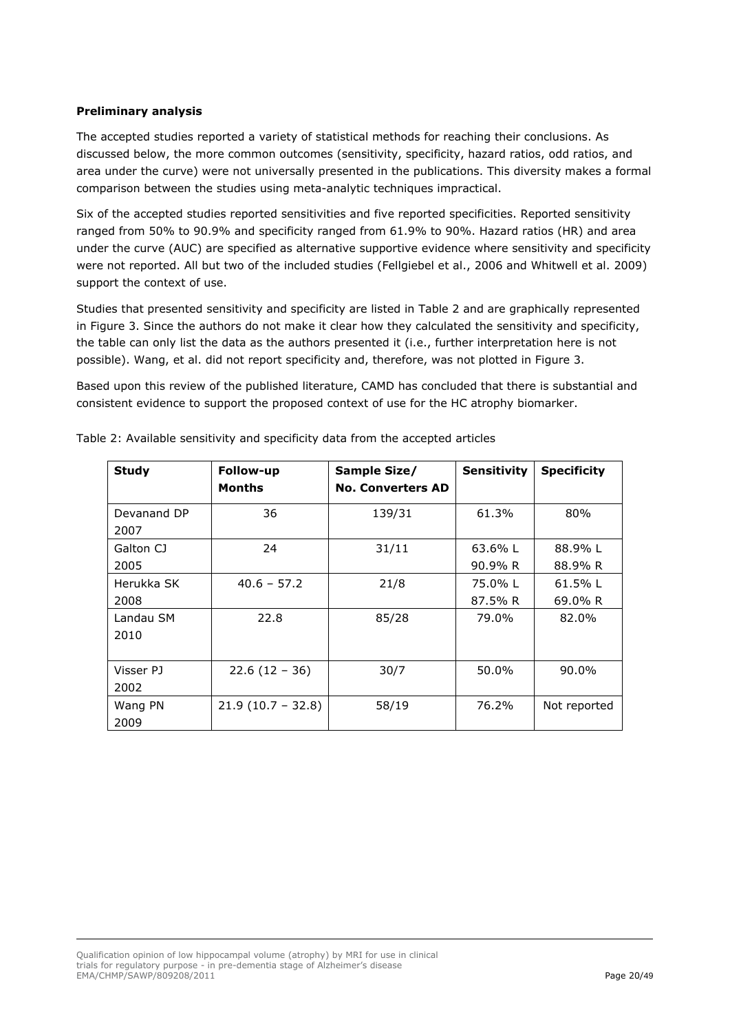#### **Preliminary analysis**

The accepted studies reported a variety of statistical methods for reaching their conclusions. As discussed below, the more common outcomes (sensitivity, specificity, hazard ratios, odd ratios, and area under the curve) were not universally presented in the publications. This diversity makes a formal comparison between the studies using meta-analytic techniques impractical.

Six of the accepted studies reported sensitivities and five reported specificities. Reported sensitivity ranged from 50% to 90.9% and specificity ranged from 61.9% to 90%. Hazard ratios (HR) and area under the curve (AUC) are specified as alternative supportive evidence where sensitivity and specificity were not reported. All but two of the included studies (Fellgiebel et al., 2006 and Whitwell et al. 2009) support the context of use.

Studies that presented sensitivity and specificity are listed in Table 2 and are graphically represented in Figure 3. Since the authors do not make it clear how they calculated the sensitivity and specificity, the table can only list the data as the authors presented it (i.e., further interpretation here is not possible). Wang, et al. did not report specificity and, therefore, was not plotted in Figure 3.

Based upon this review of the published literature, CAMD has concluded that there is substantial and consistent evidence to support the proposed context of use for the HC atrophy biomarker.

| <b>Study</b>        | Follow-up<br><b>Months</b> | Sample Size/<br><b>No. Converters AD</b> | <b>Sensitivity</b>    | <b>Specificity</b>   |
|---------------------|----------------------------|------------------------------------------|-----------------------|----------------------|
| Devanand DP<br>2007 | 36                         | 139/31                                   | 61.3%                 | 80%                  |
| Galton CJ<br>2005   | 24                         | 31/11                                    | 63.6% L<br>$90.9\% R$ | 88.9% L<br>88.9% R   |
| Herukka SK<br>2008  | $40.6 - 57.2$              | 21/8                                     | 75.0%L<br>87.5% R     | 61.5% $L$<br>69.0% R |
| Landau SM<br>2010   | 22.8                       | 85/28                                    | 79.0%                 | 82.0%                |
| Visser PJ<br>2002   | $22.6(12 - 36)$            | 30/7                                     | 50.0%                 | 90.0%                |
| Wang PN<br>2009     | $21.9(10.7 - 32.8)$        | 58/19                                    | 76.2%                 | Not reported         |

Table 2: Available sensitivity and specificity data from the accepted articles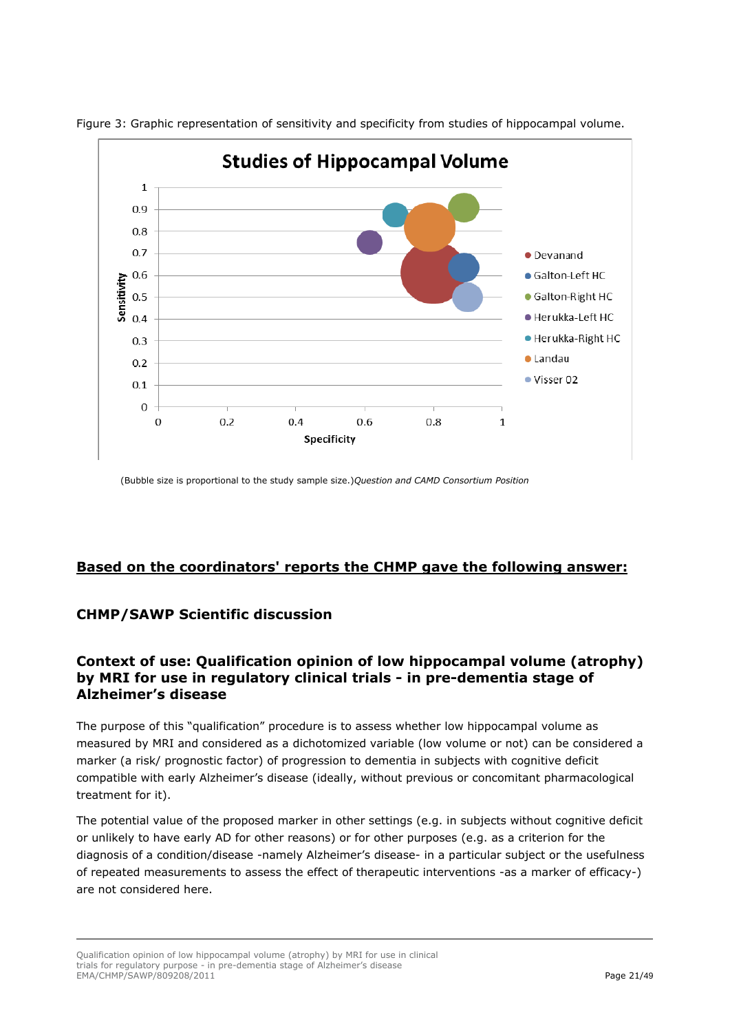

Figure 3: Graphic representation of sensitivity and specificity from studies of hippocampal volume.

(Bubble size is proportional to the study sample size.)*Question and CAMD Consortium Position*

### **Based on the coordinators' reports the CHMP gave the following answer:**

### **CHMP/SAWP Scientific discussion**

### **Context of use: Qualification opinion of low hippocampal volume (atrophy) by MRI for use in regulatory clinical trials - in pre-dementia stage of Alzheimer's disease**

The purpose of this "qualification" procedure is to assess whether low hippocampal volume as measured by MRI and considered as a dichotomized variable (low volume or not) can be considered a marker (a risk/ prognostic factor) of progression to dementia in subjects with cognitive deficit compatible with early Alzheimer's disease (ideally, without previous or concomitant pharmacological treatment for it).

The potential value of the proposed marker in other settings (e.g. in subjects without cognitive deficit or unlikely to have early AD for other reasons) or for other purposes (e.g. as a criterion for the diagnosis of a condition/disease -namely Alzheimer's disease- in a particular subject or the usefulness of repeated measurements to assess the effect of therapeutic interventions -as a marker of efficacy-) are not considered here.

Qualification opinion of low hippocampal volume (atrophy) by MRI for use in clinical trials for regulatory purpose - in pre-dementia stage of Alzheimer's disease EMA/CHMP/SAWP/809208/2011 Page 21/49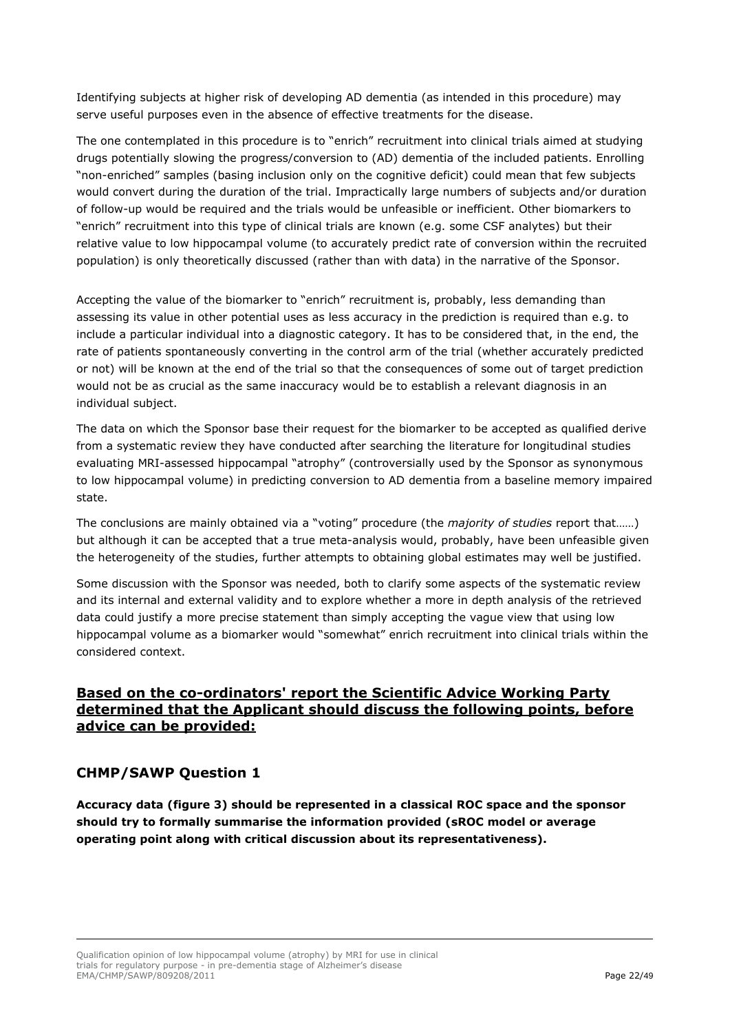Identifying subjects at higher risk of developing AD dementia (as intended in this procedure) may serve useful purposes even in the absence of effective treatments for the disease.

The one contemplated in this procedure is to "enrich" recruitment into clinical trials aimed at studying drugs potentially slowing the progress/conversion to (AD) dementia of the included patients. Enrolling "non-enriched" samples (basing inclusion only on the cognitive deficit) could mean that few subjects would convert during the duration of the trial. Impractically large numbers of subjects and/or duration of follow-up would be required and the trials would be unfeasible or inefficient. Other biomarkers to "enrich" recruitment into this type of clinical trials are known (e.g. some CSF analytes) but their relative value to low hippocampal volume (to accurately predict rate of conversion within the recruited population) is only theoretically discussed (rather than with data) in the narrative of the Sponsor.

Accepting the value of the biomarker to "enrich" recruitment is, probably, less demanding than assessing its value in other potential uses as less accuracy in the prediction is required than e.g. to include a particular individual into a diagnostic category. It has to be considered that, in the end, the rate of patients spontaneously converting in the control arm of the trial (whether accurately predicted or not) will be known at the end of the trial so that the consequences of some out of target prediction would not be as crucial as the same inaccuracy would be to establish a relevant diagnosis in an individual subject.

The data on which the Sponsor base their request for the biomarker to be accepted as qualified derive from a systematic review they have conducted after searching the literature for longitudinal studies evaluating MRI-assessed hippocampal "atrophy" (controversially used by the Sponsor as synonymous to low hippocampal volume) in predicting conversion to AD dementia from a baseline memory impaired state.

The conclusions are mainly obtained via a "voting" procedure (the *majority of studies* report that……) but although it can be accepted that a true meta-analysis would, probably, have been unfeasible given the heterogeneity of the studies, further attempts to obtaining global estimates may well be justified.

Some discussion with the Sponsor was needed, both to clarify some aspects of the systematic review and its internal and external validity and to explore whether a more in depth analysis of the retrieved data could justify a more precise statement than simply accepting the vague view that using low hippocampal volume as a biomarker would "somewhat" enrich recruitment into clinical trials within the considered context.

### **Based on the co-ordinators' report the Scientific Advice Working Party determined that the Applicant should discuss the following points, before advice can be provided:**

### **CHMP/SAWP Question 1**

**Accuracy data (figure 3) should be represented in a classical ROC space and the sponsor should try to formally summarise the information provided (sROC model or average operating point along with critical discussion about its representativeness).**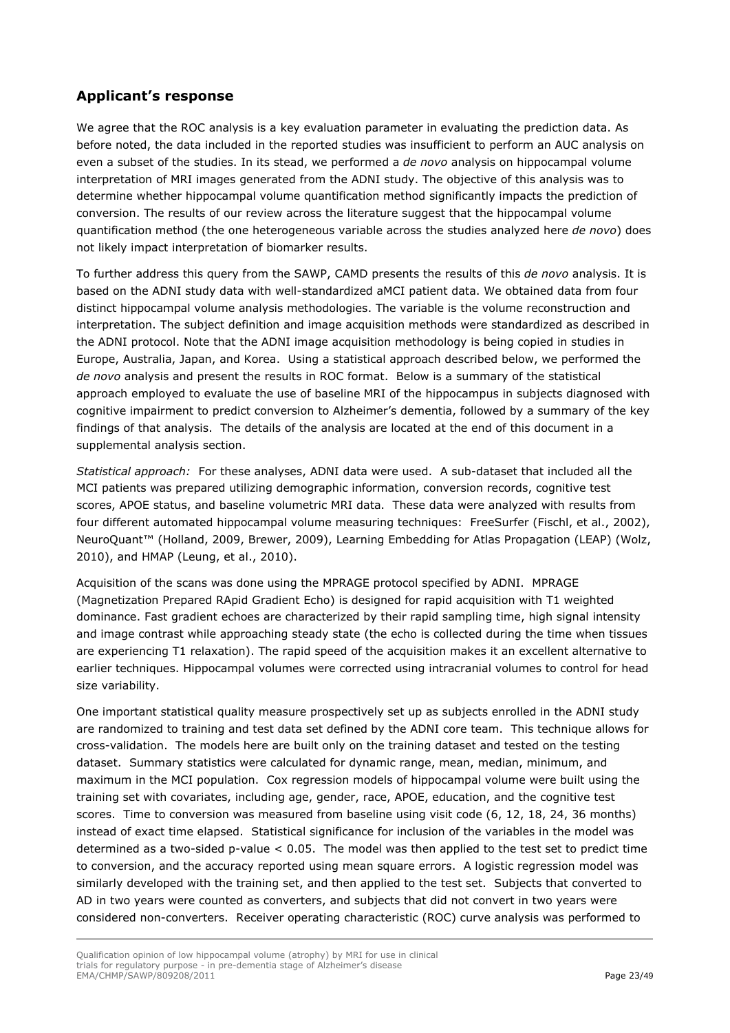### **Applicant's response**

We agree that the ROC analysis is a key evaluation parameter in evaluating the prediction data. As before noted, the data included in the reported studies was insufficient to perform an AUC analysis on even a subset of the studies. In its stead, we performed a *de novo* analysis on hippocampal volume interpretation of MRI images generated from the ADNI study. The objective of this analysis was to determine whether hippocampal volume quantification method significantly impacts the prediction of conversion. The results of our review across the literature suggest that the hippocampal volume quantification method (the one heterogeneous variable across the studies analyzed here *de novo*) does not likely impact interpretation of biomarker results.

To further address this query from the SAWP, CAMD presents the results of this *de novo* analysis. It is based on the ADNI study data with well-standardized aMCI patient data. We obtained data from four distinct hippocampal volume analysis methodologies. The variable is the volume reconstruction and interpretation. The subject definition and image acquisition methods were standardized as described in the ADNI protocol. Note that the ADNI image acquisition methodology is being copied in studies in Europe, Australia, Japan, and Korea. Using a statistical approach described below, we performed the *de novo* analysis and present the results in ROC format. Below is a summary of the statistical approach employed to evaluate the use of baseline MRI of the hippocampus in subjects diagnosed with cognitive impairment to predict conversion to Alzheimer's dementia, followed by a summary of the key findings of that analysis. The details of the analysis are located at the end of this document in a supplemental analysis section.

*Statistical approach:* For these analyses, ADNI data were used. A sub-dataset that included all the MCI patients was prepared utilizing demographic information, conversion records, cognitive test scores, APOE status, and baseline volumetric MRI data. These data were analyzed with results from four different automated hippocampal volume measuring techniques: FreeSurfer (Fischl, et al., 2002), NeuroQuant™ (Holland, 2009, Brewer, 2009), Learning Embedding for Atlas Propagation (LEAP) (Wolz, 2010), and HMAP (Leung, et al., 2010).

Acquisition of the scans was done using the MPRAGE protocol specified by ADNI. MPRAGE (Magnetization Prepared RApid Gradient Echo) is designed for rapid acquisition with T1 weighted dominance. Fast gradient echoes are characterized by their rapid sampling time, high signal intensity and image contrast while approaching steady state (the echo is collected during the time when tissues are experiencing T1 relaxation). The rapid speed of the acquisition makes it an excellent alternative to earlier techniques. Hippocampal volumes were corrected using intracranial volumes to control for head size variability.

One important statistical quality measure prospectively set up as subjects enrolled in the ADNI study are randomized to training and test data set defined by the ADNI core team. This technique allows for cross-validation. The models here are built only on the training dataset and tested on the testing dataset. Summary statistics were calculated for dynamic range, mean, median, minimum, and maximum in the MCI population. Cox regression models of hippocampal volume were built using the training set with covariates, including age, gender, race, APOE, education, and the cognitive test scores. Time to conversion was measured from baseline using visit code (6, 12, 18, 24, 36 months) instead of exact time elapsed. Statistical significance for inclusion of the variables in the model was determined as a two-sided p-value  $< 0.05$ . The model was then applied to the test set to predict time to conversion, and the accuracy reported using mean square errors. A logistic regression model was similarly developed with the training set, and then applied to the test set. Subjects that converted to AD in two years were counted as converters, and subjects that did not convert in two years were considered non-converters. Receiver operating characteristic (ROC) curve analysis was performed to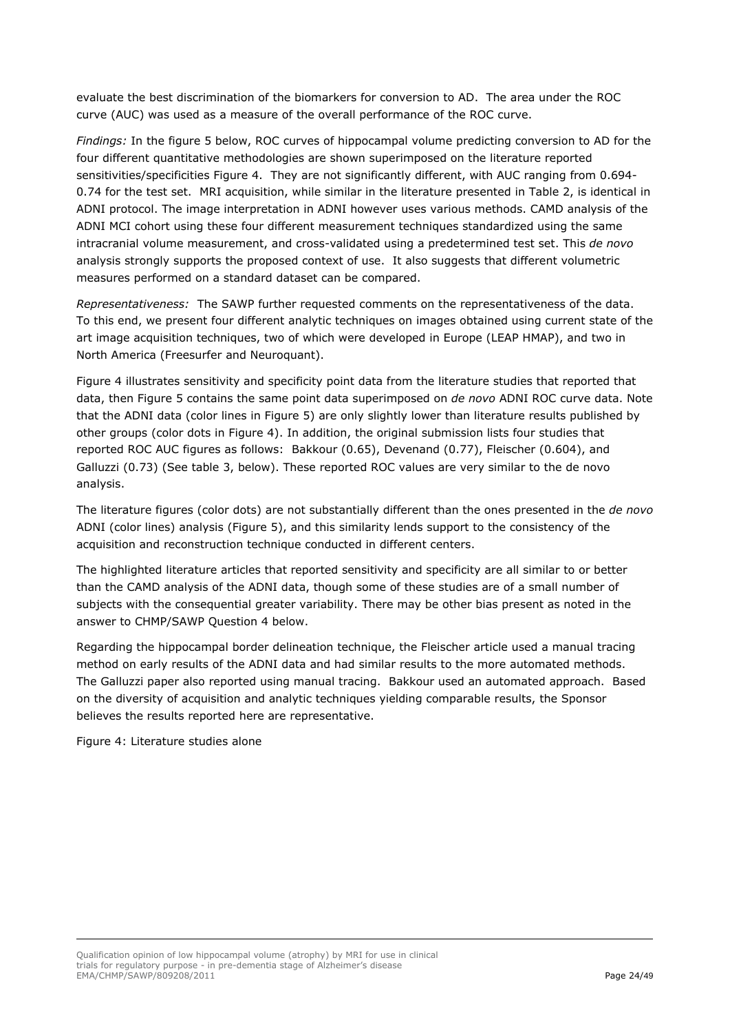evaluate the best discrimination of the biomarkers for conversion to AD. The area under the ROC curve (AUC) was used as a measure of the overall performance of the ROC curve.

*Findings:* In the figure 5 below, ROC curves of hippocampal volume predicting conversion to AD for the four different quantitative methodologies are shown superimposed on the literature reported sensitivities/specificities Figure 4. They are not significantly different, with AUC ranging from 0.694- 0.74 for the test set. MRI acquisition, while similar in the literature presented in Table 2, is identical in ADNI protocol. The image interpretation in ADNI however uses various methods. CAMD analysis of the ADNI MCI cohort using these four different measurement techniques standardized using the same intracranial volume measurement, and cross-validated using a predetermined test set. This *de novo*  analysis strongly supports the proposed context of use. It also suggests that different volumetric measures performed on a standard dataset can be compared.

*Representativeness:* The SAWP further requested comments on the representativeness of the data. To this end, we present four different analytic techniques on images obtained using current state of the art image acquisition techniques, two of which were developed in Europe (LEAP HMAP), and two in North America (Freesurfer and Neuroquant).

Figure 4 illustrates sensitivity and specificity point data from the literature studies that reported that data, then Figure 5 contains the same point data superimposed on *de novo* ADNI ROC curve data. Note that the ADNI data (color lines in Figure 5) are only slightly lower than literature results published by other groups (color dots in Figure 4). In addition, the original submission lists four studies that reported ROC AUC figures as follows: Bakkour (0.65), Devenand (0.77), Fleischer (0.604), and Galluzzi (0.73) (See table 3, below). These reported ROC values are very similar to the de novo analysis.

The literature figures (color dots) are not substantially different than the ones presented in the *de novo* ADNI (color lines) analysis (Figure 5), and this similarity lends support to the consistency of the acquisition and reconstruction technique conducted in different centers.

The highlighted literature articles that reported sensitivity and specificity are all similar to or better than the CAMD analysis of the ADNI data, though some of these studies are of a small number of subjects with the consequential greater variability. There may be other bias present as noted in the answer to CHMP/SAWP Question 4 below.

Regarding the hippocampal border delineation technique, the Fleischer article used a manual tracing method on early results of the ADNI data and had similar results to the more automated methods. The Galluzzi paper also reported using manual tracing. Bakkour used an automated approach. Based on the diversity of acquisition and analytic techniques yielding comparable results, the Sponsor believes the results reported here are representative.

Figure 4: Literature studies alone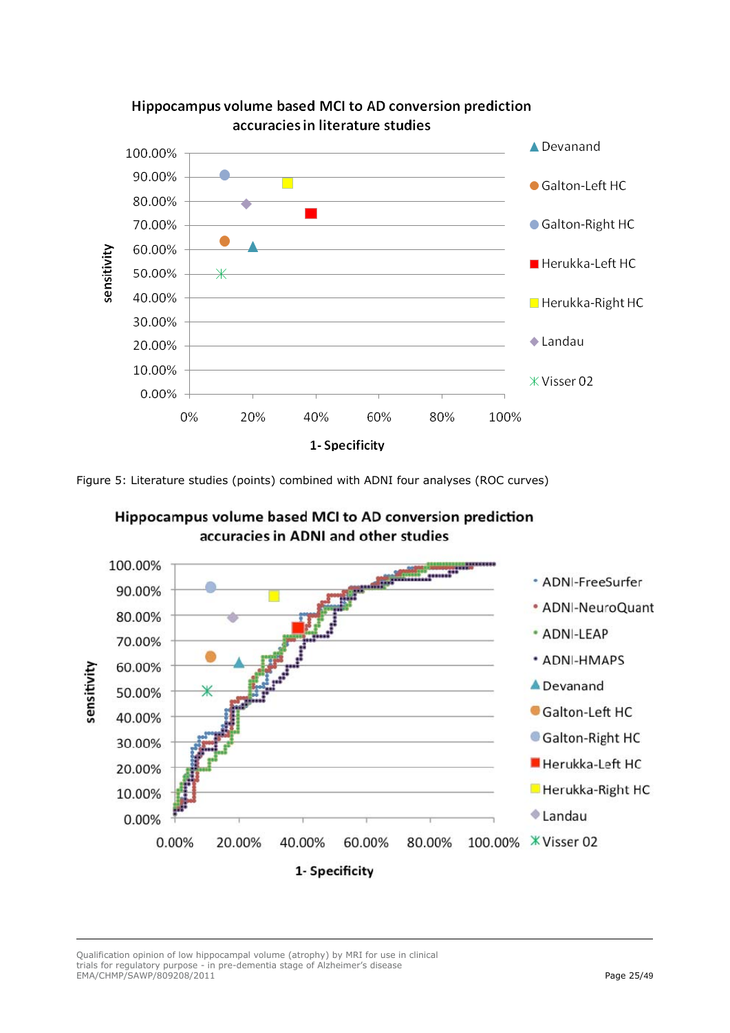

Figure 5: Literature studies (points) combined with ADNI four analyses (ROC curves)





Qualification opinion of low hippocampal volume (atrophy) by MRI for use in clinical trials for regulatory purpose - in pre-dementia stage of Alzheimer's disease EMA/CHMP/SAWP/809208/2011 Page 25/49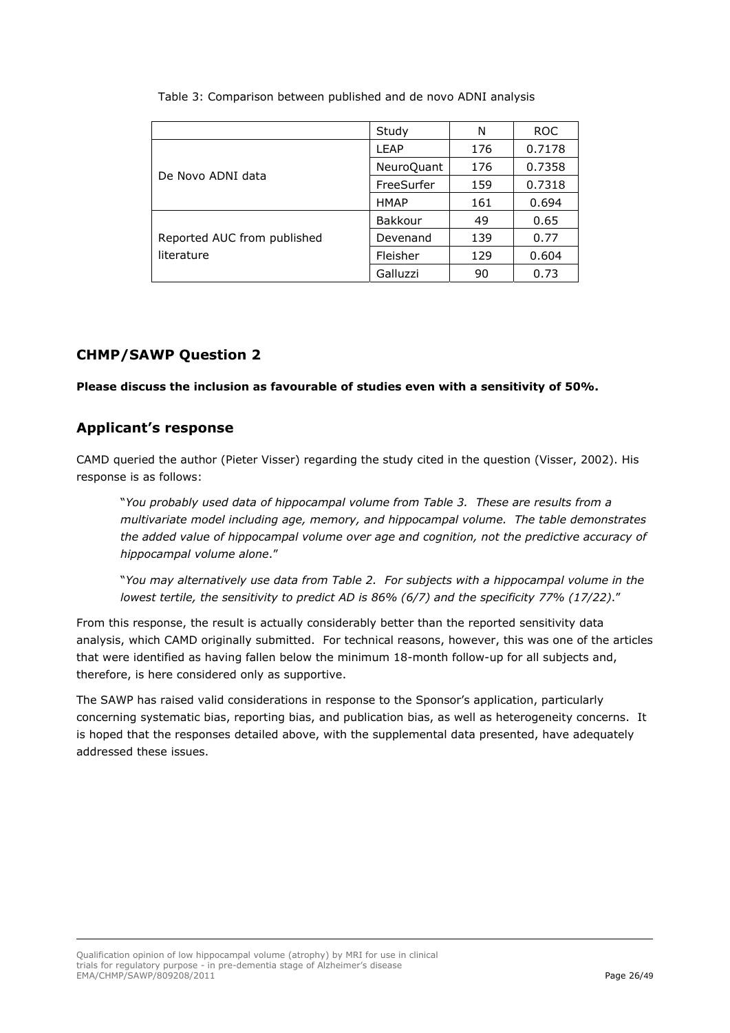|                             | Study       | N   | <b>ROC</b> |
|-----------------------------|-------------|-----|------------|
|                             | LEAP        | 176 | 0.7178     |
|                             | NeuroQuant  | 176 | 0.7358     |
| De Novo ADNI data           | FreeSurfer  | 159 | 0.7318     |
|                             | <b>HMAP</b> | 161 | 0.694      |
|                             | Bakkour     | 49  | 0.65       |
| Reported AUC from published | Devenand    | 139 | 0.77       |
| literature                  | Fleisher    | 129 | 0.604      |
|                             | Galluzzi    | 90  | 0.73       |

Table 3: Comparison between published and de novo ADNI analysis

### **CHMP/SAWP Question 2**

**Please discuss the inclusion as favourable of studies even with a sensitivity of 50%.** 

### **Applicant's response**

CAMD queried the author (Pieter Visser) regarding the study cited in the question (Visser, 2002). His response is as follows:

"*You probably used data of hippocampal volume from Table 3. These are results from a multivariate model including age, memory, and hippocampal volume. The table demonstrates the added value of hippocampal volume over age and cognition, not the predictive accuracy of hippocampal volume alone*."

"*You may alternatively use data from Table 2. For subjects with a hippocampal volume in the lowest tertile, the sensitivity to predict AD is 86% (6/7) and the specificity 77% (17/22)*."

From this response, the result is actually considerably better than the reported sensitivity data analysis, which CAMD originally submitted. For technical reasons, however, this was one of the articles that were identified as having fallen below the minimum 18-month follow-up for all subjects and, therefore, is here considered only as supportive.

The SAWP has raised valid considerations in response to the Sponsor's application, particularly concerning systematic bias, reporting bias, and publication bias, as well as heterogeneity concerns. It is hoped that the responses detailed above, with the supplemental data presented, have adequately addressed these issues.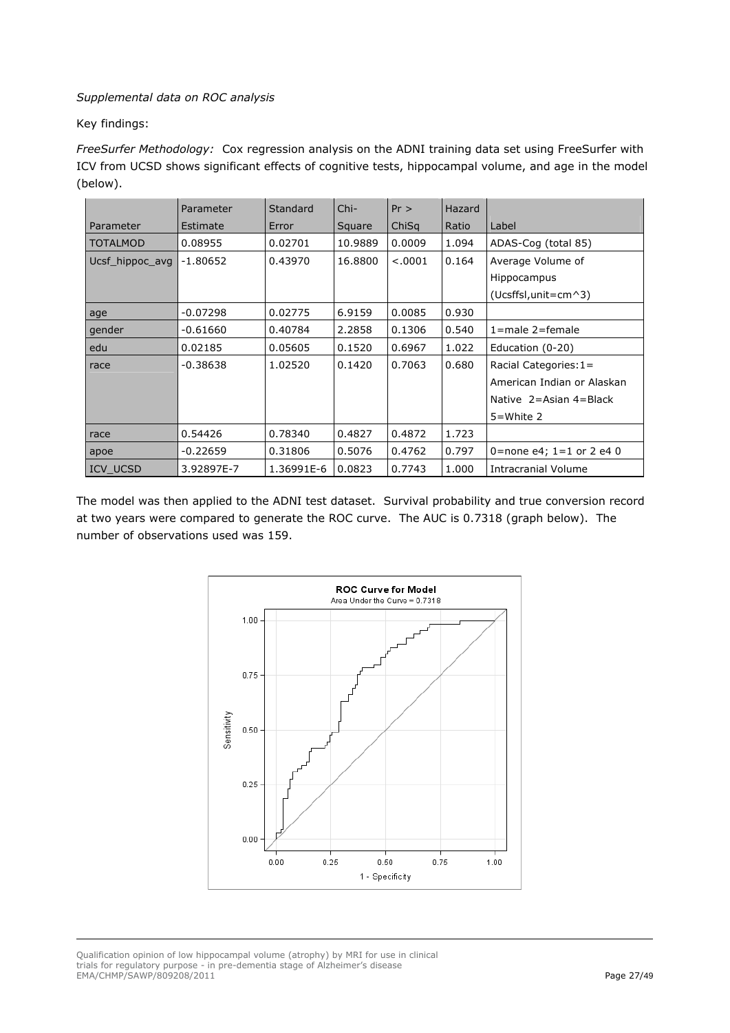#### *Supplemental data on ROC analysis*

Key findings:

*FreeSurfer Methodology:* Cox regression analysis on the ADNI training data set using FreeSurfer with ICV from UCSD shows significant effects of cognitive tests, hippocampal volume, and age in the model (below).

|                 | Parameter  | Standard   | Chi-    | Pr      | Hazard |                              |
|-----------------|------------|------------|---------|---------|--------|------------------------------|
| Parameter       | Estimate   | Error      | Square  | ChiSq   | Ratio  | Label                        |
| <b>TOTALMOD</b> | 0.08955    | 0.02701    | 10.9889 | 0.0009  | 1.094  | ADAS-Cog (total 85)          |
| Ucsf hippoc avg | $-1.80652$ | 0.43970    | 16,8800 | < .0001 | 0.164  | Average Volume of            |
|                 |            |            |         |         |        | Hippocampus                  |
|                 |            |            |         |         |        | $(Ucsffsl,unit=cm^3)$        |
| age             | $-0.07298$ | 0.02775    | 6.9159  | 0.0085  | 0.930  |                              |
| gender          | $-0.61660$ | 0.40784    | 2.2858  | 0.1306  | 0.540  | $1$ =male $2$ =female        |
| edu             | 0.02185    | 0.05605    | 0.1520  | 0.6967  | 1.022  | Education (0-20)             |
| race            | $-0.38638$ | 1.02520    | 0.1420  | 0.7063  | 0.680  | Racial Categories: 1=        |
|                 |            |            |         |         |        | American Indian or Alaskan   |
|                 |            |            |         |         |        | Native $2 = Asian 4 = Black$ |
|                 |            |            |         |         |        | $5 =$ White 2                |
| race            | 0.54426    | 0.78340    | 0.4827  | 0.4872  | 1.723  |                              |
| apoe            | $-0.22659$ | 0.31806    | 0.5076  | 0.4762  | 0.797  | 0=none e4; $1=1$ or 2 e4 0   |
| ICV UCSD        | 3.92897E-7 | 1.36991E-6 | 0.0823  | 0.7743  | 1.000  | <b>Intracranial Volume</b>   |

The model was then applied to the ADNI test dataset. Survival probability and true conversion record at two years were compared to generate the ROC curve. The AUC is 0.7318 (graph below). The number of observations used was 159.



Qualification opinion of low hippocampal volume (atrophy) by MRI for use in clinical trials for regulatory purpose - in pre-dementia stage of Alzheimer's disease EMA/CHMP/SAWP/809208/2011 Page 27/49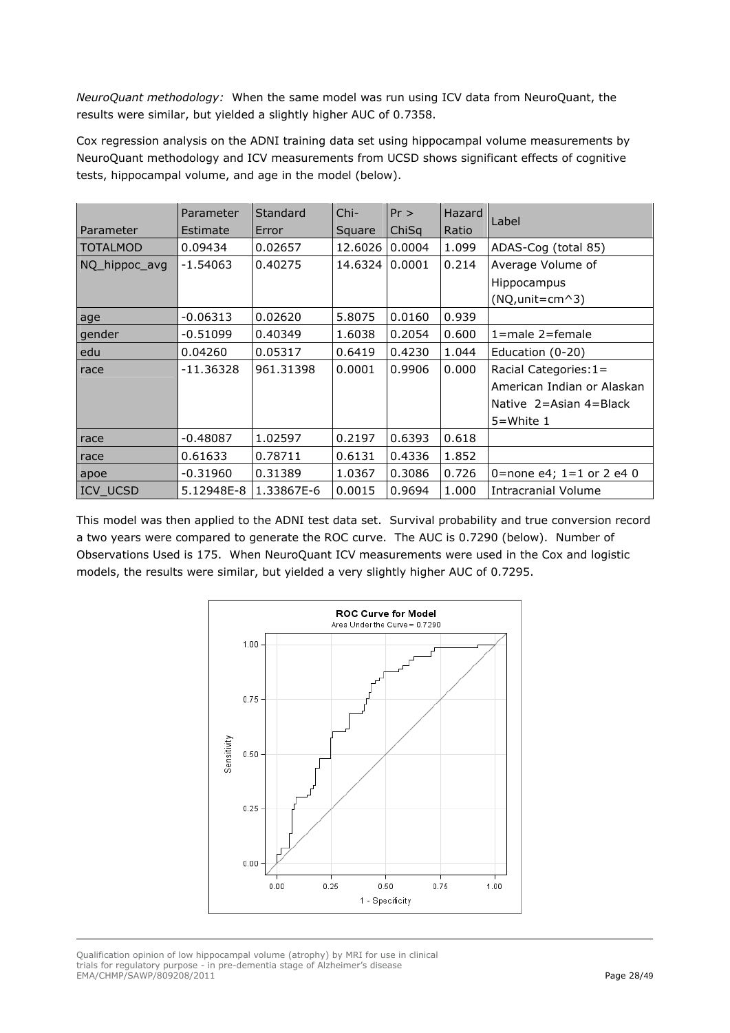*NeuroQuant methodology:* When the same model was run using ICV data from NeuroQuant, the results were similar, but yielded a slightly higher AUC of 0.7358.

Cox regression analysis on the ADNI training data set using hippocampal volume measurements by NeuroQuant methodology and ICV measurements from UCSD shows significant effects of cognitive tests, hippocampal volume, and age in the model (below).

| Parameter       | Parameter<br>Estimate | Standard<br>Error | $Chi-$  | $Pr$ > | Hazard<br>Ratio | Label                      |
|-----------------|-----------------------|-------------------|---------|--------|-----------------|----------------------------|
|                 |                       |                   | Square  | ChiSq  |                 |                            |
| <b>TOTALMOD</b> | 0.09434               | 0.02657           | 12.6026 | 0.0004 | 1.099           | ADAS-Cog (total 85)        |
| NQ_hippoc_avg   | $-1.54063$            | 0.40275           | 14.6324 | 0.0001 | 0.214           | Average Volume of          |
|                 |                       |                   |         |        |                 | <b>Hippocampus</b>         |
|                 |                       |                   |         |        |                 | $(NQ, unit = cm \land 3)$  |
| age             | $-0.06313$            | 0.02620           | 5.8075  | 0.0160 | 0.939           |                            |
| gender          | $-0.51099$            | 0.40349           | 1.6038  | 0.2054 | 0.600           | $1$ =male $2$ =female      |
| edu             | 0.04260               | 0.05317           | 0.6419  | 0.4230 | 1.044           | Education (0-20)           |
| race            | $-11.36328$           | 961.31398         | 0.0001  | 0.9906 | 0.000           | Racial Categories: 1=      |
|                 |                       |                   |         |        |                 | American Indian or Alaskan |
|                 |                       |                   |         |        |                 | Native 2=Asian 4=Black     |
|                 |                       |                   |         |        |                 | 5=White 1                  |
| race            | $-0.48087$            | 1.02597           | 0.2197  | 0.6393 | 0.618           |                            |
| race            | 0.61633               | 0.78711           | 0.6131  | 0.4336 | 1.852           |                            |
| apoe            | $-0.31960$            | 0.31389           | 1.0367  | 0.3086 | 0.726           | 0=none e4; $1=1$ or 2 e4 0 |
| ICV UCSD        | 5.12948E-8            | 1.33867E-6        | 0.0015  | 0.9694 | 1.000           | Intracranial Volume        |

This model was then applied to the ADNI test data set. Survival probability and true conversion record a two years were compared to generate the ROC curve. The AUC is 0.7290 (below). Number of Observations Used is 175. When NeuroQuant ICV measurements were used in the Cox and logistic models, the results were similar, but yielded a very slightly higher AUC of 0.7295.



Qualification opinion of low hippocampal volume (atrophy) by MRI for use in clinical trials for regulatory purpose - in pre-dementia stage of Alzheimer's disease EMA/CHMP/SAWP/809208/2011 2012 28:00 28:00 28:00 28:00 28:00 28:00 28:00 28:00 28:00 28:00 28:00 28:00 28:00 28:00 28:00 28:00 28:00 28:00 28:00 28:00 28:00 28:00 28:00 28:00 28:00 28:00 28:00 28:00 28:00 28:00 28:00 28:00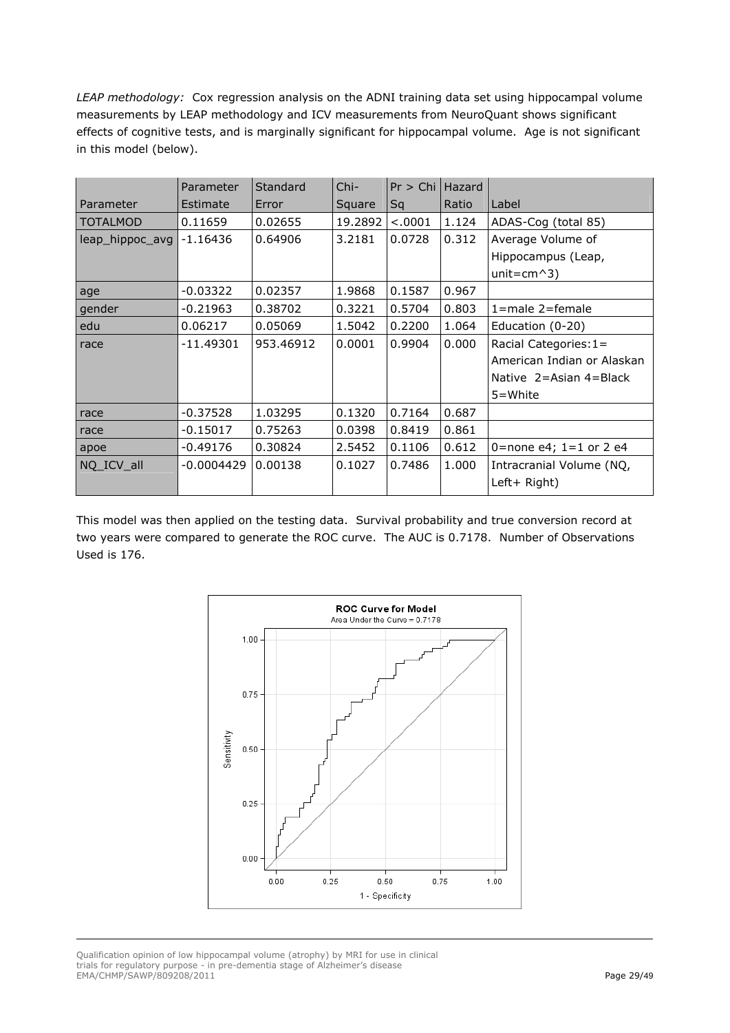*LEAP methodology:* Cox regression analysis on the ADNI training data set using hippocampal volume measurements by LEAP methodology and ICV measurements from NeuroQuant shows significant effects of cognitive tests, and is marginally significant for hippocampal volume. Age is not significant in this model (below).

|                 | Parameter    | Standard  | Chi-    | Pr > Chi | Hazard |                            |
|-----------------|--------------|-----------|---------|----------|--------|----------------------------|
| Parameter       | Estimate     | Error     | Square  | Sq       | Ratio  | Label                      |
| <b>TOTALMOD</b> | 0.11659      | 0.02655   | 19.2892 | < .0001  | 1.124  | ADAS-Cog (total 85)        |
| leap_hippoc_avg | $-1.16436$   | 0.64906   | 3.2181  | 0.0728   | 0.312  | Average Volume of          |
|                 |              |           |         |          |        | Hippocampus (Leap,         |
|                 |              |           |         |          |        | unit=cm $\wedge$ 3)        |
| age             | $-0.03322$   | 0.02357   | 1.9868  | 0.1587   | 0.967  |                            |
| gender          | $-0.21963$   | 0.38702   | 0.3221  | 0.5704   | 0.803  | $1$ =male $2$ =female      |
| edu             | 0.06217      | 0.05069   | 1.5042  | 0.2200   | 1.064  | Education (0-20)           |
| race            | $-11.49301$  | 953.46912 | 0.0001  | 0.9904   | 0.000  | Racial Categories: $1=$    |
|                 |              |           |         |          |        | American Indian or Alaskan |
|                 |              |           |         |          |        | Native 2=Asian 4=Black     |
|                 |              |           |         |          |        | 5=White                    |
| race            | $-0.37528$   | 1.03295   | 0.1320  | 0.7164   | 0.687  |                            |
| race            | $-0.15017$   | 0.75263   | 0.0398  | 0.8419   | 0.861  |                            |
| apoe            | -0.49176     | 0.30824   | 2.5452  | 0.1106   | 0.612  | 0=none e4; $1=1$ or 2 e4   |
| NQ_ICV_all      | $-0.0004429$ | 0.00138   | 0.1027  | 0.7486   | 1.000  | Intracranial Volume (NQ,   |
|                 |              |           |         |          |        | $Left+ Right)$             |

This model was then applied on the testing data. Survival probability and true conversion record at two years were compared to generate the ROC curve. The AUC is 0.7178. Number of Observations Used is 176.



Qualification opinion of low hippocampal volume (atrophy) by MRI for use in clinical trials for regulatory purpose - in pre-dementia stage of Alzheimer's disease EMA/CHMP/SAWP/809208/2011 2012 2020 20:00:00 Page 29/49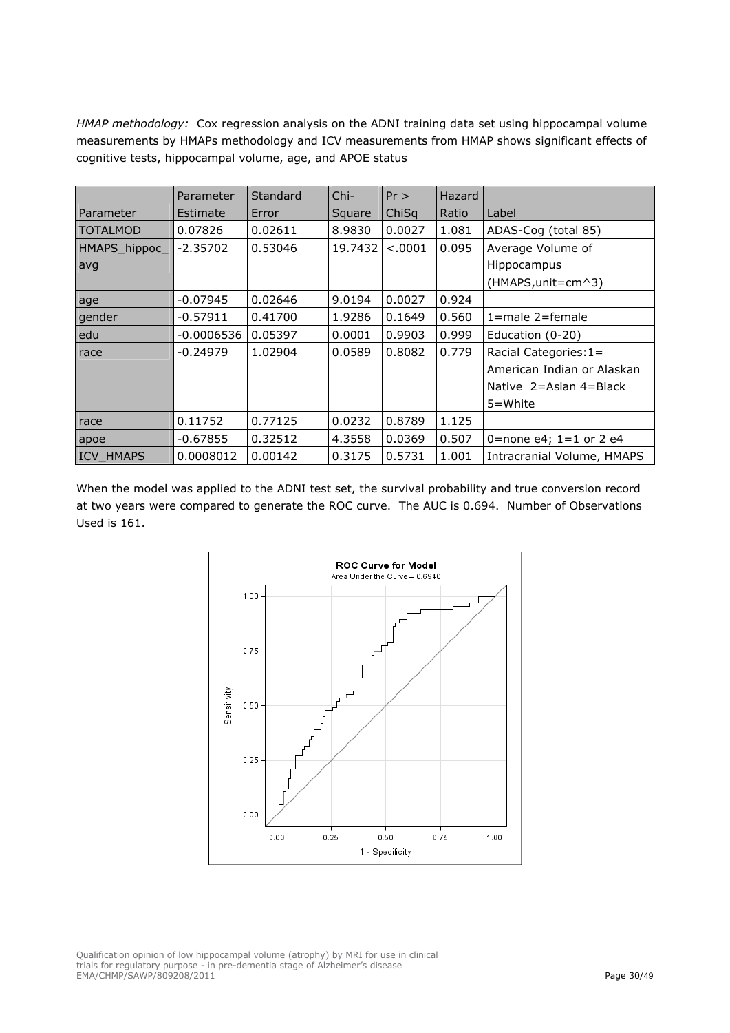*HMAP methodology:* Cox regression analysis on the ADNI training data set using hippocampal volume measurements by HMAPs methodology and ICV measurements from HMAP shows significant effects of cognitive tests, hippocampal volume, age, and APOE status

|                  | Parameter    | Standard | $Chi-$  | Pr      | <b>Hazard</b> |                              |
|------------------|--------------|----------|---------|---------|---------------|------------------------------|
| Parameter        | Estimate     | Error    | Square  | ChiSq   | Ratio         | Label                        |
| <b>TOTALMOD</b>  | 0.07826      | 0.02611  | 8.9830  | 0.0027  | 1.081         | ADAS-Cog (total 85)          |
| HMAPS_hippoc_    | $-2.35702$   | 0.53046  | 19.7432 | < .0001 | 0.095         | Average Volume of            |
| avg              |              |          |         |         |               | <b>Hippocampus</b>           |
|                  |              |          |         |         |               | (HMAPS, unit = cm^3)         |
| age              | -0.07945     | 0.02646  | 9.0194  | 0.0027  | 0.924         |                              |
| gender           | $-0.57911$   | 0.41700  | 1.9286  | 0.1649  | 0.560         | $1$ =male $2$ =female        |
| edu              | $-0.0006536$ | 0.05397  | 0.0001  | 0.9903  | 0.999         | Education (0-20)             |
| race             | $-0.24979$   | 1.02904  | 0.0589  | 0.8082  | 0.779         | Racial Categories: 1=        |
|                  |              |          |         |         |               | American Indian or Alaskan   |
|                  |              |          |         |         |               | Native $2 = Asian 4 = Black$ |
|                  |              |          |         |         |               | $5 =$ White                  |
| race             | 0.11752      | 0.77125  | 0.0232  | 0.8789  | 1.125         |                              |
| apoe             | $-0.67855$   | 0.32512  | 4.3558  | 0.0369  | 0.507         | 0=none e4; $1=1$ or 2 e4     |
| <b>ICV HMAPS</b> | 0.0008012    | 0.00142  | 0.3175  | 0.5731  | 1.001         | Intracranial Volume, HMAPS   |

When the model was applied to the ADNI test set, the survival probability and true conversion record at two years were compared to generate the ROC curve. The AUC is 0.694. Number of Observations Used is 161.



Qualification opinion of low hippocampal volume (atrophy) by MRI for use in clinical trials for regulatory purpose - in pre-dementia stage of Alzheimer's disease EMA/CHMP/SAWP/809208/2011 2012 2022 2022 2023 2024 2024 2022 2024 2022 2024 2022 2024 2022 2023 2024 2022 2023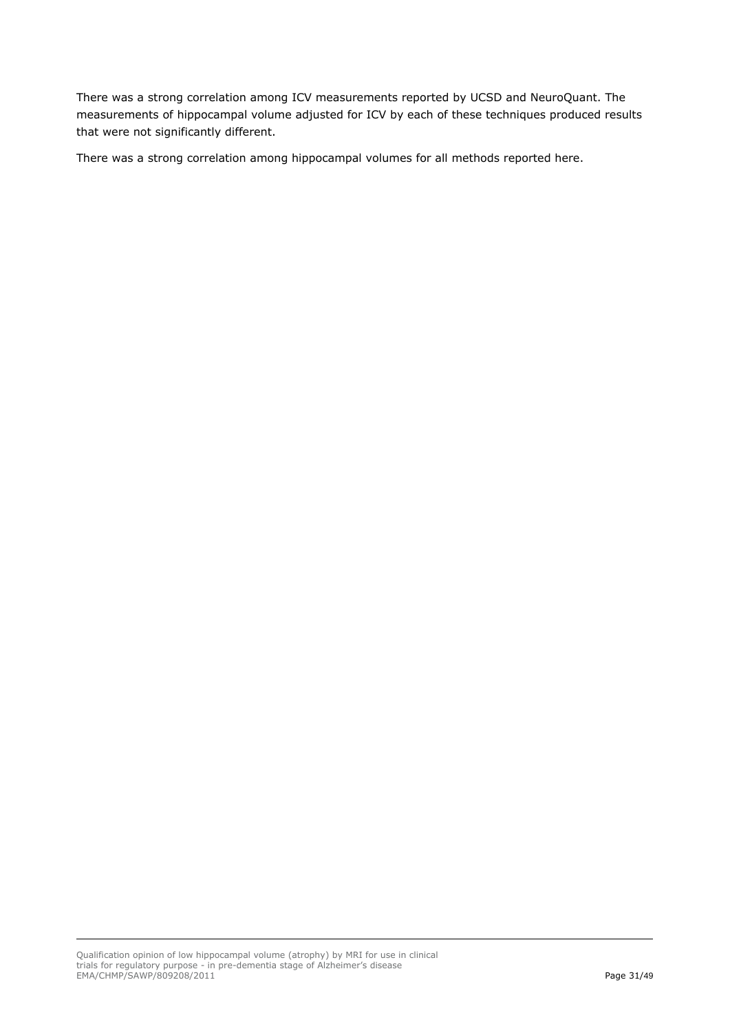There was a strong correlation among ICV measurements reported by UCSD and NeuroQuant. The measurements of hippocampal volume adjusted for ICV by each of these techniques produced results that were not significantly different.

There was a strong correlation among hippocampal volumes for all methods reported here.

Qualification opinion of low hippocampal volume (atrophy) by MRI for use in clinical trials for regulatory purpose - in pre-dementia stage of Alzheimer's disease EMA/CHMP/SAWP/809208/2011 2012 2022 2022 2023 2024 2022 2023 2024 2022 2023 2024 2022 2023 2024 2022 2023 2024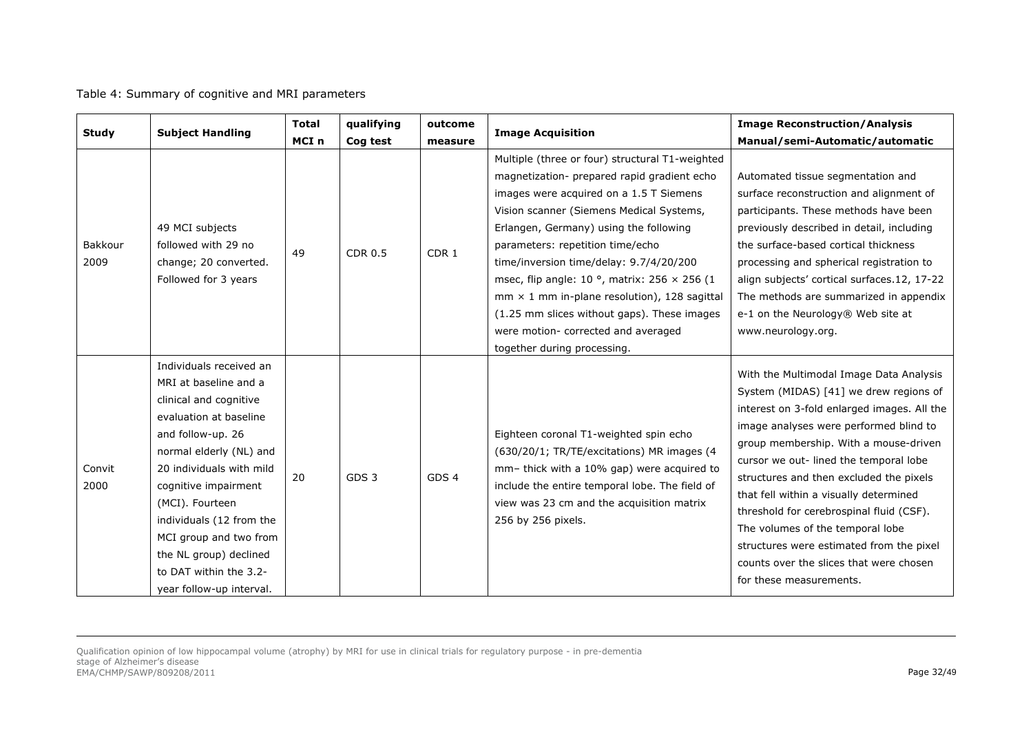Table 4: Summary of cognitive and MRI parameters

| <b>Study</b>    | <b>Subject Handling</b>                                                                                                                                                                                                                                                                                                                                           | <b>Total</b><br>MCI <sub>n</sub> | qualifying<br>Cog test | outcome<br>measure | <b>Image Acquisition</b>                                                                                                                                                                                                                                                                                                                                                                                                                                                                                                                          | <b>Image Reconstruction/Analysis</b><br>Manual/semi-Automatic/automatic                                                                                                                                                                                                                                                                                                                                                                                                                                                                              |
|-----------------|-------------------------------------------------------------------------------------------------------------------------------------------------------------------------------------------------------------------------------------------------------------------------------------------------------------------------------------------------------------------|----------------------------------|------------------------|--------------------|---------------------------------------------------------------------------------------------------------------------------------------------------------------------------------------------------------------------------------------------------------------------------------------------------------------------------------------------------------------------------------------------------------------------------------------------------------------------------------------------------------------------------------------------------|------------------------------------------------------------------------------------------------------------------------------------------------------------------------------------------------------------------------------------------------------------------------------------------------------------------------------------------------------------------------------------------------------------------------------------------------------------------------------------------------------------------------------------------------------|
| Bakkour<br>2009 | 49 MCI subjects<br>followed with 29 no<br>change; 20 converted.<br>Followed for 3 years                                                                                                                                                                                                                                                                           | 49                               | <b>CDR 0.5</b>         | CDR <sub>1</sub>   | Multiple (three or four) structural T1-weighted<br>magnetization- prepared rapid gradient echo<br>images were acquired on a 1.5 T Siemens<br>Vision scanner (Siemens Medical Systems,<br>Erlangen, Germany) using the following<br>parameters: repetition time/echo<br>time/inversion time/delay: 9.7/4/20/200<br>msec, flip angle: 10 °, matrix: 256 $\times$ 256 (1<br>$mm \times 1$ mm in-plane resolution), 128 sagittal<br>(1.25 mm slices without gaps). These images<br>were motion- corrected and averaged<br>together during processing. | Automated tissue segmentation and<br>surface reconstruction and alignment of<br>participants. These methods have been<br>previously described in detail, including<br>the surface-based cortical thickness<br>processing and spherical registration to<br>align subjects' cortical surfaces.12, 17-22<br>The methods are summarized in appendix<br>e-1 on the Neurology® Web site at<br>www.neurology.org.                                                                                                                                           |
| Convit<br>2000  | Individuals received an<br>MRI at baseline and a<br>clinical and cognitive<br>evaluation at baseline<br>and follow-up. 26<br>normal elderly (NL) and<br>20 individuals with mild<br>cognitive impairment<br>(MCI). Fourteen<br>individuals (12 from the<br>MCI group and two from<br>the NL group) declined<br>to DAT within the 3.2-<br>year follow-up interval. | 20                               | GDS 3                  | GDS 4              | Eighteen coronal T1-weighted spin echo<br>(630/20/1; TR/TE/excitations) MR images (4<br>mm- thick with a 10% gap) were acquired to<br>include the entire temporal lobe. The field of<br>view was 23 cm and the acquisition matrix<br>256 by 256 pixels.                                                                                                                                                                                                                                                                                           | With the Multimodal Image Data Analysis<br>System (MIDAS) [41] we drew regions of<br>interest on 3-fold enlarged images. All the<br>image analyses were performed blind to<br>group membership. With a mouse-driven<br>cursor we out- lined the temporal lobe<br>structures and then excluded the pixels<br>that fell within a visually determined<br>threshold for cerebrospinal fluid (CSF).<br>The volumes of the temporal lobe<br>structures were estimated from the pixel<br>counts over the slices that were chosen<br>for these measurements. |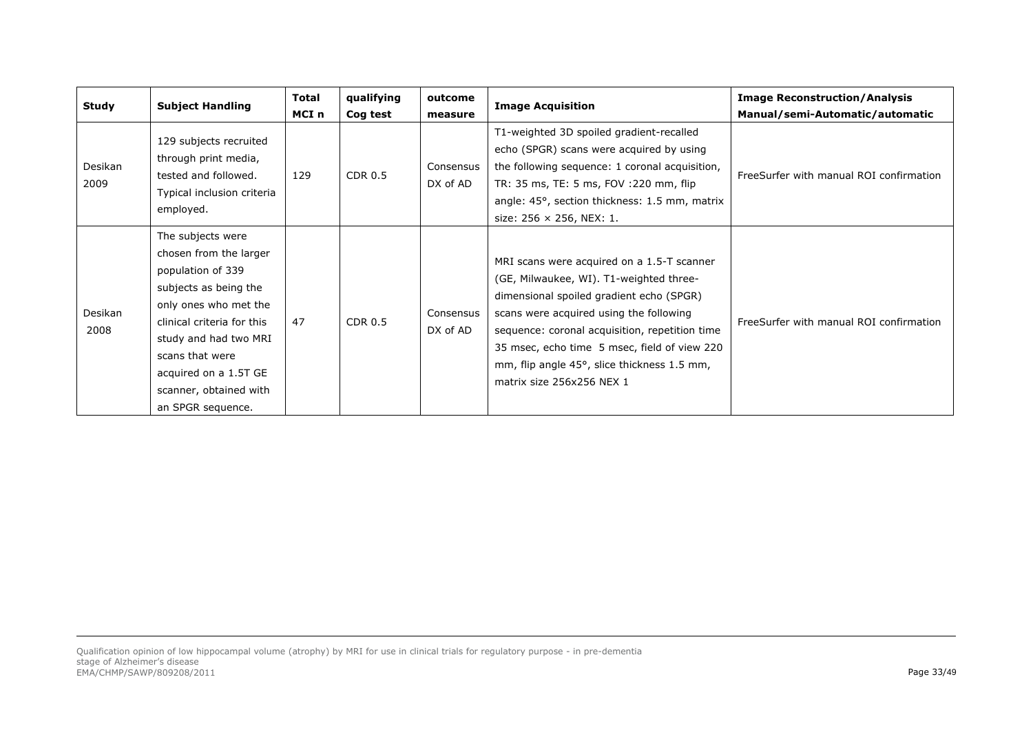| <b>Study</b>           | <b>Subject Handling</b>                                                                                                                                                                                                                                              | <b>Total</b><br>MCI <sub>n</sub> | qualifying              | outcome                          | <b>Image Acquisition</b>                                                                                                                                                                                                                                                                                                                                   | <b>Image Reconstruction/Analysis</b>                                       |
|------------------------|----------------------------------------------------------------------------------------------------------------------------------------------------------------------------------------------------------------------------------------------------------------------|----------------------------------|-------------------------|----------------------------------|------------------------------------------------------------------------------------------------------------------------------------------------------------------------------------------------------------------------------------------------------------------------------------------------------------------------------------------------------------|----------------------------------------------------------------------------|
| <b>Desikan</b><br>2009 | 129 subjects recruited<br>through print media,<br>tested and followed.<br>Typical inclusion criteria<br>employed.                                                                                                                                                    | 129                              | Cog test<br>$CDR$ $0.5$ | measure<br>Consensus<br>DX of AD | T1-weighted 3D spoiled gradient-recalled<br>echo (SPGR) scans were acquired by using<br>the following sequence: 1 coronal acquisition,<br>TR: 35 ms, TE: 5 ms, FOV : 220 mm, flip<br>angle: 45°, section thickness: 1.5 mm, matrix<br>size: $256 \times 256$ , NEX: 1.                                                                                     | Manual/semi-Automatic/automatic<br>FreeSurfer with manual ROI confirmation |
| Desikan<br>2008        | The subjects were<br>chosen from the larger<br>population of 339<br>subjects as being the<br>only ones who met the<br>clinical criteria for this<br>study and had two MRI<br>scans that were<br>acquired on a 1.5T GE<br>scanner, obtained with<br>an SPGR sequence. | 47                               | <b>CDR 0.5</b>          | Consensus<br>DX of AD            | MRI scans were acquired on a 1.5-T scanner<br>(GE, Milwaukee, WI). T1-weighted three-<br>dimensional spoiled gradient echo (SPGR)<br>scans were acquired using the following<br>sequence: coronal acquisition, repetition time<br>35 msec, echo time 5 msec, field of view 220<br>mm, flip angle 45°, slice thickness 1.5 mm,<br>matrix size 256x256 NEX 1 | FreeSurfer with manual ROI confirmation                                    |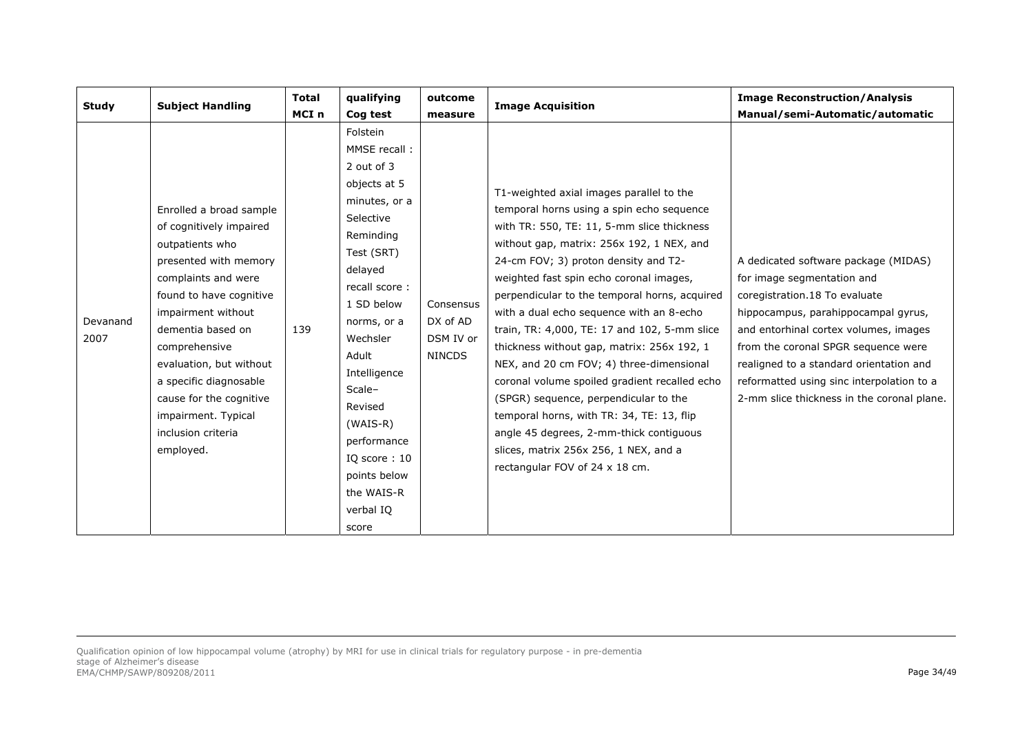| <b>Study</b>     | <b>Subject Handling</b>                                                                                                                                                                                                                                                                                                                                | <b>Total</b><br>MCI <sub>n</sub> | qualifying<br>Cog test                                                                                                                                                                                                                                                                                                                | outcome<br>measure                                  | <b>Image Acquisition</b>                                                                                                                                                                                                                                                                                                                                                                                                                                                                                                                                                                                                                                                                                                                                                | <b>Image Reconstruction/Analysis</b><br>Manual/semi-Automatic/automatic                                                                                                                                                                                                                                                                                          |
|------------------|--------------------------------------------------------------------------------------------------------------------------------------------------------------------------------------------------------------------------------------------------------------------------------------------------------------------------------------------------------|----------------------------------|---------------------------------------------------------------------------------------------------------------------------------------------------------------------------------------------------------------------------------------------------------------------------------------------------------------------------------------|-----------------------------------------------------|-------------------------------------------------------------------------------------------------------------------------------------------------------------------------------------------------------------------------------------------------------------------------------------------------------------------------------------------------------------------------------------------------------------------------------------------------------------------------------------------------------------------------------------------------------------------------------------------------------------------------------------------------------------------------------------------------------------------------------------------------------------------------|------------------------------------------------------------------------------------------------------------------------------------------------------------------------------------------------------------------------------------------------------------------------------------------------------------------------------------------------------------------|
| Devanand<br>2007 | Enrolled a broad sample<br>of cognitively impaired<br>outpatients who<br>presented with memory<br>complaints and were<br>found to have cognitive<br>impairment without<br>dementia based on<br>comprehensive<br>evaluation, but without<br>a specific diagnosable<br>cause for the cognitive<br>impairment. Typical<br>inclusion criteria<br>employed. | 139                              | Folstein<br>MMSE recall:<br>2 out of 3<br>objects at 5<br>minutes, or a<br>Selective<br>Reminding<br>Test (SRT)<br>delayed<br>recall score:<br>1 SD below<br>norms, or a<br>Wechsler<br>Adult<br>Intelligence<br>Scale-<br>Revised<br>$(WAIS-R)$<br>performance<br>IQ score: $10$<br>points below<br>the WAIS-R<br>verbal IO<br>score | Consensus<br>DX of AD<br>DSM IV or<br><b>NINCDS</b> | T1-weighted axial images parallel to the<br>temporal horns using a spin echo sequence<br>with TR: 550, TE: 11, 5-mm slice thickness<br>without gap, matrix: 256x 192, 1 NEX, and<br>24-cm FOV; 3) proton density and T2-<br>weighted fast spin echo coronal images,<br>perpendicular to the temporal horns, acquired<br>with a dual echo sequence with an 8-echo<br>train, TR: 4,000, TE: 17 and 102, 5-mm slice<br>thickness without gap, matrix: 256x 192, 1<br>NEX, and 20 cm FOV; 4) three-dimensional<br>coronal volume spoiled gradient recalled echo<br>(SPGR) sequence, perpendicular to the<br>temporal horns, with TR: 34, TE: 13, flip<br>angle 45 degrees, 2-mm-thick contiguous<br>slices, matrix 256x 256, 1 NEX, and a<br>rectangular FOV of 24 x 18 cm. | A dedicated software package (MIDAS)<br>for image segmentation and<br>coregistration.18 To evaluate<br>hippocampus, parahippocampal gyrus,<br>and entorhinal cortex volumes, images<br>from the coronal SPGR sequence were<br>realigned to a standard orientation and<br>reformatted using sinc interpolation to a<br>2-mm slice thickness in the coronal plane. |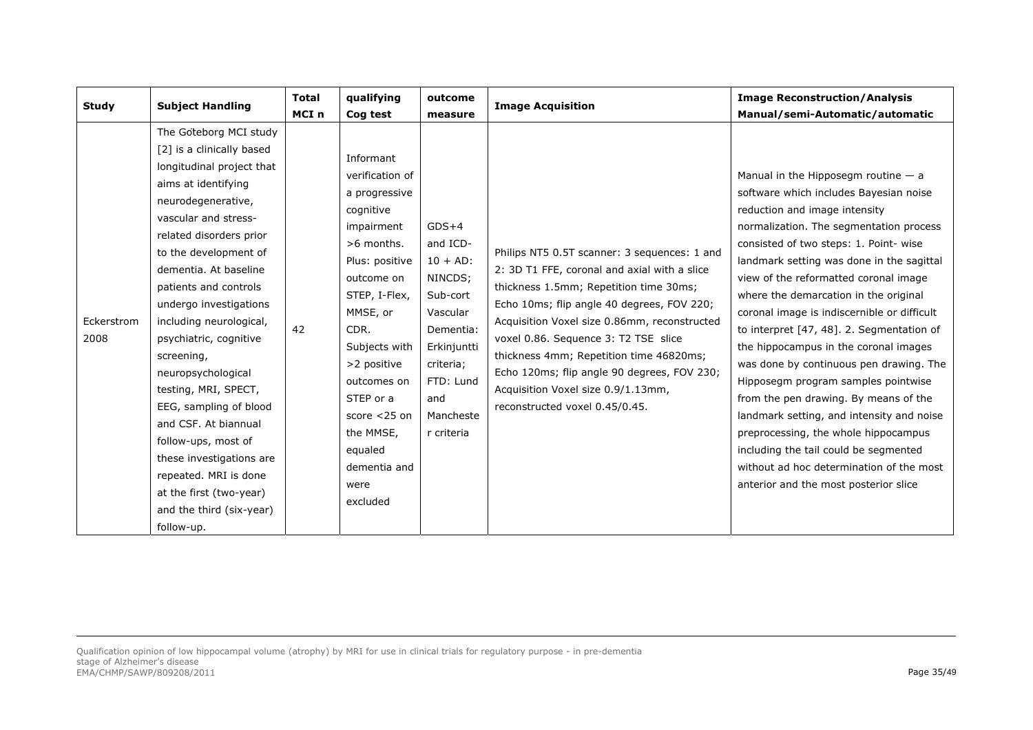|                                         |                                                                                                                                                                                                                                                                                                                                                                                                                                                                                                                                                                                                           | <b>Total</b>     | qualifying                                                                                                                                                                                                                                                                                             | outcome                                                                                                                                                       |                                                                                                                                                                                                                                                                                                                                                                                                                                                | <b>Image Reconstruction/Analysis</b>                                                                                                                                                                                                                                                                                                                                                                                                                                                                                                                                                                                                                                                                                                                                                                                    |
|-----------------------------------------|-----------------------------------------------------------------------------------------------------------------------------------------------------------------------------------------------------------------------------------------------------------------------------------------------------------------------------------------------------------------------------------------------------------------------------------------------------------------------------------------------------------------------------------------------------------------------------------------------------------|------------------|--------------------------------------------------------------------------------------------------------------------------------------------------------------------------------------------------------------------------------------------------------------------------------------------------------|---------------------------------------------------------------------------------------------------------------------------------------------------------------|------------------------------------------------------------------------------------------------------------------------------------------------------------------------------------------------------------------------------------------------------------------------------------------------------------------------------------------------------------------------------------------------------------------------------------------------|-------------------------------------------------------------------------------------------------------------------------------------------------------------------------------------------------------------------------------------------------------------------------------------------------------------------------------------------------------------------------------------------------------------------------------------------------------------------------------------------------------------------------------------------------------------------------------------------------------------------------------------------------------------------------------------------------------------------------------------------------------------------------------------------------------------------------|
| <b>Study</b><br><b>Subject Handling</b> |                                                                                                                                                                                                                                                                                                                                                                                                                                                                                                                                                                                                           | MCI <sub>n</sub> | Cog test                                                                                                                                                                                                                                                                                               | measure                                                                                                                                                       | <b>Image Acquisition</b>                                                                                                                                                                                                                                                                                                                                                                                                                       | Manual/semi-Automatic/automatic                                                                                                                                                                                                                                                                                                                                                                                                                                                                                                                                                                                                                                                                                                                                                                                         |
| Eckerstrom<br>2008                      | The Goteborg MCI study<br>[2] is a clinically based<br>longitudinal project that<br>aims at identifying<br>neurodegenerative,<br>vascular and stress-<br>related disorders prior<br>to the development of<br>dementia. At baseline<br>patients and controls<br>undergo investigations<br>including neurological,<br>psychiatric, cognitive<br>screening,<br>neuropsychological<br>testing, MRI, SPECT,<br>EEG, sampling of blood<br>and CSF. At biannual<br>follow-ups, most of<br>these investigations are<br>repeated. MRI is done<br>at the first (two-year)<br>and the third (six-year)<br>follow-up. | 42               | Informant<br>verification of<br>a progressive<br>cognitive<br>impairment<br>>6 months.<br>Plus: positive<br>outcome on<br>STEP, I-Flex,<br>MMSE, or<br>CDR.<br>Subjects with<br>>2 positive<br>outcomes on<br>STEP or a<br>score $<$ 25 on<br>the MMSE,<br>equaled<br>dementia and<br>were<br>excluded | $GDS+4$<br>and ICD-<br>$10 + AD$ :<br>NINCDS;<br>Sub-cort<br>Vascular<br>Dementia:<br>Erkinjuntti<br>criteria;<br>FTD: Lund<br>and<br>Mancheste<br>r criteria | Philips NT5 0.5T scanner: 3 sequences: 1 and<br>2: 3D T1 FFE, coronal and axial with a slice<br>thickness 1.5mm; Repetition time 30ms;<br>Echo 10ms; flip angle 40 degrees, FOV 220;<br>Acquisition Voxel size 0.86mm, reconstructed<br>voxel 0.86. Sequence 3: T2 TSE slice<br>thickness 4mm; Repetition time 46820ms;<br>Echo 120ms; flip angle 90 degrees, FOV 230;<br>Acquisition Voxel size 0.9/1.13mm,<br>reconstructed voxel 0.45/0.45. | Manual in the Hipposegm routine $-$ a<br>software which includes Bayesian noise<br>reduction and image intensity<br>normalization. The segmentation process<br>consisted of two steps: 1. Point- wise<br>landmark setting was done in the sagittal<br>view of the reformatted coronal image<br>where the demarcation in the original<br>coronal image is indiscernible or difficult<br>to interpret [47, 48]. 2. Segmentation of<br>the hippocampus in the coronal images<br>was done by continuous pen drawing. The<br>Hipposegm program samples pointwise<br>from the pen drawing. By means of the<br>landmark setting, and intensity and noise<br>preprocessing, the whole hippocampus<br>including the tail could be segmented<br>without ad hoc determination of the most<br>anterior and the most posterior slice |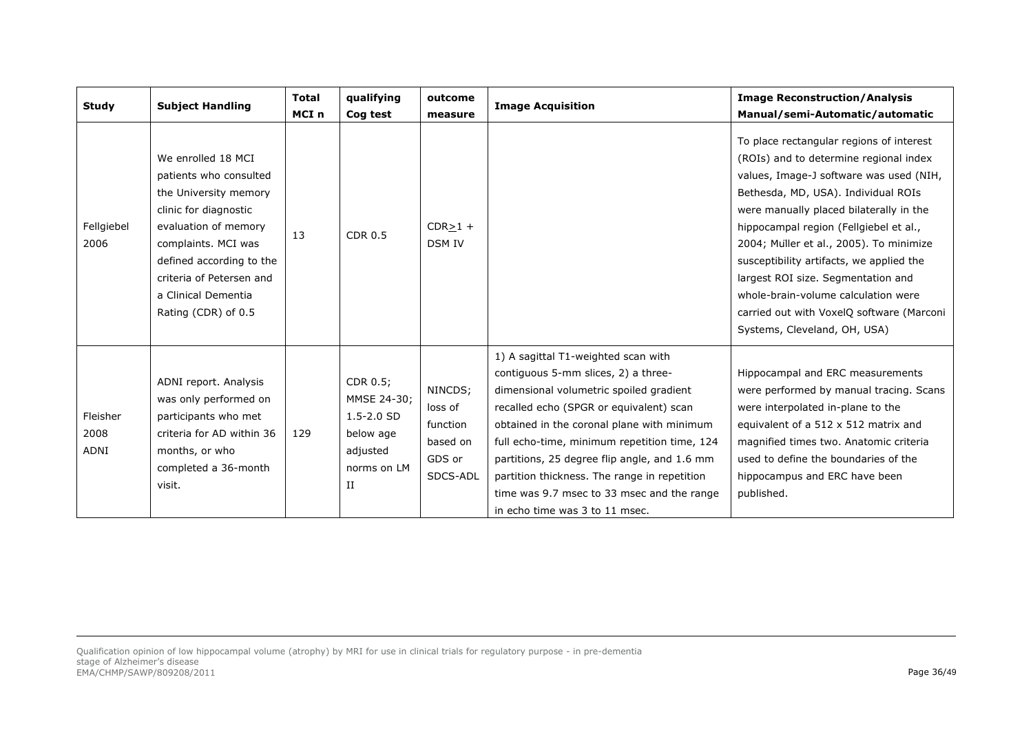|                                 |                                                                                                                                                                                                                                                     | <b>Total</b>     | qualifying                                                                                       | outcome                                                          |                                                                                                                                                                                                                                                                                                                                                                                                                                                | <b>Image Reconstruction/Analysis</b>                                                                                                                                                                                                                                                                                                                                                                                                                                                                       |
|---------------------------------|-----------------------------------------------------------------------------------------------------------------------------------------------------------------------------------------------------------------------------------------------------|------------------|--------------------------------------------------------------------------------------------------|------------------------------------------------------------------|------------------------------------------------------------------------------------------------------------------------------------------------------------------------------------------------------------------------------------------------------------------------------------------------------------------------------------------------------------------------------------------------------------------------------------------------|------------------------------------------------------------------------------------------------------------------------------------------------------------------------------------------------------------------------------------------------------------------------------------------------------------------------------------------------------------------------------------------------------------------------------------------------------------------------------------------------------------|
| <b>Study</b>                    | <b>Subject Handling</b>                                                                                                                                                                                                                             | MCI <sub>n</sub> | Cog test                                                                                         | measure                                                          | <b>Image Acquisition</b>                                                                                                                                                                                                                                                                                                                                                                                                                       | Manual/semi-Automatic/automatic                                                                                                                                                                                                                                                                                                                                                                                                                                                                            |
| Fellgiebel<br>2006              | We enrolled 18 MCI<br>patients who consulted<br>the University memory<br>clinic for diagnostic<br>evaluation of memory<br>complaints. MCI was<br>defined according to the<br>criteria of Petersen and<br>a Clinical Dementia<br>Rating (CDR) of 0.5 | 13               | $CDR$ $0.5$                                                                                      | $CDR>1 +$<br><b>DSM IV</b>                                       |                                                                                                                                                                                                                                                                                                                                                                                                                                                | To place rectangular regions of interest<br>(ROIs) and to determine regional index<br>values, Image-J software was used (NIH,<br>Bethesda, MD, USA). Individual ROIs<br>were manually placed bilaterally in the<br>hippocampal region (Fellgiebel et al.,<br>2004; Muller et al., 2005). To minimize<br>susceptibility artifacts, we applied the<br>largest ROI size. Segmentation and<br>whole-brain-volume calculation were<br>carried out with VoxelQ software (Marconi<br>Systems, Cleveland, OH, USA) |
| Fleisher<br>2008<br><b>ADNI</b> | ADNI report. Analysis<br>was only performed on<br>participants who met<br>criteria for AD within 36<br>months, or who<br>completed a 36-month<br>visit.                                                                                             | 129              | CDR 0.5;<br>MMSE 24-30:<br>$1.5 - 2.0$ SD<br>below age<br>adjusted<br>norms on LM<br>$_{\rm II}$ | NINCDS;<br>loss of<br>function<br>based on<br>GDS or<br>SDCS-ADL | 1) A sagittal T1-weighted scan with<br>contiguous 5-mm slices, 2) a three-<br>dimensional volumetric spoiled gradient<br>recalled echo (SPGR or equivalent) scan<br>obtained in the coronal plane with minimum<br>full echo-time, minimum repetition time, 124<br>partitions, 25 degree flip angle, and 1.6 mm<br>partition thickness. The range in repetition<br>time was 9.7 msec to 33 msec and the range<br>in echo time was 3 to 11 msec. | Hippocampal and ERC measurements<br>were performed by manual tracing. Scans<br>were interpolated in-plane to the<br>equivalent of a 512 x 512 matrix and<br>magnified times two. Anatomic criteria<br>used to define the boundaries of the<br>hippocampus and ERC have been<br>published.                                                                                                                                                                                                                  |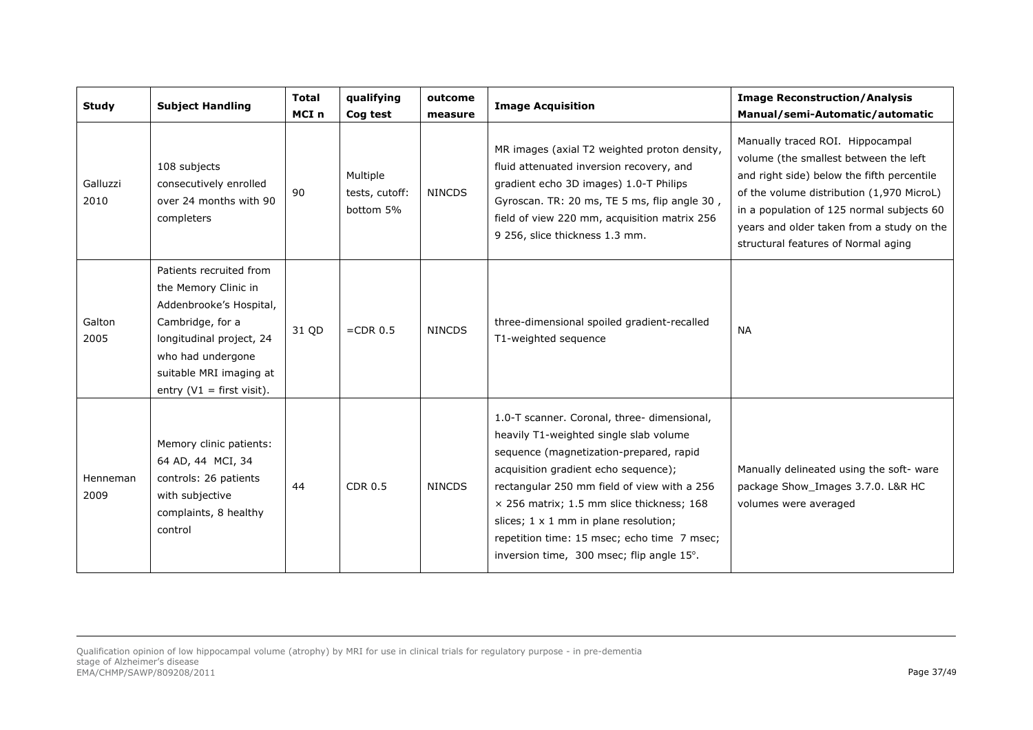| <b>Study</b>     | <b>Subject Handling</b>                                                                                                                                                                                    | <b>Total</b><br>MCI <sub>n</sub> | qualifying<br>Cog test                  | outcome<br>measure | <b>Image Acquisition</b>                                                                                                                                                                                                                                                                                                                                                                                         | <b>Image Reconstruction/Analysis</b><br>Manual/semi-Automatic/automatic                                                                                                                                                                                                                               |
|------------------|------------------------------------------------------------------------------------------------------------------------------------------------------------------------------------------------------------|----------------------------------|-----------------------------------------|--------------------|------------------------------------------------------------------------------------------------------------------------------------------------------------------------------------------------------------------------------------------------------------------------------------------------------------------------------------------------------------------------------------------------------------------|-------------------------------------------------------------------------------------------------------------------------------------------------------------------------------------------------------------------------------------------------------------------------------------------------------|
| Galluzzi<br>2010 | 108 subjects<br>consecutively enrolled<br>over 24 months with 90<br>completers                                                                                                                             | 90                               | Multiple<br>tests, cutoff:<br>bottom 5% | <b>NINCDS</b>      | MR images (axial T2 weighted proton density,<br>fluid attenuated inversion recovery, and<br>gradient echo 3D images) 1.0-T Philips<br>Gyroscan. TR: 20 ms, TE 5 ms, flip angle 30,<br>field of view 220 mm, acquisition matrix 256<br>9 256, slice thickness 1.3 mm.                                                                                                                                             | Manually traced ROI. Hippocampal<br>volume (the smallest between the left<br>and right side) below the fifth percentile<br>of the volume distribution (1,970 MicroL)<br>in a population of 125 normal subjects 60<br>years and older taken from a study on the<br>structural features of Normal aging |
| Galton<br>2005   | Patients recruited from<br>the Memory Clinic in<br>Addenbrooke's Hospital,<br>Cambridge, for a<br>longitudinal project, 24<br>who had undergone<br>suitable MRI imaging at<br>entry ( $V1$ = first visit). | 31 QD                            | $=$ CDR 0.5                             | <b>NINCDS</b>      | three-dimensional spoiled gradient-recalled<br>T1-weighted sequence                                                                                                                                                                                                                                                                                                                                              | <b>NA</b>                                                                                                                                                                                                                                                                                             |
| Henneman<br>2009 | Memory clinic patients:<br>64 AD, 44 MCI, 34<br>controls: 26 patients<br>with subjective<br>complaints, 8 healthy<br>control                                                                               | 44                               | <b>CDR 0.5</b>                          | <b>NINCDS</b>      | 1.0-T scanner. Coronal, three- dimensional,<br>heavily T1-weighted single slab volume<br>sequence (magnetization-prepared, rapid<br>acquisition gradient echo sequence);<br>rectangular 250 mm field of view with a 256<br>× 256 matrix; 1.5 mm slice thickness; 168<br>slices; $1 \times 1$ mm in plane resolution;<br>repetition time: 15 msec; echo time 7 msec;<br>inversion time, 300 msec; flip angle 15°. | Manually delineated using the soft- ware<br>package Show_Images 3.7.0. L&R HC<br>volumes were averaged                                                                                                                                                                                                |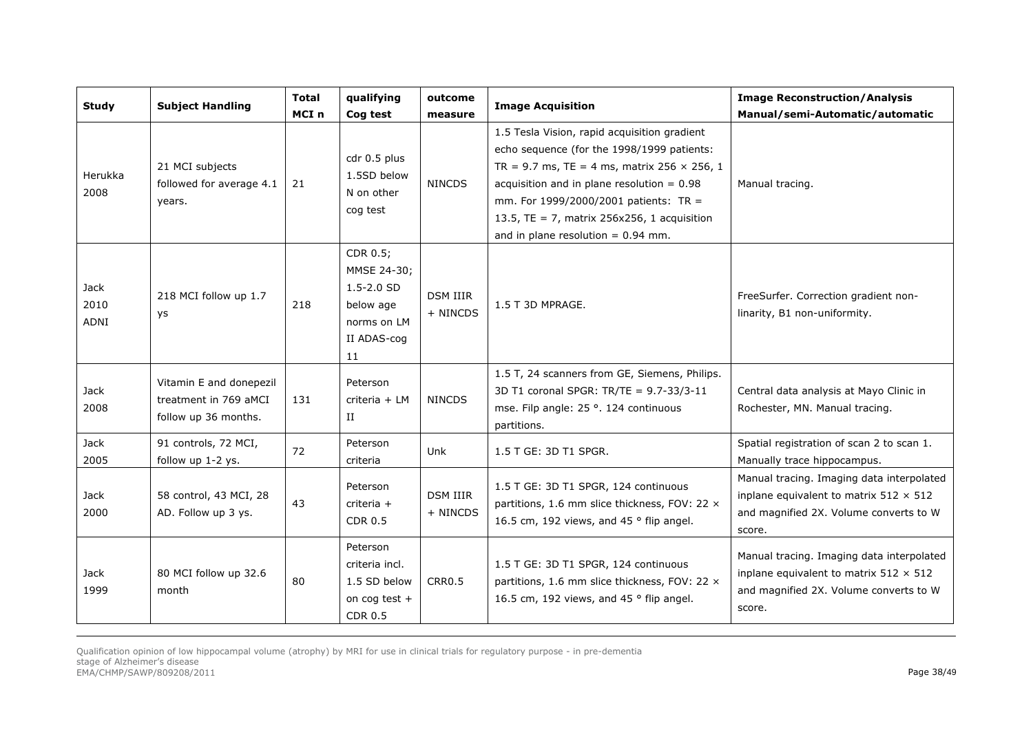| <b>Study</b>           | <b>Subject Handling</b>                                                  | <b>Total</b>     | qualifying                                                                                 | outcome                     | <b>Image Acquisition</b>                                                                                                                                                                                                                                                                                                            | <b>Image Reconstruction/Analysis</b>                                                                                                           |
|------------------------|--------------------------------------------------------------------------|------------------|--------------------------------------------------------------------------------------------|-----------------------------|-------------------------------------------------------------------------------------------------------------------------------------------------------------------------------------------------------------------------------------------------------------------------------------------------------------------------------------|------------------------------------------------------------------------------------------------------------------------------------------------|
|                        |                                                                          | MCI <sub>n</sub> | Cog test                                                                                   | measure                     |                                                                                                                                                                                                                                                                                                                                     | Manual/semi-Automatic/automatic                                                                                                                |
| <b>Herukka</b><br>2008 | 21 MCI subjects<br>followed for average 4.1<br>years.                    | 21               | cdr 0.5 plus<br>1.5SD below<br>N on other<br>cog test                                      | <b>NINCDS</b>               | 1.5 Tesla Vision, rapid acquisition gradient<br>echo sequence (for the 1998/1999 patients:<br>TR = 9.7 ms, TE = 4 ms, matrix 256 $\times$ 256, 1<br>acquisition and in plane resolution $= 0.98$<br>mm. For 1999/2000/2001 patients: TR =<br>13.5, TE = 7, matrix $256x256$ , 1 acquisition<br>and in plane resolution = $0.94$ mm. | Manual tracing.                                                                                                                                |
| Jack<br>2010<br>ADNI   | 218 MCI follow up 1.7<br>ys                                              | 218              | CDR 0.5;<br>MMSE 24-30;<br>$1.5 - 2.0$ SD<br>below age<br>norms on LM<br>II ADAS-cog<br>11 | <b>DSM IIIR</b><br>+ NINCDS | 1.5 T 3D MPRAGE.                                                                                                                                                                                                                                                                                                                    | FreeSurfer. Correction gradient non-<br>linarity, B1 non-uniformity.                                                                           |
| Jack<br>2008           | Vitamin E and donepezil<br>treatment in 769 aMCI<br>follow up 36 months. | 131              | Peterson<br>$criterion + LM$<br>П                                                          | <b>NINCDS</b>               | 1.5 T, 24 scanners from GE, Siemens, Philips.<br>3D T1 coronal SPGR: TR/TE = 9.7-33/3-11<br>mse. Filp angle: 25 °. 124 continuous<br>partitions.                                                                                                                                                                                    | Central data analysis at Mayo Clinic in<br>Rochester, MN. Manual tracing.                                                                      |
| Jack<br>2005           | 91 controls, 72 MCI,<br>follow up 1-2 ys.                                | 72               | Peterson<br>criteria                                                                       | Unk                         | 1.5 T GE: 3D T1 SPGR.                                                                                                                                                                                                                                                                                                               | Spatial registration of scan 2 to scan 1.<br>Manually trace hippocampus.                                                                       |
| Jack<br>2000           | 58 control, 43 MCI, 28<br>AD. Follow up 3 ys.                            | 43               | Peterson<br>$criteria +$<br><b>CDR 0.5</b>                                                 | <b>DSM IIIR</b><br>+ NINCDS | 1.5 T GE: 3D T1 SPGR, 124 continuous<br>partitions, 1.6 mm slice thickness, FOV: 22 x<br>16.5 cm, 192 views, and 45 ° flip angel.                                                                                                                                                                                                   | Manual tracing. Imaging data interpolated<br>inplane equivalent to matrix $512 \times 512$<br>and magnified 2X. Volume converts to W<br>score. |
| Jack<br>1999           | 80 MCI follow up 32.6<br>month                                           | 80               | Peterson<br>criteria incl.<br>1.5 SD below<br>on cog test $+$<br><b>CDR 0.5</b>            | CRRO.5                      | 1.5 T GE: 3D T1 SPGR, 124 continuous<br>partitions, 1.6 mm slice thickness, FOV: 22 x<br>16.5 cm, 192 views, and 45 ° flip angel.                                                                                                                                                                                                   | Manual tracing. Imaging data interpolated<br>inplane equivalent to matrix $512 \times 512$<br>and magnified 2X. Volume converts to W<br>score. |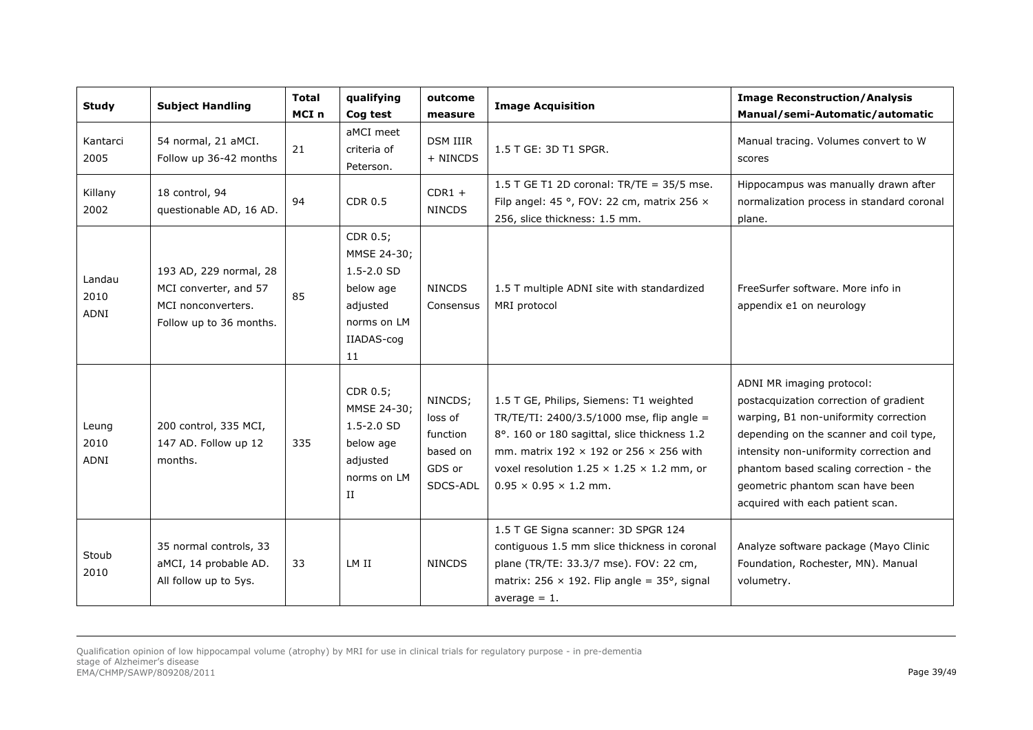| <b>Study</b>                 | <b>Subject Handling</b>                                                                          | <b>Total</b><br>MCI <sub>n</sub> | qualifying<br>Cog test                                                                                | outcome<br>measure                                               | <b>Image Acquisition</b>                                                                                                                                                                                                                                                                   | <b>Image Reconstruction/Analysis</b><br>Manual/semi-Automatic/automatic                                                                                                                                                                                                                                              |
|------------------------------|--------------------------------------------------------------------------------------------------|----------------------------------|-------------------------------------------------------------------------------------------------------|------------------------------------------------------------------|--------------------------------------------------------------------------------------------------------------------------------------------------------------------------------------------------------------------------------------------------------------------------------------------|----------------------------------------------------------------------------------------------------------------------------------------------------------------------------------------------------------------------------------------------------------------------------------------------------------------------|
| Kantarci<br>2005             | 54 normal, 21 aMCI.<br>Follow up 36-42 months                                                    | 21                               | aMCI meet<br>criteria of<br>Peterson.                                                                 | <b>DSM IIIR</b><br>+ NINCDS                                      | 1.5 T GE: 3D T1 SPGR.                                                                                                                                                                                                                                                                      | Manual tracing. Volumes convert to W<br>scores                                                                                                                                                                                                                                                                       |
| Killany<br>2002              | 18 control, 94<br>questionable AD, 16 AD.                                                        | 94                               | <b>CDR 0.5</b>                                                                                        | $CDR1 +$<br><b>NINCDS</b>                                        | 1.5 T GE T1 2D coronal: TR/TE = $35/5$ mse.<br>Filp angel: 45 °, FOV: 22 cm, matrix 256 $\times$<br>256, slice thickness: 1.5 mm.                                                                                                                                                          | Hippocampus was manually drawn after<br>normalization process in standard coronal<br>plane.                                                                                                                                                                                                                          |
| Landau<br>2010<br>ADNI       | 193 AD, 229 normal, 28<br>MCI converter, and 57<br>MCI nonconverters.<br>Follow up to 36 months. | 85                               | CDR 0.5;<br>MMSE 24-30;<br>$1.5 - 2.0$ SD<br>below age<br>adjusted<br>norms on LM<br>IIADAS-cog<br>11 | <b>NINCDS</b><br>Consensus                                       | 1.5 T multiple ADNI site with standardized<br>MRI protocol                                                                                                                                                                                                                                 | FreeSurfer software. More info in<br>appendix e1 on neurology                                                                                                                                                                                                                                                        |
| Leung<br>2010<br><b>ADNI</b> | 200 control, 335 MCI,<br>147 AD. Follow up 12<br>months.                                         | 335                              | CDR 0.5;<br>MMSE 24-30:<br>$1.5 - 2.0$ SD<br>below age<br>adjusted<br>norms on LM<br>$_{\rm II}$      | NINCDS;<br>loss of<br>function<br>based on<br>GDS or<br>SDCS-ADL | 1.5 T GE, Philips, Siemens: T1 weighted<br>TR/TE/TI: 2400/3.5/1000 mse, flip angle =<br>8°. 160 or 180 sagittal, slice thickness 1.2<br>mm. matrix 192 $\times$ 192 or 256 $\times$ 256 with<br>voxel resolution $1.25 \times 1.25 \times 1.2$ mm, or<br>$0.95 \times 0.95 \times 1.2$ mm. | ADNI MR imaging protocol:<br>postacquization correction of gradient<br>warping, B1 non-uniformity correction<br>depending on the scanner and coil type,<br>intensity non-uniformity correction and<br>phantom based scaling correction - the<br>geometric phantom scan have been<br>acquired with each patient scan. |
| Stoub<br>2010                | 35 normal controls, 33<br>aMCI, 14 probable AD.<br>All follow up to 5ys.                         | 33                               | LM II                                                                                                 | <b>NINCDS</b>                                                    | 1.5 T GE Signa scanner: 3D SPGR 124<br>contiguous 1.5 mm slice thickness in coronal<br>plane (TR/TE: 33.3/7 mse). FOV: 22 cm,<br>matrix: $256 \times 192$ . Flip angle = $35^{\circ}$ , signal<br>average $= 1$ .                                                                          | Analyze software package (Mayo Clinic<br>Foundation, Rochester, MN). Manual<br>volumetry.                                                                                                                                                                                                                            |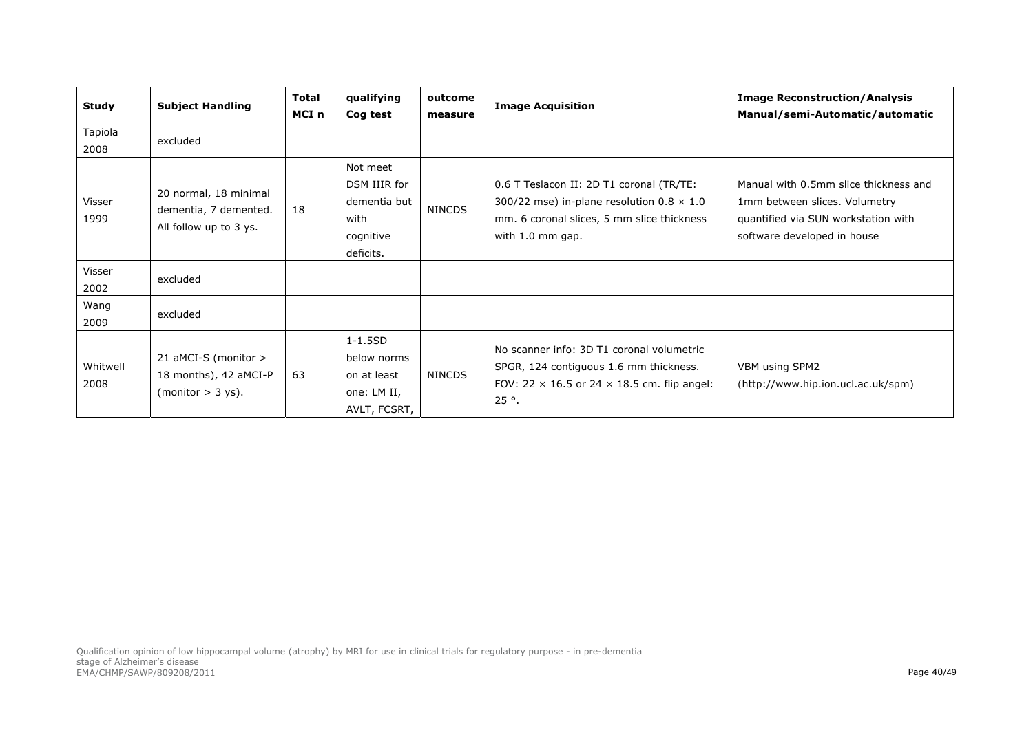| <b>Study</b>     | <b>Subject Handling</b>                                                  | <b>Total</b><br>MCI <sub>n</sub> | qualifying<br>Cog test                                                     | outcome<br>measure | <b>Image Acquisition</b>                                                                                                                                       | <b>Image Reconstruction/Analysis</b><br>Manual/semi-Automatic/automatic                                                                      |
|------------------|--------------------------------------------------------------------------|----------------------------------|----------------------------------------------------------------------------|--------------------|----------------------------------------------------------------------------------------------------------------------------------------------------------------|----------------------------------------------------------------------------------------------------------------------------------------------|
| Tapiola<br>2008  | excluded                                                                 |                                  |                                                                            |                    |                                                                                                                                                                |                                                                                                                                              |
| Visser<br>1999   | 20 normal, 18 minimal<br>dementia, 7 demented.<br>All follow up to 3 ys. | 18                               | Not meet<br>DSM IIIR for<br>dementia but<br>with<br>cognitive<br>deficits. | <b>NINCDS</b>      | 0.6 T Teslacon II: 2D T1 coronal (TR/TE:<br>300/22 mse) in-plane resolution $0.8 \times 1.0$<br>mm. 6 coronal slices, 5 mm slice thickness<br>with 1.0 mm gap. | Manual with 0.5mm slice thickness and<br>1mm between slices. Volumetry<br>quantified via SUN workstation with<br>software developed in house |
| Visser<br>2002   | excluded                                                                 |                                  |                                                                            |                    |                                                                                                                                                                |                                                                                                                                              |
| Wang<br>2009     | excluded                                                                 |                                  |                                                                            |                    |                                                                                                                                                                |                                                                                                                                              |
| Whitwell<br>2008 | 21 aMCI-S (monitor ><br>18 months), 42 aMCI-P<br>(monitor $>$ 3 ys).     | 63                               | $1-1.5SD$<br>below norms<br>on at least<br>one: LM II,<br>AVLT, FCSRT,     | NINCDS             | No scanner info: 3D T1 coronal volumetric<br>SPGR, 124 contiguous 1.6 mm thickness.<br>FOV: 22 $\times$ 16.5 or 24 $\times$ 18.5 cm. flip angel:<br>$25°$ .    | VBM using SPM2<br>(http://www.hip.ion.ucl.ac.uk/spm)                                                                                         |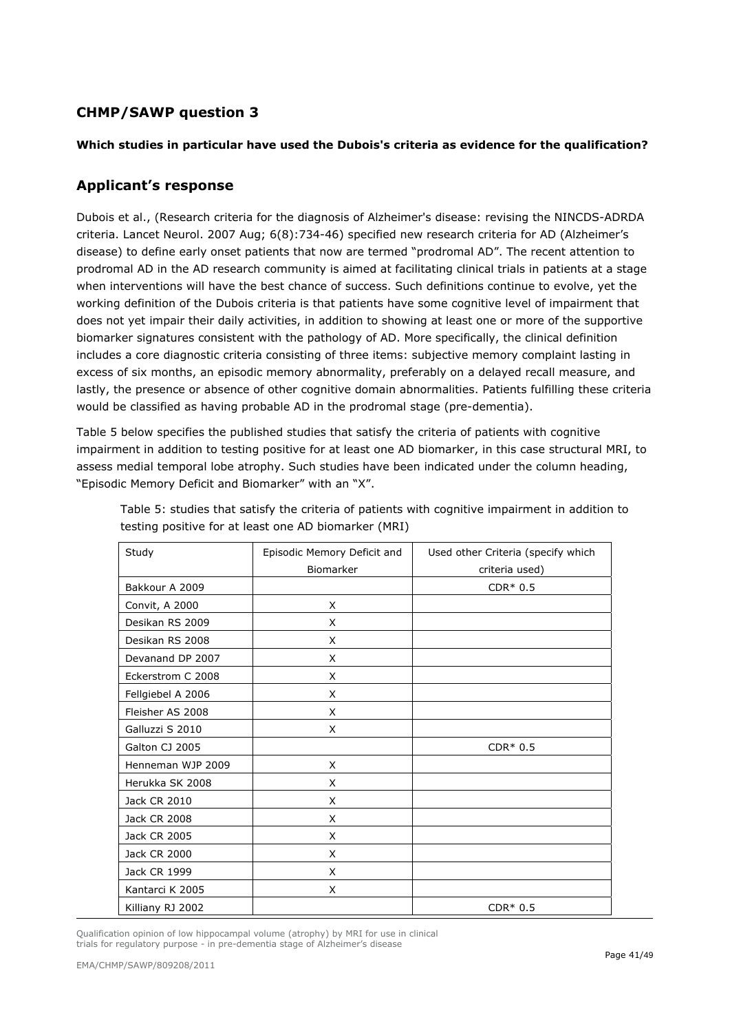### **CHMP/SAWP question 3**

#### **Which studies in particular have used the Dubois's criteria as evidence for the qualification?**

### **Applicant's response**

Dubois et al., (Research criteria for the diagnosis of Alzheimer's disease: revising the NINCDS-ADRDA criteria. Lancet Neurol. 2007 Aug; 6(8):734-46) specified new research criteria for AD (Alzheimer's disease) to define early onset patients that now are termed "prodromal AD". The recent attention to prodromal AD in the AD research community is aimed at facilitating clinical trials in patients at a stage when interventions will have the best chance of success. Such definitions continue to evolve, yet the working definition of the Dubois criteria is that patients have some cognitive level of impairment that does not yet impair their daily activities, in addition to showing at least one or more of the supportive biomarker signatures consistent with the pathology of AD. More specifically, the clinical definition includes a core diagnostic criteria consisting of three items: subjective memory complaint lasting in excess of six months, an episodic memory abnormality, preferably on a delayed recall measure, and lastly, the presence or absence of other cognitive domain abnormalities. Patients fulfilling these criteria would be classified as having probable AD in the prodromal stage (pre-dementia).

Table 5 below specifies the published studies that satisfy the criteria of patients with cognitive impairment in addition to testing positive for at least one AD biomarker, in this case structural MRI, to assess medial temporal lobe atrophy. Such studies have been indicated under the column heading, "Episodic Memory Deficit and Biomarker" with an "X".

| Study               | Episodic Memory Deficit and<br>Biomarker | Used other Criteria (specify which<br>criteria used) |
|---------------------|------------------------------------------|------------------------------------------------------|
| Bakkour A 2009      |                                          | $CDR*0.5$                                            |
| Convit, A 2000      | X                                        |                                                      |
| Desikan RS 2009     | X                                        |                                                      |
| Desikan RS 2008     | X                                        |                                                      |
| Devanand DP 2007    | X                                        |                                                      |
| Eckerstrom C 2008   | X                                        |                                                      |
| Fellgiebel A 2006   | X                                        |                                                      |
| Fleisher AS 2008    | X                                        |                                                      |
| Galluzzi S 2010     | X                                        |                                                      |
| Galton CJ 2005      |                                          | $CDR*0.5$                                            |
| Henneman WJP 2009   | X                                        |                                                      |
| Herukka SK 2008     | X                                        |                                                      |
| Jack CR 2010        | X                                        |                                                      |
| <b>Jack CR 2008</b> | X                                        |                                                      |
| Jack CR 2005        | X                                        |                                                      |
| Jack CR 2000        | X                                        |                                                      |
| Jack CR 1999        | X                                        |                                                      |
| Kantarci K 2005     | X                                        |                                                      |
| Killiany RJ 2002    |                                          | $CDR*0.5$                                            |

Table 5: studies that satisfy the criteria of patients with cognitive impairment in addition to testing positive for at least one AD biomarker (MRI)

Qualification opinion of low hippocampal volume (atrophy) by MRI for use in clinical trials for regulatory purpose - in pre-dementia stage of Alzheimer's disease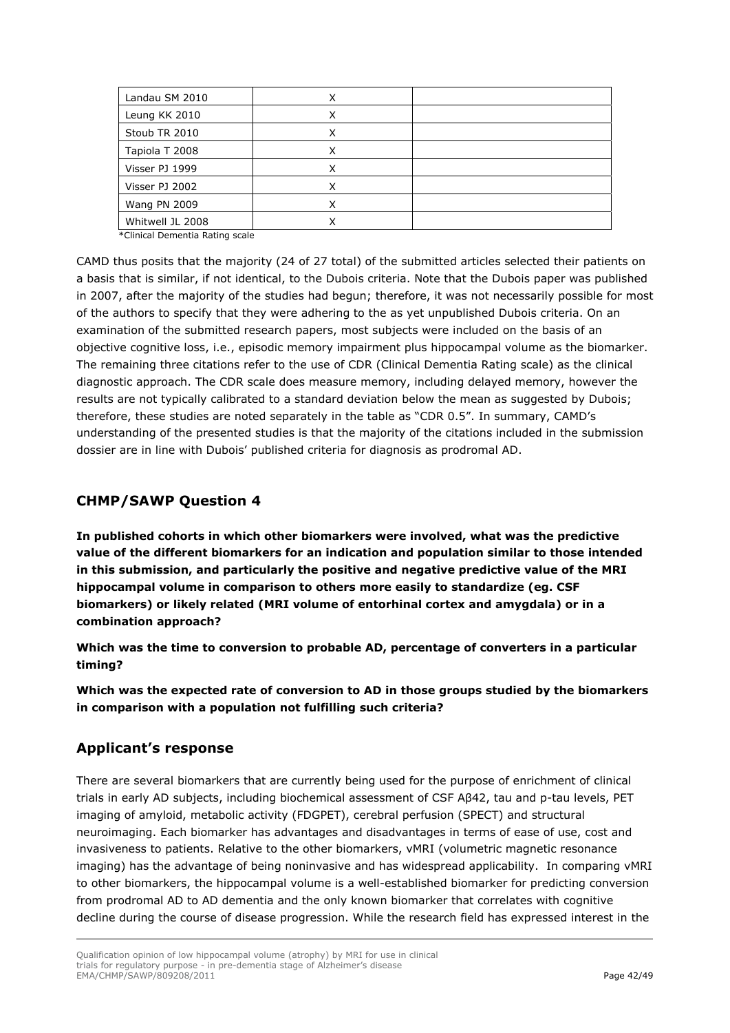| Landau SM 2010                                                | X |  |
|---------------------------------------------------------------|---|--|
| Leung KK 2010                                                 | Χ |  |
| Stoub TR 2010                                                 | Χ |  |
| Tapiola T 2008                                                | Χ |  |
| Visser PJ 1999                                                | Χ |  |
| Visser PJ 2002                                                | Χ |  |
| <b>Wang PN 2009</b>                                           | Χ |  |
| Whitwell JL 2008<br>$\star$ Clinical Descending Defined and L | Χ |  |

\*Clinical Dementia Rating scale

CAMD thus posits that the majority (24 of 27 total) of the submitted articles selected their patients on a basis that is similar, if not identical, to the Dubois criteria. Note that the Dubois paper was published in 2007, after the majority of the studies had begun; therefore, it was not necessarily possible for most of the authors to specify that they were adhering to the as yet unpublished Dubois criteria. On an examination of the submitted research papers, most subjects were included on the basis of an objective cognitive loss, i.e., episodic memory impairment plus hippocampal volume as the biomarker. The remaining three citations refer to the use of CDR (Clinical Dementia Rating scale) as the clinical diagnostic approach. The CDR scale does measure memory, including delayed memory, however the results are not typically calibrated to a standard deviation below the mean as suggested by Dubois; therefore, these studies are noted separately in the table as "CDR 0.5". In summary, CAMD's understanding of the presented studies is that the majority of the citations included in the submission dossier are in line with Dubois' published criteria for diagnosis as prodromal AD.

### **CHMP/SAWP Question 4**

**In published cohorts in which other biomarkers were involved, what was the predictive value of the different biomarkers for an indication and population similar to those intended in this submission, and particularly the positive and negative predictive value of the MRI hippocampal volume in comparison to others more easily to standardize (eg. CSF biomarkers) or likely related (MRI volume of entorhinal cortex and amygdala) or in a combination approach?** 

**Which was the time to conversion to probable AD, percentage of converters in a particular timing?** 

**Which was the expected rate of conversion to AD in those groups studied by the biomarkers in comparison with a population not fulfilling such criteria?** 

### **Applicant's response**

There are several biomarkers that are currently being used for the purpose of enrichment of clinical trials in early AD subjects, including biochemical assessment of CSF Aβ42, tau and p-tau levels, PET imaging of amyloid, metabolic activity (FDGPET), cerebral perfusion (SPECT) and structural neuroimaging. Each biomarker has advantages and disadvantages in terms of ease of use, cost and invasiveness to patients. Relative to the other biomarkers, vMRI (volumetric magnetic resonance imaging) has the advantage of being noninvasive and has widespread applicability. In comparing vMRI to other biomarkers, the hippocampal volume is a well-established biomarker for predicting conversion from prodromal AD to AD dementia and the only known biomarker that correlates with cognitive decline during the course of disease progression. While the research field has expressed interest in the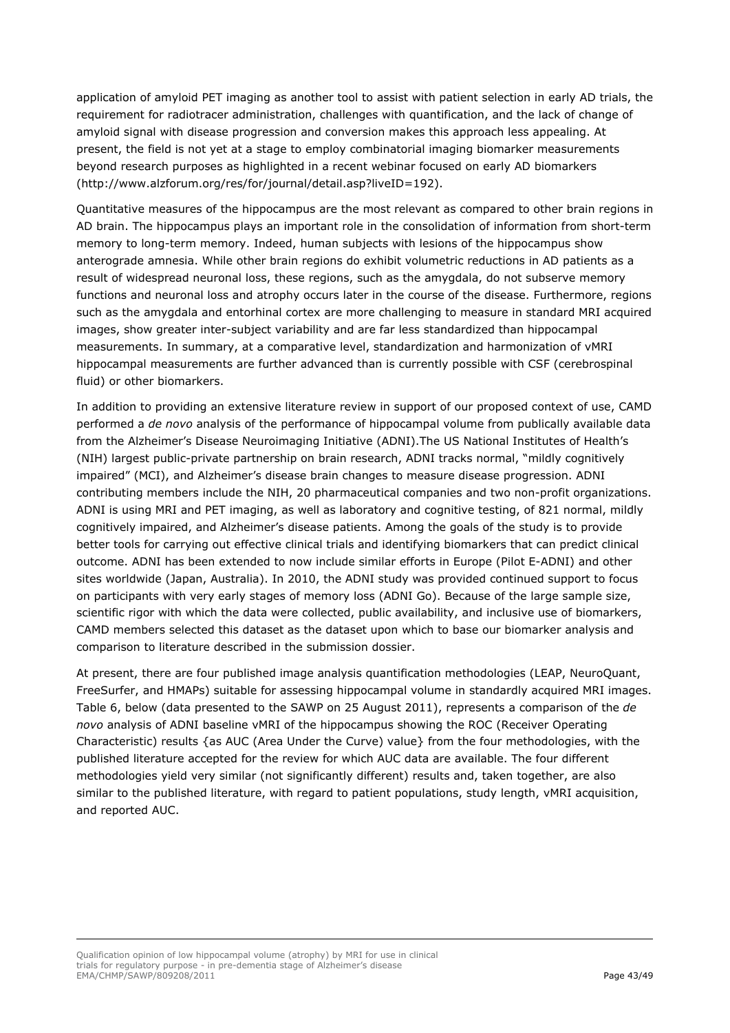application of amyloid PET imaging as another tool to assist with patient selection in early AD trials, the requirement for radiotracer administration, challenges with quantification, and the lack of change of amyloid signal with disease progression and conversion makes this approach less appealing. At present, the field is not yet at a stage to employ combinatorial imaging biomarker measurements beyond research purposes as highlighted in a recent webinar focused on early AD biomarkers (http://www.alzforum.org/res/for/journal/detail.asp?liveID=192).

Quantitative measures of the hippocampus are the most relevant as compared to other brain regions in AD brain. The hippocampus plays an important role in the consolidation of information from short-term memory to long-term memory. Indeed, human subjects with lesions of the hippocampus show anterograde amnesia. While other brain regions do exhibit volumetric reductions in AD patients as a result of widespread neuronal loss, these regions, such as the amygdala, do not subserve memory functions and neuronal loss and atrophy occurs later in the course of the disease. Furthermore, regions such as the amygdala and entorhinal cortex are more challenging to measure in standard MRI acquired images, show greater inter-subject variability and are far less standardized than hippocampal measurements. In summary, at a comparative level, standardization and harmonization of vMRI hippocampal measurements are further advanced than is currently possible with CSF (cerebrospinal fluid) or other biomarkers.

In addition to providing an extensive literature review in support of our proposed context of use, CAMD performed a *de novo* analysis of the performance of hippocampal volume from publically available data from the Alzheimer's Disease Neuroimaging Initiative (ADNI).The US National Institutes of Health's (NIH) largest public-private partnership on brain research, ADNI tracks normal, "mildly cognitively impaired" (MCI), and Alzheimer's disease brain changes to measure disease progression. ADNI contributing members include the NIH, 20 pharmaceutical companies and two non-profit organizations. ADNI is using MRI and PET imaging, as well as laboratory and cognitive testing, of 821 normal, mildly cognitively impaired, and Alzheimer's disease patients. Among the goals of the study is to provide better tools for carrying out effective clinical trials and identifying biomarkers that can predict clinical outcome. ADNI has been extended to now include similar efforts in Europe (Pilot E-ADNI) and other sites worldwide (Japan, Australia). In 2010, the ADNI study was provided continued support to focus on participants with very early stages of memory loss (ADNI Go). Because of the large sample size, scientific rigor with which the data were collected, public availability, and inclusive use of biomarkers, CAMD members selected this dataset as the dataset upon which to base our biomarker analysis and comparison to literature described in the submission dossier.

At present, there are four published image analysis quantification methodologies (LEAP, NeuroQuant, FreeSurfer, and HMAPs) suitable for assessing hippocampal volume in standardly acquired MRI images. Table 6, below (data presented to the SAWP on 25 August 2011), represents a comparison of the *de novo* analysis of ADNI baseline vMRI of the hippocampus showing the ROC (Receiver Operating Characteristic) results {as AUC (Area Under the Curve) value} from the four methodologies, with the published literature accepted for the review for which AUC data are available. The four different methodologies yield very similar (not significantly different) results and, taken together, are also similar to the published literature, with regard to patient populations, study length, vMRI acquisition, and reported AUC.

Qualification opinion of low hippocampal volume (atrophy) by MRI for use in clinical trials for regulatory purpose - in pre-dementia stage of Alzheimer's disease EMA/CHMP/SAWP/809208/2011 Page 43/49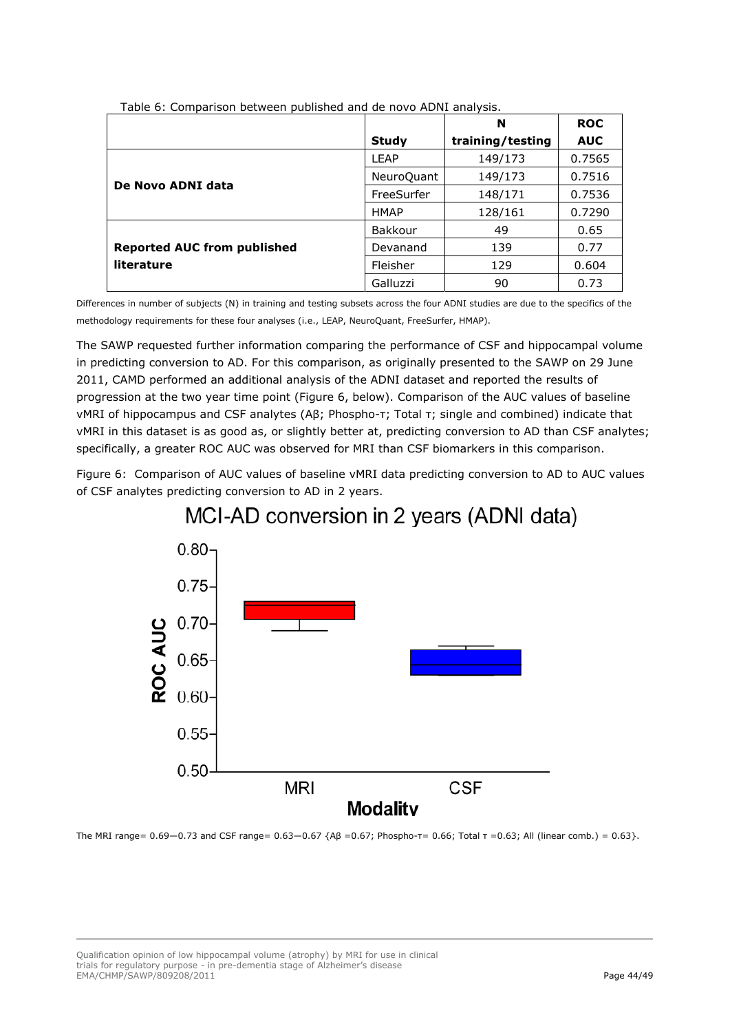|                                    |                                                                                                        | N                | <b>ROC</b> |
|------------------------------------|--------------------------------------------------------------------------------------------------------|------------------|------------|
|                                    | <b>Study</b>                                                                                           | training/testing | <b>AUC</b> |
|                                    | LEAP                                                                                                   | 149/173          | 0.7565     |
| De Novo ADNI data                  | NeuroQuant                                                                                             | 149/173          | 0.7516     |
|                                    | FreeSurfer                                                                                             | 148/171          | 0.7536     |
|                                    | 128/161<br><b>HMAP</b><br><b>Bakkour</b><br>49<br>139<br>Devanand<br>Fleisher<br>129<br>Galluzzi<br>90 | 0.7290           |            |
|                                    |                                                                                                        |                  | 0.65       |
| <b>Reported AUC from published</b> |                                                                                                        |                  | 0.77       |
| literature                         |                                                                                                        |                  | 0.604      |
|                                    |                                                                                                        |                  | 0.73       |

Table 6: Comparison between published and de novo ADNI analysis.

Differences in number of subjects (N) in training and testing subsets across the four ADNI studies are due to the specifics of the methodology requirements for these four analyses (i.e., LEAP, NeuroQuant, FreeSurfer, HMAP).

The SAWP requested further information comparing the performance of CSF and hippocampal volume in predicting conversion to AD. For this comparison, as originally presented to the SAWP on 29 June 2011, CAMD performed an additional analysis of the ADNI dataset and reported the results of progression at the two year time point (Figure 6, below). Comparison of the AUC values of baseline vMRI of hippocampus and CSF analytes (Aβ; Phospho-τ; Total τ; single and combined) indicate that vMRI in this dataset is as good as, or slightly better at, predicting conversion to AD than CSF analytes; specifically, a greater ROC AUC was observed for MRI than CSF biomarkers in this comparison.

Figure 6: Comparison of AUC values of baseline vMRI data predicting conversion to AD to AUC values of CSF analytes predicting conversion to AD in 2 years.

# MCI-AD conversion in 2 years (ADNI data)



The MRI range= 0.69-0.73 and CSF range= 0.63-0.67 {Aβ =0.67; Phospho-τ= 0.66; Total τ =0.63; All (linear comb.) = 0.63}.

Qualification opinion of low hippocampal volume (atrophy) by MRI for use in clinical trials for regulatory purpose - in pre-dementia stage of Alzheimer's disease EMA/CHMP/SAWP/809208/2011 Page 44/49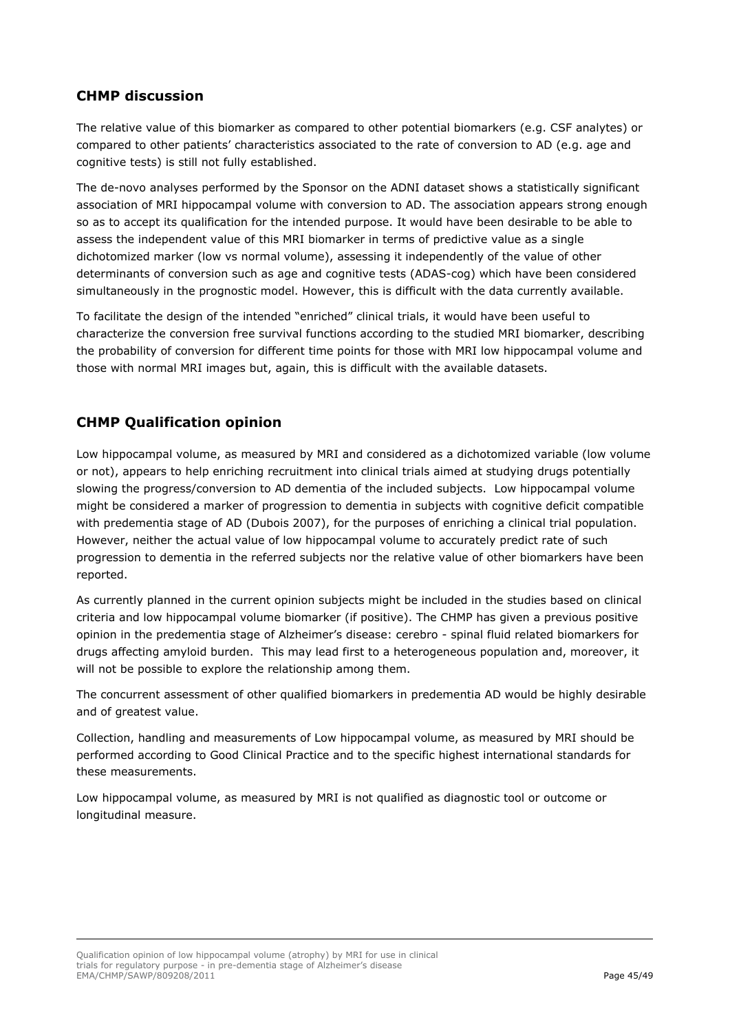### **CHMP discussion**

The relative value of this biomarker as compared to other potential biomarkers (e.g. CSF analytes) or compared to other patients' characteristics associated to the rate of conversion to AD (e.g. age and cognitive tests) is still not fully established.

The de-novo analyses performed by the Sponsor on the ADNI dataset shows a statistically significant association of MRI hippocampal volume with conversion to AD. The association appears strong enough so as to accept its qualification for the intended purpose. It would have been desirable to be able to assess the independent value of this MRI biomarker in terms of predictive value as a single dichotomized marker (low vs normal volume), assessing it independently of the value of other determinants of conversion such as age and cognitive tests (ADAS-cog) which have been considered simultaneously in the prognostic model. However, this is difficult with the data currently available.

To facilitate the design of the intended "enriched" clinical trials, it would have been useful to characterize the conversion free survival functions according to the studied MRI biomarker, describing the probability of conversion for different time points for those with MRI low hippocampal volume and those with normal MRI images but, again, this is difficult with the available datasets.

### **CHMP Qualification opinion**

Low hippocampal volume, as measured by MRI and considered as a dichotomized variable (low volume or not), appears to help enriching recruitment into clinical trials aimed at studying drugs potentially slowing the progress/conversion to AD dementia of the included subjects. Low hippocampal volume might be considered a marker of progression to dementia in subjects with cognitive deficit compatible with predementia stage of AD (Dubois 2007), for the purposes of enriching a clinical trial population. However, neither the actual value of low hippocampal volume to accurately predict rate of such progression to dementia in the referred subjects nor the relative value of other biomarkers have been reported.

As currently planned in the current opinion subjects might be included in the studies based on clinical criteria and low hippocampal volume biomarker (if positive). The CHMP has given a previous positive opinion in the predementia stage of Alzheimer's disease: cerebro - spinal fluid related biomarkers for drugs affecting amyloid burden. This may lead first to a heterogeneous population and, moreover, it will not be possible to explore the relationship among them.

The concurrent assessment of other qualified biomarkers in predementia AD would be highly desirable and of greatest value.

Collection, handling and measurements of Low hippocampal volume, as measured by MRI should be performed according to Good Clinical Practice and to the specific highest international standards for these measurements.

Low hippocampal volume, as measured by MRI is not qualified as diagnostic tool or outcome or longitudinal measure.

Qualification opinion of low hippocampal volume (atrophy) by MRI for use in clinical trials for regulatory purpose - in pre-dementia stage of Alzheimer's disease EMA/CHMP/SAWP/809208/2011 Page 45/49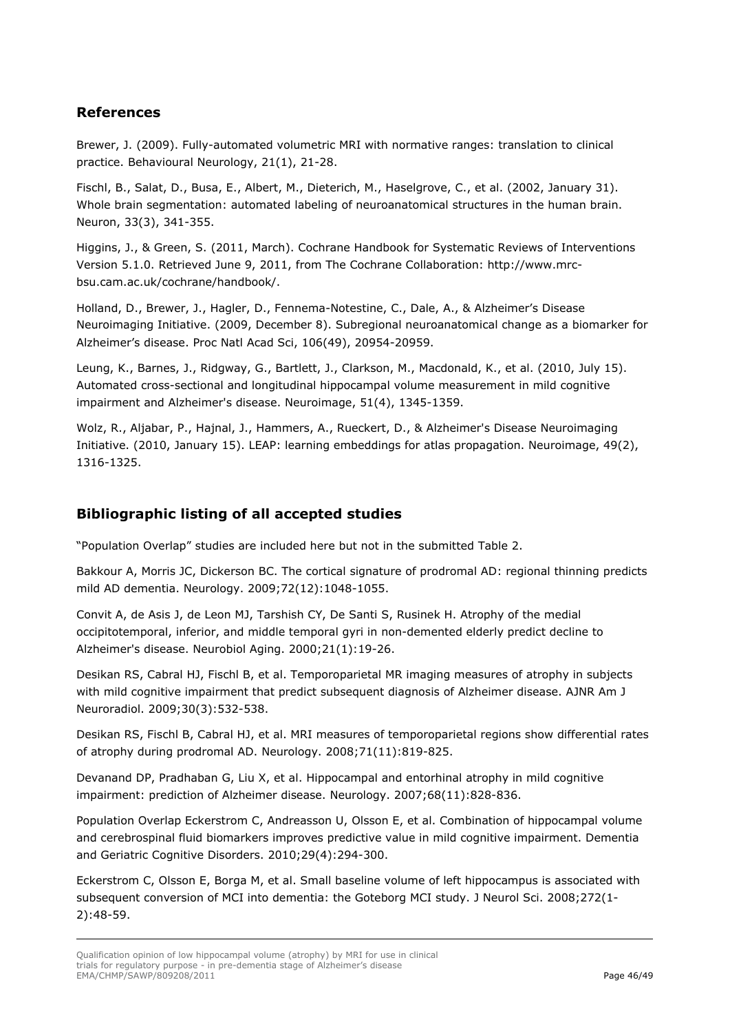### **References**

Brewer, J. (2009). Fully-automated volumetric MRI with normative ranges: translation to clinical practice. Behavioural Neurology, 21(1), 21-28.

Fischl, B., Salat, D., Busa, E., Albert, M., Dieterich, M., Haselgrove, C., et al. (2002, January 31). Whole brain segmentation: automated labeling of neuroanatomical structures in the human brain. Neuron, 33(3), 341-355.

Higgins, J., & Green, S. (2011, March). Cochrane Handbook for Systematic Reviews of Interventions Version 5.1.0. Retrieved June 9, 2011, from The Cochrane Collaboration: [http://www.mrc](http://www.mrc-bsu.cam.ac.uk/cochrane/handbook/)[bsu.cam.ac.uk/cochrane/handbook/.](http://www.mrc-bsu.cam.ac.uk/cochrane/handbook/)

Holland, D., Brewer, J., Hagler, D., Fennema-Notestine, C., Dale, A., & Alzheimer's Disease Neuroimaging Initiative. (2009, December 8). Subregional neuroanatomical change as a biomarker for Alzheimer's disease. Proc Natl Acad Sci, 106(49), 20954-20959.

Leung, K., Barnes, J., Ridgway, G., Bartlett, J., Clarkson, M., Macdonald, K., et al. (2010, July 15). Automated cross-sectional and longitudinal hippocampal volume measurement in mild cognitive impairment and Alzheimer's disease. Neuroimage, 51(4), 1345-1359.

Wolz, R., Aljabar, P., Hajnal, J., Hammers, A., Rueckert, D., & Alzheimer's Disease Neuroimaging Initiative. (2010, January 15). LEAP: learning embeddings for atlas propagation. Neuroimage, 49(2), 1316-1325.

### **Bibliographic listing of all accepted studies**

"Population Overlap" studies are included here but not in the submitted Table 2.

Bakkour A, Morris JC, Dickerson BC. The cortical signature of prodromal AD: regional thinning predicts mild AD dementia. Neurology. 2009;72(12):1048-1055.

Convit A, de Asis J, de Leon MJ, Tarshish CY, De Santi S, Rusinek H. Atrophy of the medial occipitotemporal, inferior, and middle temporal gyri in non-demented elderly predict decline to Alzheimer's disease. Neurobiol Aging. 2000;21(1):19-26.

Desikan RS, Cabral HJ, Fischl B, et al. Temporoparietal MR imaging measures of atrophy in subjects with mild cognitive impairment that predict subsequent diagnosis of Alzheimer disease. AJNR Am J Neuroradiol. 2009;30(3):532-538.

Desikan RS, Fischl B, Cabral HJ, et al. MRI measures of temporoparietal regions show differential rates of atrophy during prodromal AD. Neurology. 2008;71(11):819-825.

Devanand DP, Pradhaban G, Liu X, et al. Hippocampal and entorhinal atrophy in mild cognitive impairment: prediction of Alzheimer disease. Neurology. 2007;68(11):828-836.

Population Overlap Eckerstrom C, Andreasson U, Olsson E, et al. Combination of hippocampal volume and cerebrospinal fluid biomarkers improves predictive value in mild cognitive impairment. Dementia and Geriatric Cognitive Disorders. 2010;29(4):294-300.

Eckerstrom C, Olsson E, Borga M, et al. Small baseline volume of left hippocampus is associated with subsequent conversion of MCI into dementia: the Goteborg MCI study. J Neurol Sci. 2008;272(1- 2):48-59.

Qualification opinion of low hippocampal volume (atrophy) by MRI for use in clinical trials for regulatory purpose - in pre-dementia stage of Alzheimer's disease EMA/CHMP/SAWP/809208/2011 Providence case of the material cases of the case of the case of the case of the case of the case of the case of the case of the case of the case of the case of the case of the case of the case of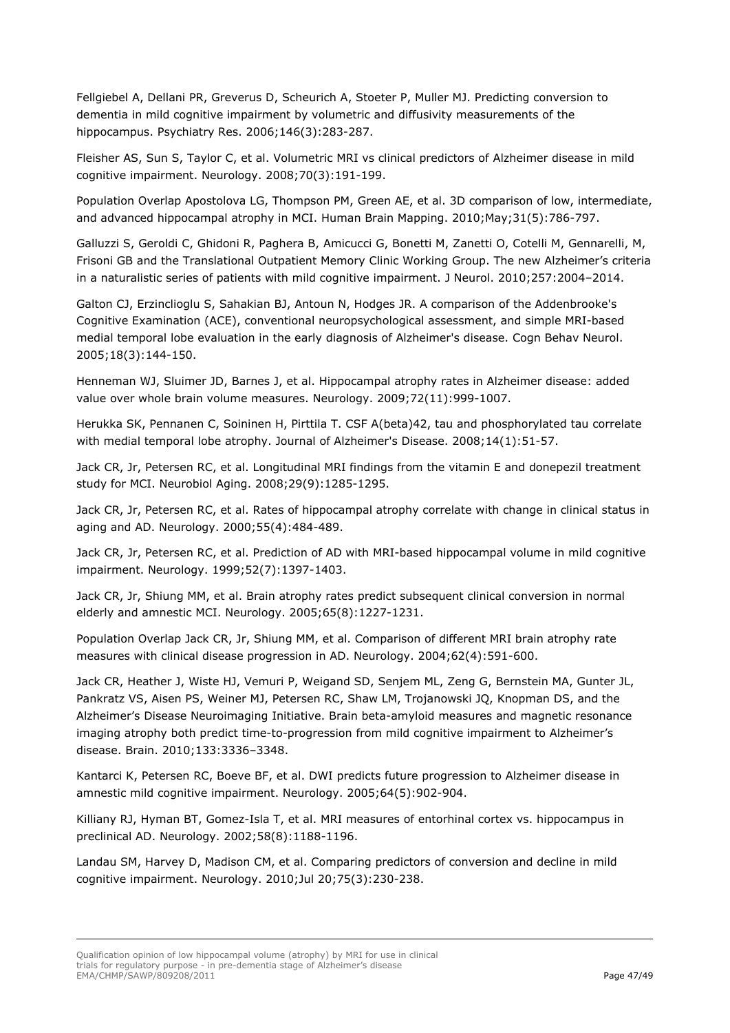Fellgiebel A, Dellani PR, Greverus D, Scheurich A, Stoeter P, Muller MJ. Predicting conversion to dementia in mild cognitive impairment by volumetric and diffusivity measurements of the hippocampus. Psychiatry Res. 2006;146(3):283-287.

Fleisher AS, Sun S, Taylor C, et al. Volumetric MRI vs clinical predictors of Alzheimer disease in mild cognitive impairment. Neurology. 2008;70(3):191-199.

Population Overlap Apostolova LG, Thompson PM, Green AE, et al. 3D comparison of low, intermediate, and advanced hippocampal atrophy in MCI. Human Brain Mapping. 2010;May;31(5):786-797.

Galluzzi S, Geroldi C, Ghidoni R, Paghera B, Amicucci G, Bonetti M, Zanetti O, Cotelli M, Gennarelli, M, Frisoni GB and the Translational Outpatient Memory Clinic Working Group. The new Alzheimer's criteria in a naturalistic series of patients with mild cognitive impairment. J Neurol. 2010;257:2004–2014.

Galton CJ, Erzinclioglu S, Sahakian BJ, Antoun N, Hodges JR. A comparison of the Addenbrooke's Cognitive Examination (ACE), conventional neuropsychological assessment, and simple MRI-based medial temporal lobe evaluation in the early diagnosis of Alzheimer's disease. Cogn Behav Neurol. 2005;18(3):144-150.

Henneman WJ, Sluimer JD, Barnes J, et al. Hippocampal atrophy rates in Alzheimer disease: added value over whole brain volume measures. Neurology. 2009;72(11):999-1007.

Herukka SK, Pennanen C, Soininen H, Pirttila T. CSF A(beta)42, tau and phosphorylated tau correlate with medial temporal lobe atrophy. Journal of Alzheimer's Disease. 2008;14(1):51-57.

Jack CR, Jr, Petersen RC, et al. Longitudinal MRI findings from the vitamin E and donepezil treatment study for MCI. Neurobiol Aging. 2008;29(9):1285-1295.

Jack CR, Jr, Petersen RC, et al. Rates of hippocampal atrophy correlate with change in clinical status in aging and AD. Neurology. 2000;55(4):484-489.

Jack CR, Jr, Petersen RC, et al. Prediction of AD with MRI-based hippocampal volume in mild cognitive impairment. Neurology. 1999;52(7):1397-1403.

Jack CR, Jr, Shiung MM, et al. Brain atrophy rates predict subsequent clinical conversion in normal elderly and amnestic MCI. Neurology. 2005;65(8):1227-1231.

Population Overlap Jack CR, Jr, Shiung MM, et al. Comparison of different MRI brain atrophy rate measures with clinical disease progression in AD. Neurology. 2004;62(4):591-600.

Jack CR, Heather J, Wiste HJ, Vemuri P, Weigand SD, Senjem ML, Zeng G, Bernstein MA, Gunter JL, Pankratz VS, Aisen PS, Weiner MJ, Petersen RC, Shaw LM, Trojanowski JQ, Knopman DS, and the Alzheimer's Disease Neuroimaging Initiative. Brain beta-amyloid measures and magnetic resonance imaging atrophy both predict time-to-progression from mild cognitive impairment to Alzheimer's disease. Brain. 2010;133:3336–3348.

Kantarci K, Petersen RC, Boeve BF, et al. DWI predicts future progression to Alzheimer disease in amnestic mild cognitive impairment. Neurology. 2005;64(5):902-904.

Killiany RJ, Hyman BT, Gomez-Isla T, et al. MRI measures of entorhinal cortex vs. hippocampus in preclinical AD. Neurology. 2002;58(8):1188-1196.

Landau SM, Harvey D, Madison CM, et al. Comparing predictors of conversion and decline in mild cognitive impairment. Neurology. 2010;Jul 20;75(3):230-238.

Qualification opinion of low hippocampal volume (atrophy) by MRI for use in clinical trials for regulatory purpose - in pre-dementia stage of Alzheimer's disease EMA/CHMP/SAWP/809208/2011 Page 47/49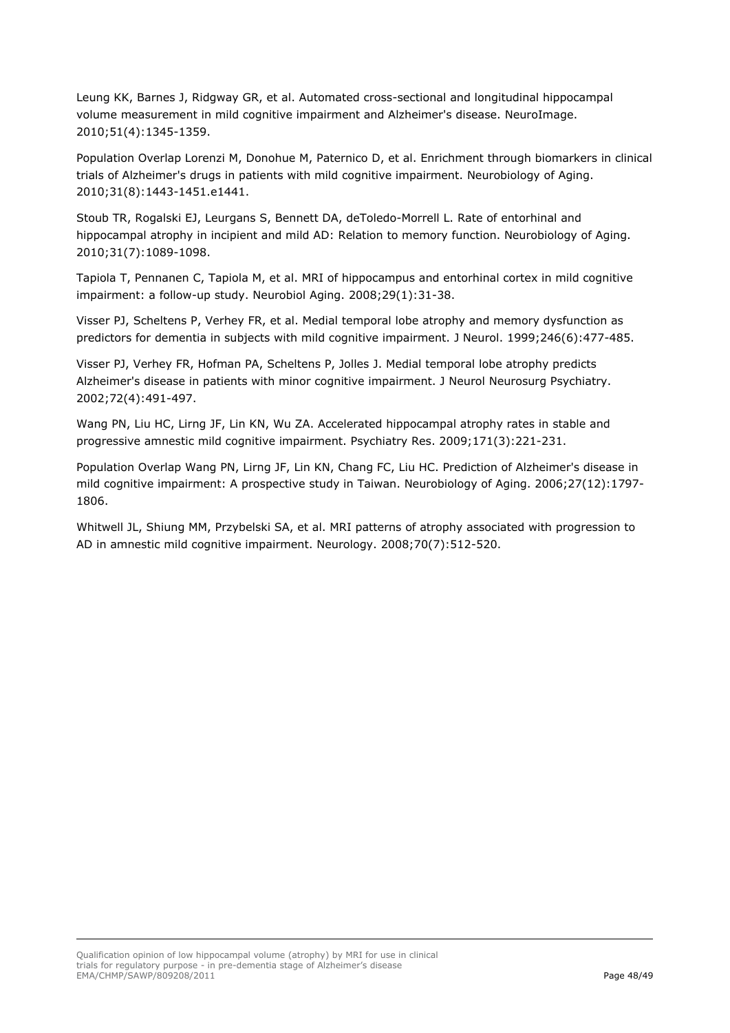Leung KK, Barnes J, Ridgway GR, et al. Automated cross-sectional and longitudinal hippocampal volume measurement in mild cognitive impairment and Alzheimer's disease. NeuroImage. 2010;51(4):1345-1359.

Population Overlap Lorenzi M, Donohue M, Paternico D, et al. Enrichment through biomarkers in clinical trials of Alzheimer's drugs in patients with mild cognitive impairment. Neurobiology of Aging. 2010;31(8):1443-1451.e1441.

Stoub TR, Rogalski EJ, Leurgans S, Bennett DA, deToledo-Morrell L. Rate of entorhinal and hippocampal atrophy in incipient and mild AD: Relation to memory function. Neurobiology of Aging. 2010;31(7):1089-1098.

Tapiola T, Pennanen C, Tapiola M, et al. MRI of hippocampus and entorhinal cortex in mild cognitive impairment: a follow-up study. Neurobiol Aging. 2008;29(1):31-38.

Visser PJ, Scheltens P, Verhey FR, et al. Medial temporal lobe atrophy and memory dysfunction as predictors for dementia in subjects with mild cognitive impairment. J Neurol. 1999;246(6):477-485.

Visser PJ, Verhey FR, Hofman PA, Scheltens P, Jolles J. Medial temporal lobe atrophy predicts Alzheimer's disease in patients with minor cognitive impairment. J Neurol Neurosurg Psychiatry. 2002;72(4):491-497.

Wang PN, Liu HC, Lirng JF, Lin KN, Wu ZA. Accelerated hippocampal atrophy rates in stable and progressive amnestic mild cognitive impairment. Psychiatry Res. 2009;171(3):221-231.

Population Overlap Wang PN, Lirng JF, Lin KN, Chang FC, Liu HC. Prediction of Alzheimer's disease in mild cognitive impairment: A prospective study in Taiwan. Neurobiology of Aging. 2006;27(12):1797- 1806.

Whitwell JL, Shiung MM, Przybelski SA, et al. MRI patterns of atrophy associated with progression to AD in amnestic mild cognitive impairment. Neurology. 2008;70(7):512-520.